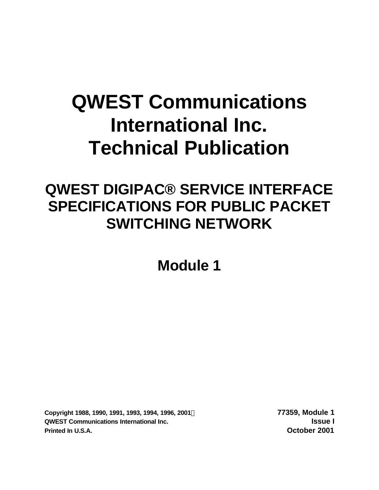# **QWEST Communications International Inc. Technical Publication**

## **QWEST DIGIPAC® SERVICE INTERFACE SPECIFICATIONS FOR PUBLIC PACKET SWITCHING NETWORK**

**Module 1**

**Copyright 1988, 1990, 1991, 1993, 1994, 1996, 2001Ó 77359, Module 1 QWEST Communications International Inc. Issue I Printed In U.S.A. October 2001**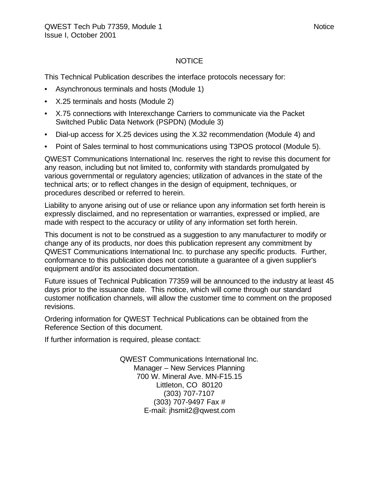#### NOTICE

This Technical Publication describes the interface protocols necessary for:

- Asynchronous terminals and hosts (Module 1)
- X.25 terminals and hosts (Module 2)
- X.75 connections with Interexchange Carriers to communicate via the Packet Switched Public Data Network (PSPDN) (Module 3)
- Dial-up access for X.25 devices using the X.32 recommendation (Module 4) and
- Point of Sales terminal to host communications using T3POS protocol (Module 5).

QWEST Communications International Inc. reserves the right to revise this document for any reason, including but not limited to, conformity with standards promulgated by various governmental or regulatory agencies; utilization of advances in the state of the technical arts; or to reflect changes in the design of equipment, techniques, or procedures described or referred to herein.

Liability to anyone arising out of use or reliance upon any information set forth herein is expressly disclaimed, and no representation or warranties, expressed or implied, are made with respect to the accuracy or utility of any information set forth herein.

This document is not to be construed as a suggestion to any manufacturer to modify or change any of its products, nor does this publication represent any commitment by QWEST Communications International Inc. to purchase any specific products. Further, conformance to this publication does not constitute a guarantee of a given supplier's equipment and/or its associated documentation.

Future issues of Technical Publication 77359 will be announced to the industry at least 45 days prior to the issuance date. This notice, which will come through our standard customer notification channels, will allow the customer time to comment on the proposed revisions.

Ordering information for QWEST Technical Publications can be obtained from the Reference Section of this document.

If further information is required, please contact:

QWEST Communications International Inc. Manager – New Services Planning 700 W. Mineral Ave. MN-F15.15 Littleton, CO 80120 (303) 707-7107 (303) 707-9497 Fax # E-mail: jhsmit2@qwest.com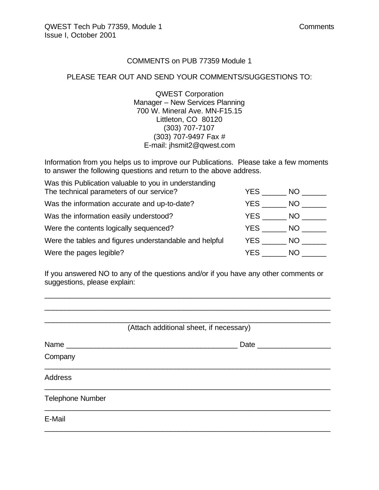#### COMMENTS on PUB 77359 Module 1

#### PLEASE TEAR OUT AND SEND YOUR COMMENTS/SUGGESTIONS TO:

QWEST Corporation Manager – New Services Planning 700 W. Mineral Ave. MN-F15.15 Littleton, CO 80120 (303) 707-7107 (303) 707-9497 Fax # E-mail: jhsmit2@qwest.com

Information from you helps us to improve our Publications. Please take a few moments to answer the following questions and return to the above address.

| Was this Publication valuable to you in understanding  |      |      |
|--------------------------------------------------------|------|------|
| The technical parameters of our service?               | YES. | NO.  |
| Was the information accurate and up-to-date?           | YES. | NO.  |
| Was the information easily understood?                 | YES  | NO.  |
| Were the contents logically sequenced?                 | YES  | NO . |
| Were the tables and figures understandable and helpful | YES  | NO.  |
| Were the pages legible?                                | YES. | NO.  |

If you answered NO to any of the questions and/or if you have any other comments or suggestions, please explain:

\_\_\_\_\_\_\_\_\_\_\_\_\_\_\_\_\_\_\_\_\_\_\_\_\_\_\_\_\_\_\_\_\_\_\_\_\_\_\_\_\_\_\_\_\_\_\_\_\_\_\_\_\_\_\_\_\_\_\_\_\_\_\_\_\_\_\_\_\_\_ \_\_\_\_\_\_\_\_\_\_\_\_\_\_\_\_\_\_\_\_\_\_\_\_\_\_\_\_\_\_\_\_\_\_\_\_\_\_\_\_\_\_\_\_\_\_\_\_\_\_\_\_\_\_\_\_\_\_\_\_\_\_\_\_\_\_\_\_\_\_

| (Attach additional sheet, if necessary) |                     |  |  |  |
|-----------------------------------------|---------------------|--|--|--|
| Name                                    | Date ______________ |  |  |  |
| Company                                 |                     |  |  |  |
| <b>Address</b>                          |                     |  |  |  |
| <b>Telephone Number</b>                 |                     |  |  |  |
| E-Mail                                  |                     |  |  |  |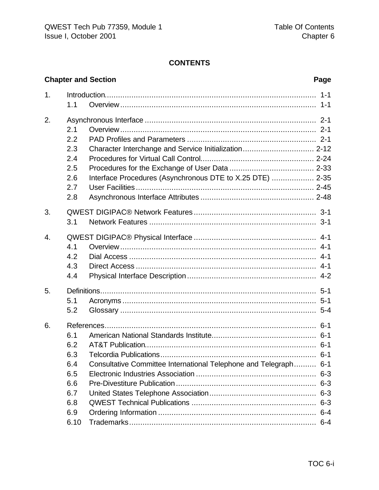#### **CONTENTS**

|    |      | <b>Chapter and Section</b>                                       | Page               |
|----|------|------------------------------------------------------------------|--------------------|
| 1. | 1.1  |                                                                  | $1 - 1$<br>$1 - 1$ |
| 2. |      |                                                                  |                    |
|    | 2.1  |                                                                  |                    |
|    | 2.2  |                                                                  |                    |
|    | 2.3  |                                                                  |                    |
|    | 2.4  |                                                                  |                    |
|    | 2.5  |                                                                  |                    |
|    | 2.6  | Interface Procedures (Asynchronous DTE to X.25 DTE)  2-35        |                    |
|    | 2.7  |                                                                  |                    |
|    | 2.8  |                                                                  |                    |
| 3. |      |                                                                  |                    |
|    | 3.1  |                                                                  |                    |
| 4. |      |                                                                  |                    |
|    | 4.1  |                                                                  | $4 - 1$            |
|    | 4.2  |                                                                  |                    |
|    | 4.3  |                                                                  |                    |
|    | 4.4  |                                                                  |                    |
| 5. |      |                                                                  |                    |
|    | 5.1  |                                                                  |                    |
|    | 5.2  |                                                                  |                    |
| 6. |      |                                                                  |                    |
|    | 6.1  |                                                                  |                    |
|    | 6.2  |                                                                  |                    |
|    | 6.3  |                                                                  | $6-1$              |
|    | 6.4  | Consultative Committee International Telephone and Telegraph 6-1 |                    |
|    | 6.5  |                                                                  |                    |
|    | 6.6  |                                                                  |                    |
|    | 6.7  |                                                                  |                    |
|    | 6.8  |                                                                  |                    |
|    | 6.9  |                                                                  |                    |
|    | 6.10 |                                                                  |                    |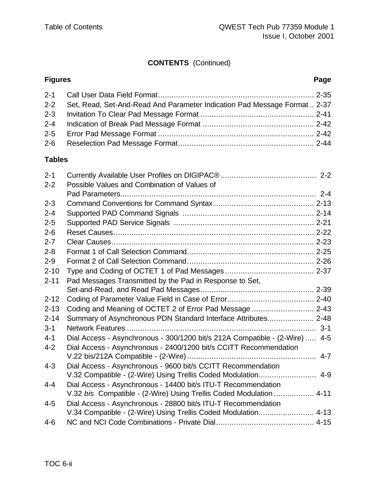### **CONTENTS** (Continued)

#### **Figures Page**

| 2-2 Set, Read, Set-And-Read And Parameter Indication Pad Message Format 2-37 |  |
|------------------------------------------------------------------------------|--|
|                                                                              |  |
|                                                                              |  |
|                                                                              |  |
|                                                                              |  |
|                                                                              |  |

#### **Tables**

| $2 - 1$  |                                                                             |
|----------|-----------------------------------------------------------------------------|
| $2 - 2$  | Possible Values and Combination of Values of                                |
| $2 - 3$  |                                                                             |
|          |                                                                             |
| $2 - 4$  |                                                                             |
| $2 - 5$  |                                                                             |
| $2 - 6$  |                                                                             |
| $2 - 7$  |                                                                             |
| $2 - 8$  |                                                                             |
| $2 - 9$  |                                                                             |
| $2 - 10$ |                                                                             |
| $2 - 11$ | Pad Messages Transmitted by the Pad in Response to Set,                     |
|          |                                                                             |
| $2 - 12$ |                                                                             |
| $2 - 13$ |                                                                             |
| $2 - 14$ | Summary of Asynchronous PDN Standard Interface Attributes 2-48              |
| $3 - 1$  |                                                                             |
| $4 - 1$  | Dial Access - Asynchronous - 300/1200 bit/s 212A Compatible - (2-Wire)  4-5 |
| $4 - 2$  | Dial Access - Asynchronous - 2400/1200 bit/s CCITT Recommendation           |
|          |                                                                             |
| $4 - 3$  | Dial Access - Asynchronous - 9600 bit/s CCITT Recommendation                |
|          | V.32 Compatible - (2-Wire) Using Trellis Coded Modulation 4-9               |
| $4 - 4$  | Dial Access - Asynchronous - 14400 bit/s ITU-T Recommendation               |
|          | V.32 bis Compatible - (2-Wire) Using Trellis Coded Modulation  4-11         |
| $4 - 5$  | Dial Access - Asynchronous - 28800 bit/s ITU-T Recommendation               |
|          | V.34 Compatible - (2-Wire) Using Trellis Coded Modulation 4-13              |
| $4 - 6$  |                                                                             |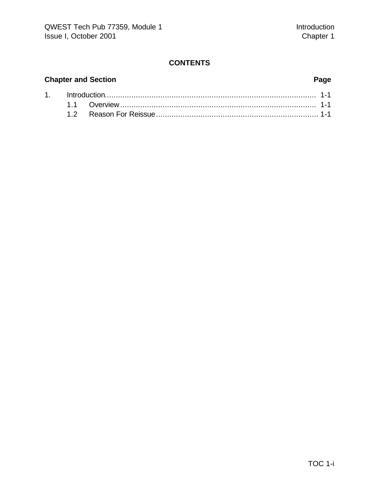#### **CONTENTS**

### **Chapter and Section Page**

| 1. http://www.the.com/minimum/minimum/minimum/minimum/minimum/minimum/minimum/1-1 |  |  |  |
|-----------------------------------------------------------------------------------|--|--|--|
|                                                                                   |  |  |  |
|                                                                                   |  |  |  |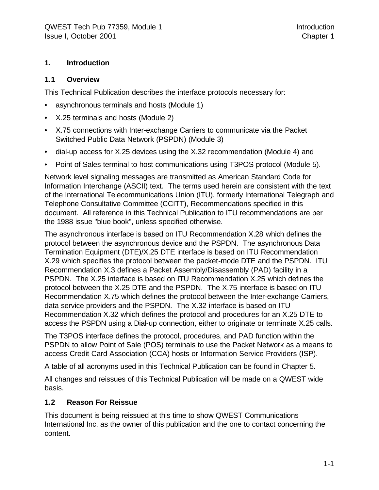#### **1. Introduction**

#### **1.1 Overview**

This Technical Publication describes the interface protocols necessary for:

- asynchronous terminals and hosts (Module 1)
- X.25 terminals and hosts (Module 2)
- X.75 connections with Inter-exchange Carriers to communicate via the Packet Switched Public Data Network (PSPDN) (Module 3)
- dial-up access for X.25 devices using the X.32 recommendation (Module 4) and
- Point of Sales terminal to host communications using T3POS protocol (Module 5).

Network level signaling messages are transmitted as American Standard Code for Information Interchange (ASCII) text. The terms used herein are consistent with the text of the International Telecommunications Union (ITU), formerly International Telegraph and Telephone Consultative Committee (CCITT), Recommendations specified in this document. All reference in this Technical Publication to ITU recommendations are per the 1988 issue "blue book", unless specified otherwise.

The asynchronous interface is based on ITU Recommendation X.28 which defines the protocol between the asynchronous device and the PSPDN. The asynchronous Data Termination Equipment (DTE)/X.25 DTE interface is based on ITU Recommendation X.29 which specifies the protocol between the packet-mode DTE and the PSPDN. ITU Recommendation X.3 defines a Packet Assembly/Disassembly (PAD) facility in a PSPDN. The X.25 interface is based on ITU Recommendation X.25 which defines the protocol between the X.25 DTE and the PSPDN. The X.75 interface is based on ITU Recommendation X.75 which defines the protocol between the Inter-exchange Carriers, data service providers and the PSPDN. The X.32 interface is based on ITU Recommendation X.32 which defines the protocol and procedures for an X.25 DTE to access the PSPDN using a Dial-up connection, either to originate or terminate X.25 calls.

The T3POS interface defines the protocol, procedures, and PAD function within the PSPDN to allow Point of Sale (POS) terminals to use the Packet Network as a means to access Credit Card Association (CCA) hosts or Information Service Providers (ISP).

A table of all acronyms used in this Technical Publication can be found in Chapter 5.

All changes and reissues of this Technical Publication will be made on a QWEST wide basis.

#### **1.2 Reason For Reissue**

This document is being reissued at this time to show QWEST Communications International Inc. as the owner of this publication and the one to contact concerning the content.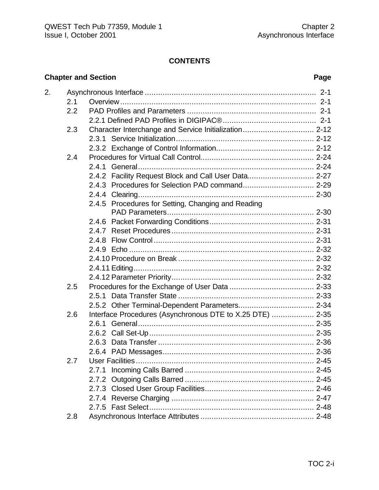#### **CONTENTS**

### **Chapter and Section Page**

| 2.1 |                                                    |                                                                                                                                     |  |  |  |  |  |
|-----|----------------------------------------------------|-------------------------------------------------------------------------------------------------------------------------------------|--|--|--|--|--|
| 2.2 |                                                    |                                                                                                                                     |  |  |  |  |  |
|     |                                                    |                                                                                                                                     |  |  |  |  |  |
| 2.3 |                                                    |                                                                                                                                     |  |  |  |  |  |
|     |                                                    |                                                                                                                                     |  |  |  |  |  |
|     |                                                    |                                                                                                                                     |  |  |  |  |  |
| 2.4 |                                                    |                                                                                                                                     |  |  |  |  |  |
|     |                                                    |                                                                                                                                     |  |  |  |  |  |
|     |                                                    |                                                                                                                                     |  |  |  |  |  |
|     |                                                    |                                                                                                                                     |  |  |  |  |  |
|     |                                                    |                                                                                                                                     |  |  |  |  |  |
|     | 2.4.5 Procedures for Setting, Changing and Reading |                                                                                                                                     |  |  |  |  |  |
|     |                                                    |                                                                                                                                     |  |  |  |  |  |
|     |                                                    |                                                                                                                                     |  |  |  |  |  |
|     |                                                    |                                                                                                                                     |  |  |  |  |  |
|     |                                                    |                                                                                                                                     |  |  |  |  |  |
|     |                                                    |                                                                                                                                     |  |  |  |  |  |
|     |                                                    |                                                                                                                                     |  |  |  |  |  |
|     |                                                    |                                                                                                                                     |  |  |  |  |  |
|     |                                                    |                                                                                                                                     |  |  |  |  |  |
|     |                                                    |                                                                                                                                     |  |  |  |  |  |
|     |                                                    |                                                                                                                                     |  |  |  |  |  |
|     |                                                    |                                                                                                                                     |  |  |  |  |  |
|     |                                                    |                                                                                                                                     |  |  |  |  |  |
|     |                                                    |                                                                                                                                     |  |  |  |  |  |
|     |                                                    |                                                                                                                                     |  |  |  |  |  |
|     |                                                    |                                                                                                                                     |  |  |  |  |  |
|     |                                                    |                                                                                                                                     |  |  |  |  |  |
|     |                                                    |                                                                                                                                     |  |  |  |  |  |
|     |                                                    |                                                                                                                                     |  |  |  |  |  |
|     |                                                    |                                                                                                                                     |  |  |  |  |  |
|     |                                                    |                                                                                                                                     |  |  |  |  |  |
|     |                                                    |                                                                                                                                     |  |  |  |  |  |
|     |                                                    |                                                                                                                                     |  |  |  |  |  |
|     |                                                    |                                                                                                                                     |  |  |  |  |  |
|     | 2.5<br>2.6<br>2.7<br>2.8                           | 2.4.2 Facility Request Block and Call User Data 2-27<br>Interface Procedures (Asynchronous DTE to X.25 DTE)  2-35<br>2.7.1<br>2.7.2 |  |  |  |  |  |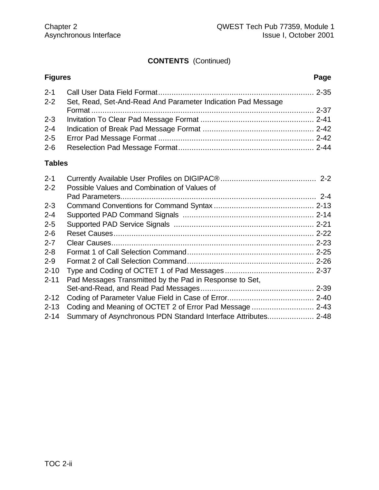### **CONTENTS** (Continued)

| <b>Figures</b> |                                                                  | Page |
|----------------|------------------------------------------------------------------|------|
|                |                                                                  |      |
|                | 2-2 Set, Read, Set-And-Read And Parameter Indication Pad Message |      |
|                |                                                                  |      |
|                |                                                                  |      |
|                |                                                                  |      |
|                |                                                                  |      |
|                |                                                                  |      |

#### **Tables**

| $2 - 1$  |                                                                |  |
|----------|----------------------------------------------------------------|--|
| $2 - 2$  | Possible Values and Combination of Values of                   |  |
|          |                                                                |  |
| $2 - 3$  |                                                                |  |
| $2 - 4$  |                                                                |  |
| $2 - 5$  |                                                                |  |
| $2 - 6$  |                                                                |  |
| $2 - 7$  |                                                                |  |
| $2 - 8$  |                                                                |  |
| $2 - 9$  |                                                                |  |
| $2 - 10$ |                                                                |  |
| $2 - 11$ | Pad Messages Transmitted by the Pad in Response to Set.        |  |
|          |                                                                |  |
| $2 - 12$ |                                                                |  |
| $2 - 13$ |                                                                |  |
| $2 - 14$ | Summary of Asynchronous PDN Standard Interface Attributes 2-48 |  |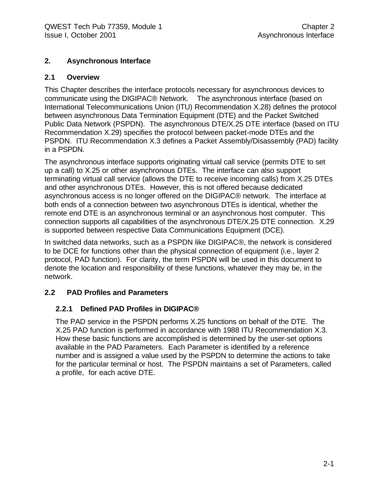#### **2. Asynchronous Interface**

#### **2.1 Overview**

This Chapter describes the interface protocols necessary for asynchronous devices to communicate using the DIGIPAC® Network. The asynchronous interface (based on International Telecommunications Union (ITU) Recommendation X.28) defines the protocol between asynchronous Data Termination Equipment (DTE) and the Packet Switched Public Data Network (PSPDN). The asynchronous DTE/X.25 DTE interface (based on ITU Recommendation X.29) specifies the protocol between packet-mode DTEs and the PSPDN. ITU Recommendation X.3 defines a Packet Assembly/Disassembly (PAD) facility in a PSPDN.

The asynchronous interface supports originating virtual call service (permits DTE to set up a call) to X.25 or other asynchronous DTEs. The interface can also support terminating virtual call service (allows the DTE to receive incoming calls) from X.25 DTEs and other asynchronous DTEs. However, this is not offered because dedicated asynchronous access is no longer offered on the DIGIPAC® network. The interface at both ends of a connection between two asynchronous DTEs is identical, whether the remote end DTE is an asynchronous terminal or an asynchronous host computer. This connection supports all capabilities of the asynchronous DTE/X.25 DTE connection. X.29 is supported between respective Data Communications Equipment (DCE).

In switched data networks, such as a PSPDN like DIGIPAC®, the network is considered to be DCE for functions other than the physical connection of equipment (i.e., layer 2 protocol, PAD function). For clarity, the term PSPDN will be used in this document to denote the location and responsibility of these functions, whatever they may be, in the network.

#### **2.2 PAD Profiles and Parameters**

#### **2.2.1 Defined PAD Profiles in DIGIPAC®**

The PAD service in the PSPDN performs X.25 functions on behalf of the DTE. The X.25 PAD function is performed in accordance with 1988 ITU Recommendation X.3. How these basic functions are accomplished is determined by the user-set options available in the PAD Parameters. Each Parameter is identified by a reference number and is assigned a value used by the PSPDN to determine the actions to take for the particular terminal or host. The PSPDN maintains a set of Parameters, called a profile, for each active DTE.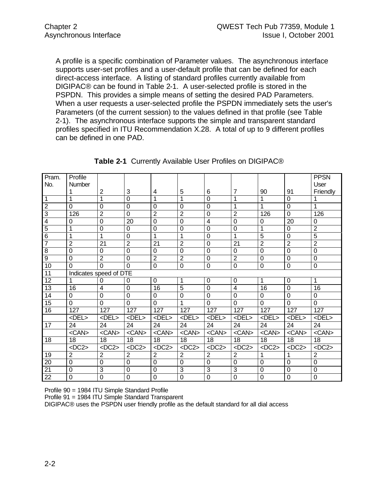A profile is a specific combination of Parameter values. The asynchronous interface supports user-set profiles and a user-default profile that can be defined for each direct-access interface. A listing of standard profiles currently available from DIGIPAC® can be found in Table 2-1. A user-selected profile is stored in the PSPDN. This provides a simple means of setting the desired PAD Parameters. When a user requests a user-selected profile the PSPDN immediately sets the user's Parameters (of the current session) to the values defined in that profile (see Table 2-1). The asynchronous interface supports the simple and transparent standard profiles specified in ITU Recommendation X.28. A total of up to 9 different profiles can be defined in one PAD.

| Pram.           | Profile                |                 |                |                  |                |                         |                |                |                | <b>PPSN</b>      |
|-----------------|------------------------|-----------------|----------------|------------------|----------------|-------------------------|----------------|----------------|----------------|------------------|
| No.             | Number                 |                 |                |                  |                |                         |                |                |                | User             |
|                 |                        | $\overline{2}$  | 3              | 4                | 5              | 6                       | $\overline{7}$ | 90             | 91             | Friendly         |
| $\mathbf{1}$    | 1                      | 1               | $\overline{0}$ | 1                | 1              | 0                       | 1              | 1              | 0              | 1                |
| $\overline{2}$  | 0                      | $\overline{0}$  | $\overline{0}$ | $\mathbf 0$      | 0              | 0                       | 1              | 1              | $\mathbf 0$    | 1                |
| $\overline{3}$  | 126                    | $\overline{2}$  | $\mathbf 0$    | $\overline{2}$   | $\overline{2}$ | $\mathbf 0$             | $\overline{2}$ | 126            | $\mathbf 0$    | 126              |
| $\overline{4}$  | 0                      | $\overline{0}$  | 20             | $\overline{0}$   | 0              | $\overline{\mathbf{4}}$ | $\mathbf 0$    | 0              | 20             | $\mathbf 0$      |
| $\overline{5}$  | 1                      | 0               | 0              | $\mathbf 0$      | 0              | 0                       | $\mathbf 0$    | 1              | 0              | $\overline{2}$   |
| $\overline{6}$  | 1                      | 1               | $\mathbf 0$    | 1                | 1              | $\mathbf 0$             | 1              | $\overline{5}$ | $\mathbf 0$    | $\overline{5}$   |
| $\overline{7}$  | $\overline{2}$         | $\overline{21}$ | $\overline{2}$ | 21               | $\overline{2}$ | 0                       | 21             | $\overline{2}$ | $\overline{2}$ | $\overline{2}$   |
| $\overline{8}$  | $\overline{0}$         | $\Omega$        | $\overline{0}$ | $\mathbf 0$      | $\overline{0}$ | $\overline{0}$          | 0              | $\Omega$       | $\mathbf 0$    | $\mathbf 0$      |
| $\overline{9}$  | $\Omega$               | $\overline{2}$  | $\overline{0}$ | $\overline{2}$   | $\overline{2}$ | $\mathbf 0$             | $\sqrt{2}$     | $\overline{0}$ | $\mathbf 0$    | $\boldsymbol{0}$ |
| $\overline{10}$ | 0                      | $\overline{0}$  | $\overline{0}$ | $\mathbf 0$      | $\overline{0}$ | $\mathbf 0$             | $\mathbf 0$    | $\overline{0}$ | $\mathbf 0$    | $\pmb{0}$        |
| 11              | Indicates speed of DTE |                 |                |                  |                |                         |                |                |                |                  |
| 12              | 1                      | $\Omega$        | $\Omega$       | $\mathbf 0$      | 1              | $\mathbf 0$             | 0              | $\mathbf{1}$   | $\mathbf 0$    | $\mathbf{1}$     |
| 13              | 16                     | $\overline{4}$  | $\overline{0}$ | 16               | 5              | $\overline{0}$          | 4              | 16             | $\mathbf 0$    | 16               |
| 14              | 0                      | $\mathbf 0$     | $\overline{0}$ | 0                | 0              | $\mathbf 0$             | $\mathbf 0$    | $\Omega$       | $\mathbf 0$    | $\mathbf 0$      |
| 15              | $\Omega$               | $\Omega$        | $\Omega$       | $\Omega$         |                | $\Omega$                | $\Omega$       | $\Omega$       | $\Omega$       | $\Omega$         |
| 16              | 127                    | 127             | 127            | 127              | 127            | 127                     | 127            | 127            | 127            | 127              |
|                 | <del></del>            | <del></del>     | <del></del>    | $<$ DEL $>$      | <del></del>    | <del></del>             | <del></del>    | <del></del>    | <del></del>    | <del></del>      |
| 17              | 24                     | 24              | 24             | 24               | 24             | 24                      | 24             | 24             | 24             | 24               |
|                 | $<$ CAN $>$            | <can></can>     | $<$ CAN $>$    | $<$ CAN $>$      | <can></can>    | $<$ CAN $>$             | $<$ CAN $>$    | $<$ CAN $>$    | $<$ CAN $>$    | $<$ CAN $>$      |
| 18              | 18                     | 18              | 18             | 18               | 18             | 18                      | 18             | 18             | 18             | 18               |
|                 | $<$ DC2>               | $<$ DC2>        | $<$ DC2>       | $<$ DC2 $>$      | $<$ DC2>       | $<$ DC2>                | $<$ DC2 $>$    | $<$ DC2>       | $<$ DC2>       | $<$ DC2>         |
| 19              | $\overline{2}$         | $\overline{2}$  | $\overline{2}$ | $\overline{2}$   | $\overline{2}$ | $\overline{2}$          | $\overline{2}$ |                |                | $\overline{2}$   |
| 20              | 0                      | 0               | $\overline{0}$ | 0                | 0              | $\mathbf 0$             | 0              | 0              | $\mathbf 0$    | $\boldsymbol{0}$ |
| $\overline{21}$ | $\mathbf 0$            | $\mathbf{3}$    | $\overline{0}$ | $\boldsymbol{0}$ | 3              | 3                       | $\mathbf{3}$   | $\mathbf 0$    | $\mathbf 0$    | $\boldsymbol{0}$ |
| $\overline{22}$ | 0                      | $\mathbf 0$     | $\mathbf 0$    | $\mathbf 0$      | 0              | 0                       | $\mathbf 0$    | $\mathbf 0$    | $\mathbf 0$    | $\mathbf 0$      |

| Table 2-1 Currently Available User Profiles on DIGIPAC® |
|---------------------------------------------------------|
|---------------------------------------------------------|

Profile 90 = 1984 ITU Simple Standard Profile

Profile 91 = 1984 ITU Simple Standard Transparent

DIGIPAC® uses the PSPDN user friendly profile as the default standard for all dial access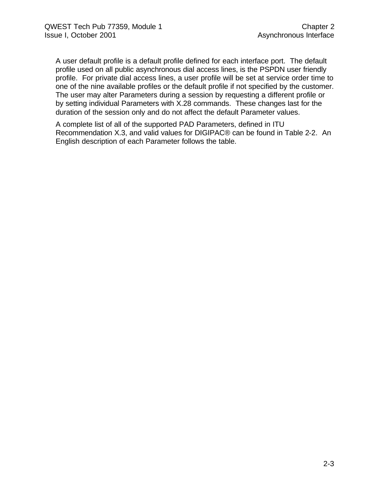A user default profile is a default profile defined for each interface port. The default profile used on all public asynchronous dial access lines, is the PSPDN user friendly profile. For private dial access lines, a user profile will be set at service order time to one of the nine available profiles or the default profile if not specified by the customer. The user may alter Parameters during a session by requesting a different profile or by setting individual Parameters with X.28 commands. These changes last for the duration of the session only and do not affect the default Parameter values.

A complete list of all of the supported PAD Parameters, defined in ITU Recommendation X.3, and valid values for DIGIPAC® can be found in Table 2-2. An English description of each Parameter follows the table.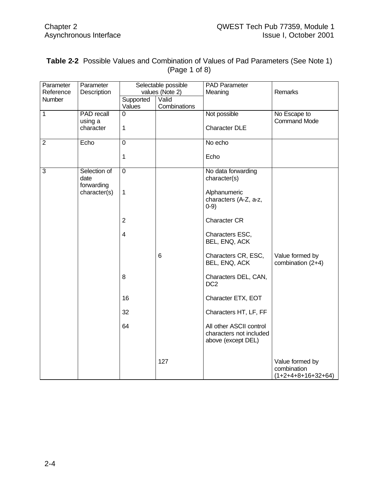| <b>Table 2-2</b> Possible Values and Combination of Values of Pad Parameters (See Note 1) |
|-------------------------------------------------------------------------------------------|
| (Page 1 of 8)                                                                             |

| Parameter      | Parameter         |                         | Selectable possible | <b>PAD Parameter</b>    |                      |
|----------------|-------------------|-------------------------|---------------------|-------------------------|----------------------|
| Reference      | Description       |                         | values (Note 2)     | Meaning                 | Remarks              |
| Number         |                   | Supported               | Valid               |                         |                      |
|                |                   | Values                  | Combinations        |                         |                      |
| $\overline{1}$ | <b>PAD</b> recall | $\Omega$                |                     | Not possible            | No Escape to         |
|                | using a           |                         |                     |                         | <b>Command Mode</b>  |
|                | character         | $\mathbf 1$             |                     | <b>Character DLE</b>    |                      |
|                |                   |                         |                     |                         |                      |
| $\overline{2}$ | Echo              | 0                       |                     | No echo                 |                      |
|                |                   |                         |                     |                         |                      |
|                |                   | 1                       |                     | Echo                    |                      |
|                |                   |                         |                     |                         |                      |
| $\overline{3}$ | Selection of      | $\overline{0}$          |                     | No data forwarding      |                      |
|                | date              |                         |                     | character(s)            |                      |
|                | forwarding        |                         |                     |                         |                      |
|                | character(s)      | $\mathbf 1$             |                     | Alphanumeric            |                      |
|                |                   |                         |                     | characters (A-Z, a-z,   |                      |
|                |                   |                         |                     | $0-9)$                  |                      |
|                |                   |                         |                     |                         |                      |
|                |                   | $\overline{2}$          |                     | <b>Character CR</b>     |                      |
|                |                   |                         |                     |                         |                      |
|                |                   | $\overline{\mathbf{4}}$ |                     | Characters ESC,         |                      |
|                |                   |                         |                     | BEL, ENQ, ACK           |                      |
|                |                   |                         |                     |                         |                      |
|                |                   |                         | 6                   | Characters CR, ESC,     | Value formed by      |
|                |                   |                         |                     | BEL, ENQ, ACK           | combination (2+4)    |
|                |                   |                         |                     |                         |                      |
|                |                   | 8                       |                     | Characters DEL, CAN,    |                      |
|                |                   |                         |                     | DC <sub>2</sub>         |                      |
|                |                   |                         |                     |                         |                      |
|                |                   | 16                      |                     | Character ETX, EOT      |                      |
|                |                   | 32                      |                     | Characters HT, LF, FF   |                      |
|                |                   |                         |                     |                         |                      |
|                |                   | 64                      |                     | All other ASCII control |                      |
|                |                   |                         |                     | characters not included |                      |
|                |                   |                         |                     | above (except DEL)      |                      |
|                |                   |                         |                     |                         |                      |
|                |                   |                         |                     |                         |                      |
|                |                   |                         | 127                 |                         | Value formed by      |
|                |                   |                         |                     |                         | combination          |
|                |                   |                         |                     |                         | $(1+2+4+8+16+32+64)$ |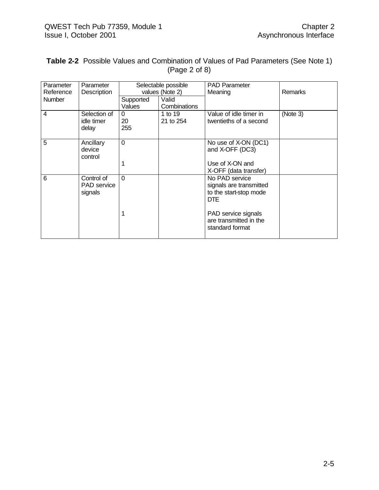|  | <b>Table 2-2</b> Possible Values and Combination of Values of Pad Parameters (See Note 1) |  |  |
|--|-------------------------------------------------------------------------------------------|--|--|
|  | (Page 2 of 8)                                                                             |  |  |

| Parameter<br>Reference | Parameter<br>Description                    |                     | Selectable possible<br>values (Note 2) | <b>PAD Parameter</b><br>Meaning                                                   | <b>Remarks</b> |
|------------------------|---------------------------------------------|---------------------|----------------------------------------|-----------------------------------------------------------------------------------|----------------|
| Number                 |                                             | Supported<br>Values | Valid<br>Combinations                  |                                                                                   |                |
| $\overline{4}$         | Selection of<br>idle timer<br>delay         | 0<br>20<br>255      | 1 to 19<br>21 to 254                   | Value of idle timer in<br>twentieths of a second                                  | (Note 3)       |
| 5                      | Ancillary<br>device<br>control              | $\overline{0}$      |                                        | No use of X-ON (DC1)<br>and X-OFF (DC3)                                           |                |
|                        |                                             |                     |                                        | Use of X-ON and<br>X-OFF (data transfer)                                          |                |
| 6                      | Control of<br><b>PAD</b> service<br>signals | $\Omega$            |                                        | No PAD service<br>signals are transmitted<br>to the start-stop mode<br><b>DTE</b> |                |
|                        |                                             | 1                   |                                        | PAD service signals<br>are transmitted in the<br>standard format                  |                |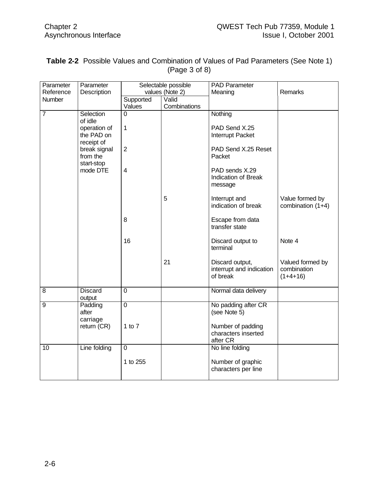| Parameter      | Parameter                |                         | Selectable possible   | <b>PAD Parameter</b>                     |                   |
|----------------|--------------------------|-------------------------|-----------------------|------------------------------------------|-------------------|
| Reference      | Description              |                         | values (Note 2)       | Meaning                                  | Remarks           |
| Number         |                          | Supported<br>Values     | Valid<br>Combinations |                                          |                   |
| $\overline{7}$ | Selection                | 0                       |                       | Nothing                                  |                   |
|                | of idle                  |                         |                       |                                          |                   |
|                | operation of             | $\mathbf{1}$            |                       | PAD Send X.25                            |                   |
|                | the PAD on               |                         |                       | Interrupt Packet                         |                   |
|                | receipt of               | $\overline{2}$          |                       |                                          |                   |
|                | break signal<br>from the |                         |                       | PAD Send X.25 Reset<br>Packet            |                   |
|                | start-stop               |                         |                       |                                          |                   |
|                | mode DTE                 | $\overline{\mathbf{4}}$ |                       | PAD sends X.29                           |                   |
|                |                          |                         |                       | Indication of Break                      |                   |
|                |                          |                         |                       | message                                  |                   |
|                |                          |                         | 5                     | Interrupt and                            | Value formed by   |
|                |                          |                         |                       | indication of break                      | combination (1+4) |
|                |                          |                         |                       |                                          |                   |
|                |                          | 8                       |                       | Escape from data<br>transfer state       |                   |
|                |                          |                         |                       |                                          |                   |
|                |                          | 16                      |                       | Discard output to                        | Note 4            |
|                |                          |                         |                       | terminal                                 |                   |
|                |                          |                         | 21                    | Discard output,                          | Valued formed by  |
|                |                          |                         |                       | interrupt and indication                 | combination       |
|                |                          |                         |                       | of break                                 | $(1+4+16)$        |
|                |                          |                         |                       |                                          |                   |
| $\overline{8}$ | <b>Discard</b><br>output | $\overline{0}$          |                       | Normal data delivery                     |                   |
| $\overline{9}$ | Padding                  | $\overline{0}$          |                       | No padding after CR                      |                   |
|                | after                    |                         |                       | (see Note 5)                             |                   |
|                | carriage                 |                         |                       |                                          |                   |
|                | return (CR)              | 1 to $7$                |                       | Number of padding<br>characters inserted |                   |
|                |                          |                         |                       | after CR                                 |                   |
| 10             | Line folding             | $\overline{0}$          |                       | No line folding                          |                   |
|                |                          |                         |                       |                                          |                   |
|                |                          | 1 to 255                |                       | Number of graphic                        |                   |
|                |                          |                         |                       | characters per line                      |                   |

#### **Table 2-2** Possible Values and Combination of Values of Pad Parameters (See Note 1) (Page 3 of 8)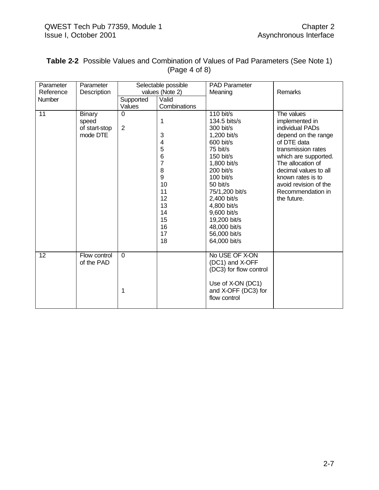| Parameter<br>Reference | Parameter<br>Description | Selectable possible<br>values (Note 2) |                 | <b>PAD Parameter</b><br>Meaning     | Remarks                      |
|------------------------|--------------------------|----------------------------------------|-----------------|-------------------------------------|------------------------------|
| Number                 |                          | Supported                              | Valid           |                                     |                              |
|                        |                          | Values                                 | Combinations    |                                     |                              |
| 11                     | <b>Binary</b><br>speed   | $\Omega$                               | 1               | $110$ bit/s<br>134.5 bits/s         | The values<br>implemented in |
|                        | of start-stop            | $\overline{2}$                         |                 | 300 bit/s                           | individual PADs              |
|                        | mode DTE                 |                                        | 3               | 1,200 bit/s                         | depend on the range          |
|                        |                          |                                        | 4               | 600 bit/s                           | of DTE data                  |
|                        |                          |                                        | 5               | 75 bit/s                            | transmission rates           |
|                        |                          |                                        | $6\phantom{1}6$ | 150 bit/s                           | which are supported.         |
|                        |                          |                                        | 7               | 1,800 bit/s                         | The allocation of            |
|                        |                          |                                        | 8               | 200 bit/s                           | decimal values to all        |
|                        |                          |                                        | 9               | $100$ bit/s                         | known rates is to            |
|                        |                          |                                        | 10              | 50 bit/s                            | avoid revision of the        |
|                        |                          |                                        | 11              | 75/1,200 bit/s                      | Recommendation in            |
|                        |                          |                                        | 12              | 2,400 bit/s                         | the future.                  |
|                        |                          |                                        | 13<br>14        | 4,800 bit/s                         |                              |
|                        |                          |                                        | 15              | 9,600 bit/s                         |                              |
|                        |                          |                                        | 16              | 19,200 bit/s<br>48,000 bit/s        |                              |
|                        |                          |                                        | 17              | 56,000 bit/s                        |                              |
|                        |                          |                                        | 18              | 64,000 bit/s                        |                              |
|                        |                          |                                        |                 |                                     |                              |
| $\overline{12}$        | Flow control             | $\Omega$                               |                 | No USE OF X-ON                      |                              |
|                        | of the PAD               |                                        |                 | (DC1) and X-OFF                     |                              |
|                        |                          |                                        |                 | (DC3) for flow control              |                              |
|                        |                          |                                        |                 |                                     |                              |
|                        |                          |                                        |                 | Use of X-ON (DC1)                   |                              |
|                        |                          | 1                                      |                 | and X-OFF (DC3) for<br>flow control |                              |
|                        |                          |                                        |                 |                                     |                              |
|                        |                          |                                        |                 |                                     |                              |

#### **Table 2-2** Possible Values and Combination of Values of Pad Parameters (See Note 1) (Page 4 of 8)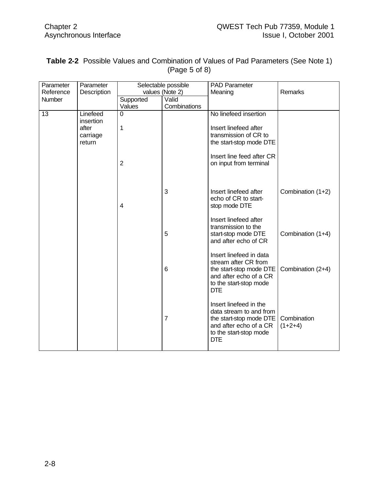| Parameter | Parameter                   |                | Selectable possible | <b>PAD Parameter</b>                                                                                                                           |                          |
|-----------|-----------------------------|----------------|---------------------|------------------------------------------------------------------------------------------------------------------------------------------------|--------------------------|
| Reference | Description                 |                | values (Note 2)     | Meaning                                                                                                                                        | Remarks                  |
| Number    |                             | Supported      | Valid               |                                                                                                                                                |                          |
|           |                             | Values         | Combinations        |                                                                                                                                                |                          |
| 13        | Linefeed<br>insertion       | $\Omega$       |                     | No linefeed insertion                                                                                                                          |                          |
|           | after<br>carriage<br>return | 1              |                     | Insert linefeed after<br>transmission of CR to<br>the start-stop mode DTE                                                                      |                          |
|           |                             | $\overline{2}$ |                     | Insert line feed after CR<br>on input from terminal                                                                                            |                          |
|           |                             | 4              | 3                   | Insert linefeed after<br>echo of CR to start-<br>stop mode DTE                                                                                 | Combination (1+2)        |
|           |                             |                | 5                   | Insert linefeed after<br>transmission to the<br>start-stop mode DTE<br>and after echo of CR                                                    | Combination (1+4)        |
|           |                             |                | 6                   | Insert linefeed in data<br>stream after CR from<br>the start-stop mode DTE<br>and after echo of a CR<br>to the start-stop mode<br><b>DTE</b>   | Combination (2+4)        |
|           |                             |                | $\overline{7}$      | Insert linefeed in the<br>data stream to and from<br>the start-stop mode DTE<br>and after echo of a CR<br>to the start-stop mode<br><b>DTE</b> | Combination<br>$(1+2+4)$ |

#### **Table 2-2** Possible Values and Combination of Values of Pad Parameters (See Note 1) (Page 5 of 8)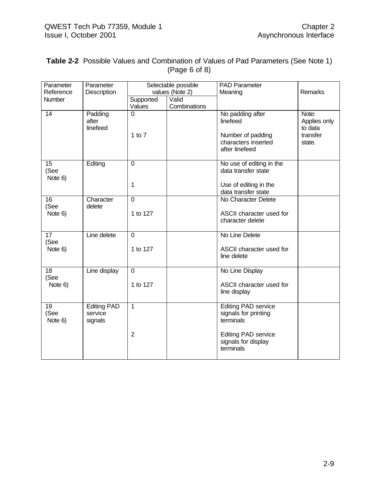| Table 2-2 Possible Values and Combination of Values of Pad Parameters (See Note 1) |
|------------------------------------------------------------------------------------|
| (Page 6 of 8)                                                                      |

| Parameter<br>Reference             | Parameter<br>Description                 | Selectable possible<br>values (Note 2) |              | <b>PAD Parameter</b><br>Meaning                                                                 | Remarks                                                |
|------------------------------------|------------------------------------------|----------------------------------------|--------------|-------------------------------------------------------------------------------------------------|--------------------------------------------------------|
| Number                             |                                          | Supported                              | Valid        |                                                                                                 |                                                        |
|                                    |                                          | Values                                 | Combinations |                                                                                                 |                                                        |
| 14                                 | Padding<br>after<br>linefeed             | 0<br>1 to $7$                          |              | No padding after<br>linefeed<br>Number of padding<br>characters inserted<br>after linefeed      | Note:<br>Applies only<br>to data<br>transfer<br>state. |
| 15<br>(See<br>Note 6)              | Editing                                  | $\Omega$<br>1                          |              | No use of editing in the<br>data transfer state<br>Use of editing in the<br>data transfer state |                                                        |
| 16<br>(See<br>Note 6)              | Character<br>delete                      | $\mathbf 0$<br>1 to 127                |              | No Character Delete<br>ASCII character used for<br>character delete                             |                                                        |
| $\overline{17}$<br>(See<br>Note 6) | Line delete                              | $\mathbf 0$<br>1 to 127                |              | No Line Delete<br>ASCII character used for<br>line delete                                       |                                                        |
| 18<br>(See<br>Note 6)              | Line display                             | 0<br>1 to 127                          |              | No Line Display<br>ASCII character used for<br>line display                                     |                                                        |
| 19<br>(See<br>Note 6)              | <b>Editing PAD</b><br>service<br>signals | $\mathbf{1}$                           |              | <b>Editing PAD service</b><br>signals for printing<br>terminals                                 |                                                        |
|                                    |                                          | $\overline{2}$                         |              | <b>Editing PAD service</b><br>signals for display<br>terminals                                  |                                                        |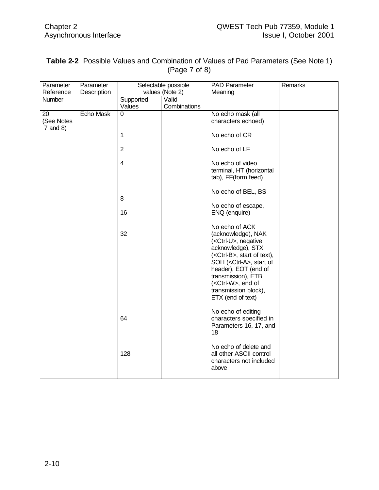| Parameter     | Parameter        |                         | Selectable possible | PAD Parameter                        | Remarks |
|---------------|------------------|-------------------------|---------------------|--------------------------------------|---------|
| Reference     | Description      |                         | values (Note 2)     | Meaning                              |         |
| <b>Number</b> |                  | Supported               | Valid               |                                      |         |
|               |                  | Values                  | Combinations        |                                      |         |
| 20            | <b>Echo Mask</b> | 0                       |                     | No echo mask (all                    |         |
| (See Notes    |                  |                         |                     | characters echoed)                   |         |
| $7$ and 8)    |                  |                         |                     |                                      |         |
|               |                  | 1                       |                     | No echo of CR                        |         |
|               |                  |                         |                     |                                      |         |
|               |                  | $\overline{2}$          |                     | No echo of LF                        |         |
|               |                  |                         |                     |                                      |         |
|               |                  | $\overline{\mathbf{4}}$ |                     | No echo of video                     |         |
|               |                  |                         |                     | terminal, HT (horizontal             |         |
|               |                  |                         |                     | tab), FF(form feed)                  |         |
|               |                  |                         |                     | No echo of BEL, BS                   |         |
|               |                  | 8                       |                     |                                      |         |
|               |                  |                         |                     | No echo of escape,                   |         |
|               |                  | 16                      |                     | ENQ (enquire)                        |         |
|               |                  |                         |                     |                                      |         |
|               |                  |                         |                     | No echo of ACK                       |         |
|               |                  | 32                      |                     | (acknowledge), NAK                   |         |
|               |                  |                         |                     | ( <ctrl-u>, negative</ctrl-u>        |         |
|               |                  |                         |                     | acknowledge), STX                    |         |
|               |                  |                         |                     | ( <ctrl-b>, start of text),</ctrl-b> |         |
|               |                  |                         |                     | SOH ( <ctrl-a>, start of</ctrl-a>    |         |
|               |                  |                         |                     | header), EOT (end of                 |         |
|               |                  |                         |                     | transmission), ETB                   |         |
|               |                  |                         |                     | ( <ctrl-w>, end of</ctrl-w>          |         |
|               |                  |                         |                     | transmission block),                 |         |
|               |                  |                         |                     | ETX (end of text)                    |         |
|               |                  |                         |                     | No echo of editing                   |         |
|               |                  | 64                      |                     | characters specified in              |         |
|               |                  |                         |                     | Parameters 16, 17, and               |         |
|               |                  |                         |                     | 18                                   |         |
|               |                  |                         |                     |                                      |         |
|               |                  |                         |                     | No echo of delete and                |         |
|               |                  | 128                     |                     | all other ASCII control              |         |
|               |                  |                         |                     | characters not included              |         |
|               |                  |                         |                     | above                                |         |
|               |                  |                         |                     |                                      |         |

| Table 2-2 Possible Values and Combination of Values of Pad Parameters (See Note 1) |
|------------------------------------------------------------------------------------|
| (Page 7 of 8)                                                                      |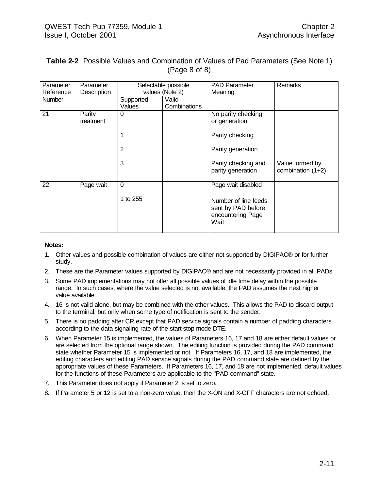| Parameter     | Parameter           | Selectable possible |                 | <b>PAD Parameter</b>                                                    | <b>Remarks</b>                       |
|---------------|---------------------|---------------------|-----------------|-------------------------------------------------------------------------|--------------------------------------|
| Reference     | Description         |                     | values (Note 2) | Meaning                                                                 |                                      |
| <b>Number</b> |                     | Supported           | Valid           |                                                                         |                                      |
|               |                     | Values              | Combinations    |                                                                         |                                      |
| 21            | Parity<br>treatment | $\Omega$            |                 | No parity checking<br>or generation                                     |                                      |
|               |                     | 1                   |                 | Parity checking                                                         |                                      |
|               |                     | 2                   |                 | Parity generation                                                       |                                      |
|               |                     | 3                   |                 | Parity checking and<br>parity generation                                | Value formed by<br>combination (1+2) |
| 22            | Page wait           | $\overline{0}$      |                 | Page wait disabled                                                      |                                      |
|               |                     | 1 to 255            |                 | Number of line feeds<br>sent by PAD before<br>encountering Page<br>Wait |                                      |

#### **Table 2-2** Possible Values and Combination of Values of Pad Parameters (See Note 1) (Page 8 of 8)

#### **Notes:**

- 1. Other values and possible combination of values are either not supported by DIGIPAC® or for further study.
- 2. These are the Parameter values supported by DIGIPAC® and are not necessarily provided in all PADs.
- 3. Some PAD implementations may not offer all possible values of idle time delay within the possible range. In such cases, where the value selected is not available, the PAD assumes the next higher value available.
- 4. 16 is not valid alone, but may be combined with the other values. This allows the PAD to discard output to the terminal, but only when some type of notification is sent to the sender.
- 5. There is no padding after CR except that PAD service signals contain a number of padding characters according to the data signaling rate of the start-stop mode DTE.
- 6. When Parameter 15 is implemented, the values of Parameters 16, 17 and 18 are either default values or are selected from the optional range shown. The editing function is provided during the PAD command state whether Parameter 15 is implemented or not. If Parameters 16, 17, and 18 are implemented, the editing characters and editing PAD service signals during the PAD command state are defined by the appropriate values of these Parameters. If Parameters 16, 17, and 18 are not implemented, default values for the functions of these Parameters are applicable to the "PAD command" state.
- 7. This Parameter does not apply if Parameter 2 is set to zero.
- 8. If Parameter 5 or 12 is set to a non-zero value, then the X-ON and X-OFF characters are not echoed.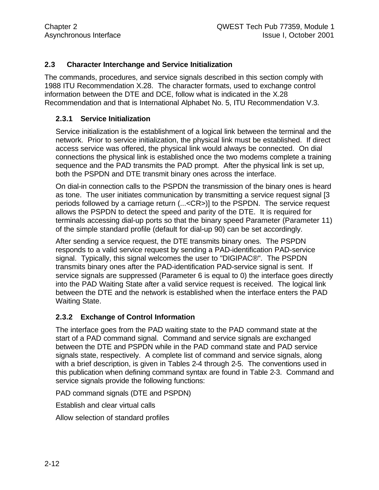#### **2.3 Character Interchange and Service Initialization**

The commands, procedures, and service signals described in this section comply with 1988 ITU Recommendation X.28. The character formats, used to exchange control information between the DTE and DCE, follow what is indicated in the X.28 Recommendation and that is International Alphabet No. 5, ITU Recommendation V.3.

#### **2.3.1 Service Initialization**

Service initialization is the establishment of a logical link between the terminal and the network. Prior to service initialization, the physical link must be established. If direct access service was offered, the physical link would always be connected. On dial connections the physical link is established once the two modems complete a training sequence and the PAD transmits the PAD prompt. After the physical link is set up, both the PSPDN and DTE transmit binary ones across the interface.

On dial-in connection calls to the PSPDN the transmission of the binary ones is heard as tone. The user initiates communication by transmitting a service request signal [3 periods followed by a carriage return (...<CR>)] to the PSPDN. The service request allows the PSPDN to detect the speed and parity of the DTE. It is required for terminals accessing dial-up ports so that the binary speed Parameter (Parameter 11) of the simple standard profile (default for dial-up 90) can be set accordingly.

After sending a service request, the DTE transmits binary ones. The PSPDN responds to a valid service request by sending a PAD-identification PAD-service signal. Typically, this signal welcomes the user to "DIGIPAC®". The PSPDN transmits binary ones after the PAD-identification PAD-service signal is sent. If service signals are suppressed (Parameter 6 is equal to 0) the interface goes directly into the PAD Waiting State after a valid service request is received. The logical link between the DTE and the network is established when the interface enters the PAD Waiting State.

#### **2.3.2 Exchange of Control Information**

The interface goes from the PAD waiting state to the PAD command state at the start of a PAD command signal. Command and service signals are exchanged between the DTE and PSPDN while in the PAD command state and PAD service signals state, respectively. A complete list of command and service signals, along with a brief description, is given in Tables 2-4 through 2-5. The conventions used in this publication when defining command syntax are found in Table 2-3. Command and service signals provide the following functions:

PAD command signals (DTE and PSPDN)

Establish and clear virtual calls

Allow selection of standard profiles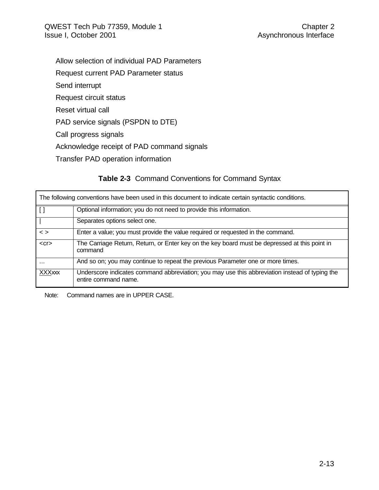- Allow selection of individual PAD Parameters
- Request current PAD Parameter status
- Send interrupt
- Request circuit status
- Reset virtual call
- PAD service signals (PSPDN to DTE)
- Call progress signals
- Acknowledge receipt of PAD command signals
- Transfer PAD operation information

#### **Table 2-3** Command Conventions for Command Syntax

|                   | The following conventions have been used in this document to indicate certain syntactic conditions.                    |
|-------------------|------------------------------------------------------------------------------------------------------------------------|
| $\lceil$ $\rceil$ | Optional information; you do not need to provide this information.                                                     |
|                   | Separates options select one.                                                                                          |
| $\leq$ $>$        | Enter a value; you must provide the value required or requested in the command.                                        |
| $<$ Cr $>$        | The Carriage Return, Return, or Enter key on the key board must be depressed at this point in<br>command               |
| $\cdots$          | And so on; you may continue to repeat the previous Parameter one or more times.                                        |
| <b>XXXxxx</b>     | Underscore indicates command abbreviation; you may use this abbreviation instead of typing the<br>entire command name. |

Note: Command names are in UPPER CASE.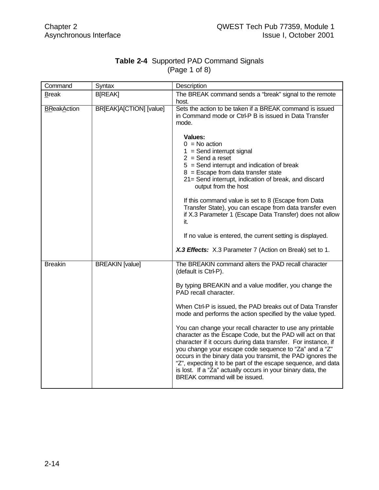#### **Table 2-4** Supported PAD Command Signals (Page 1 of 8)

| Command            | Syntax                  | Description                                                                                                                                                                                                                                                                                                                                                                                                                                                                                                                                                                                                                                                                                                                                                                      |
|--------------------|-------------------------|----------------------------------------------------------------------------------------------------------------------------------------------------------------------------------------------------------------------------------------------------------------------------------------------------------------------------------------------------------------------------------------------------------------------------------------------------------------------------------------------------------------------------------------------------------------------------------------------------------------------------------------------------------------------------------------------------------------------------------------------------------------------------------|
| <b>Break</b>       | <b>B[REAK]</b>          | The BREAK command sends a "break" signal to the remote<br>host.                                                                                                                                                                                                                                                                                                                                                                                                                                                                                                                                                                                                                                                                                                                  |
| <b>BReakAction</b> | BR[EAK]A[CTION] [value] | Sets the action to be taken if a BREAK command is issued<br>in Command mode or Ctrl-P B is issued in Data Transfer<br>mode.<br>Values:<br>$0 = No$ action<br>$1 =$ Send interrupt signal<br>$2 =$ Send a reset<br>$5 =$ Send interrupt and indication of break<br>$8 =$ Escape from data transfer state<br>21= Send interrupt, indication of break, and discard<br>output from the host<br>If this command value is set to 8 (Escape from Data<br>Transfer State), you can escape from data transfer even<br>if X.3 Parameter 1 (Escape Data Transfer) does not allow<br>it.<br>If no value is entered, the current setting is displayed.<br>X.3 Effects: X.3 Parameter 7 (Action on Break) set to 1.                                                                            |
| <b>Breakin</b>     | <b>BREAKIN</b> [value]  | The BREAKIN command alters the PAD recall character<br>(default is Ctrl-P).<br>By typing BREAKIN and a value modifier, you change the<br>PAD recall character.<br>When Ctrl-P is issued, the PAD breaks out of Data Transfer<br>mode and performs the action specified by the value typed.<br>You can change your recall character to use any printable<br>character as the Escape Code, but the PAD will act on that<br>character if it occurs during data transfer. For instance, if<br>you change your escape code sequence to "Za" and a "Z"<br>occurs in the binary data you transmit, the PAD ignores the<br>"Z", expecting it to be part of the escape sequence, and data<br>is lost. If a "Za" actually occurs in your binary data, the<br>BREAK command will be issued. |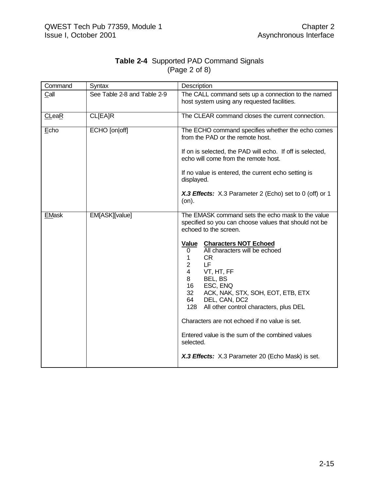| Command      | Syntax                      | Description                                                                                                                                                                                                                                                                                                       |
|--------------|-----------------------------|-------------------------------------------------------------------------------------------------------------------------------------------------------------------------------------------------------------------------------------------------------------------------------------------------------------------|
| Call         | See Table 2-8 and Table 2-9 | The CALL command sets up a connection to the named<br>host system using any requested facilities.                                                                                                                                                                                                                 |
| CLeaR        | <b>CL[EA]R</b>              | The CLEAR command closes the current connection.                                                                                                                                                                                                                                                                  |
| Echo         | ECHO [on off]               | The ECHO command specifies whether the echo comes<br>from the PAD or the remote host.                                                                                                                                                                                                                             |
|              |                             | If on is selected, the PAD will echo. If off is selected,<br>echo will come from the remote host.                                                                                                                                                                                                                 |
|              |                             | If no value is entered, the current echo setting is<br>displayed.                                                                                                                                                                                                                                                 |
|              |                             | X.3 Effects: X.3 Parameter 2 (Echo) set to 0 (off) or 1<br>(on).                                                                                                                                                                                                                                                  |
| <b>EMask</b> | EM[ASK][value]              | The EMASK command sets the echo mask to the value<br>specified so you can choose values that should not be<br>echoed to the screen.                                                                                                                                                                               |
|              |                             | Value<br><b>Characters NOT Echoed</b><br>All characters will be echoed<br>0<br>CR.<br>1<br>LF<br>$\overline{2}$<br>$\overline{4}$<br>VT, HT, FF<br>8<br>BEL, BS<br>ESC, ENQ<br>16<br>32 <sup>°</sup><br>ACK, NAK, STX, SOH, EOT, ETB, ETX<br>64<br>DEL, CAN, DC2<br>All other control characters, plus DEL<br>128 |
|              |                             | Characters are not echoed if no value is set.                                                                                                                                                                                                                                                                     |
|              |                             | Entered value is the sum of the combined values<br>selected.                                                                                                                                                                                                                                                      |
|              |                             | X.3 Effects: X.3 Parameter 20 (Echo Mask) is set.                                                                                                                                                                                                                                                                 |

#### **Table 2-4** Supported PAD Command Signals (Page 2 of 8)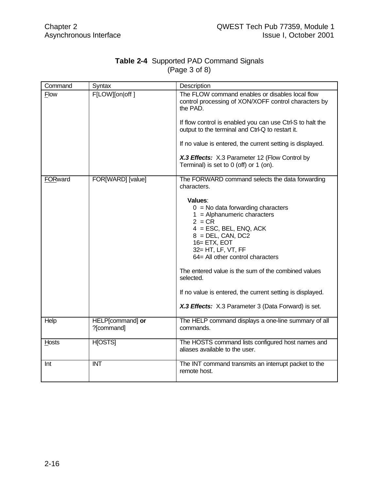| Command     | Syntax                         | Description                                                                                                                                                                                                                                                                                                                                                                                                                                                                          |
|-------------|--------------------------------|--------------------------------------------------------------------------------------------------------------------------------------------------------------------------------------------------------------------------------------------------------------------------------------------------------------------------------------------------------------------------------------------------------------------------------------------------------------------------------------|
| <b>Flow</b> | F[LOW][on off]                 | The FLOW command enables or disables local flow<br>control processing of XON/XOFF control characters by<br>the PAD.<br>If flow control is enabled you can use Ctrl-S to halt the<br>output to the terminal and Ctrl-Q to restart it.<br>If no value is entered, the current setting is displayed.<br>X.3 Effects: X.3 Parameter 12 (Flow Control by<br>Terminal) is set to 0 (off) or 1 (on).                                                                                        |
| FORward     | FOR[WARD] [value]              | The FORWARD command selects the data forwarding<br>characters.<br>Values:<br>$0 = No$ data forwarding characters<br>$1 =$ Alphanumeric characters<br>$2 = CR$<br>$4 = ESC$ , BEL, ENQ, ACK<br>$8 = DEL$ , CAN, DC2<br>16= ETX, EOT<br>32= HT, LF, VT, FF<br>64= All other control characters<br>The entered value is the sum of the combined values<br>selected.<br>If no value is entered, the current setting is displayed.<br>X.3 Effects: X.3 Parameter 3 (Data Forward) is set. |
| Help        | HELP[command] or<br>?[command] | The HELP command displays a one-line summary of all<br>commands.                                                                                                                                                                                                                                                                                                                                                                                                                     |
| Hosts       | <b>H</b> [OSTS]                | The HOSTS command lists configured host names and<br>aliases available to the user.                                                                                                                                                                                                                                                                                                                                                                                                  |
| Int         | <b>INT</b>                     | The INT command transmits an interrupt packet to the<br>remote host.                                                                                                                                                                                                                                                                                                                                                                                                                 |

#### **Table 2-4** Supported PAD Command Signals (Page 3 of 8)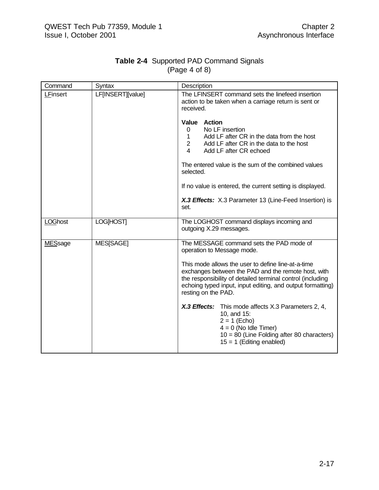| Command        | Syntax            | Description                                                                                                                                                                                                                                                                                                                            |
|----------------|-------------------|----------------------------------------------------------------------------------------------------------------------------------------------------------------------------------------------------------------------------------------------------------------------------------------------------------------------------------------|
| LFinsert       | LF[INSERT][value] | The LFINSERT command sets the linefeed insertion<br>action to be taken when a carriage return is sent or<br>received.                                                                                                                                                                                                                  |
|                |                   | <b>Action</b><br><b>Value</b><br>No LF insertion<br>0<br>Add LF after CR in the data from the host<br>$\mathbf{1}$<br>Add LF after CR in the data to the host<br>$\overline{2}$<br>4<br>Add LF after CR echoed                                                                                                                         |
|                |                   | The entered value is the sum of the combined values<br>selected.                                                                                                                                                                                                                                                                       |
|                |                   | If no value is entered, the current setting is displayed.                                                                                                                                                                                                                                                                              |
|                |                   | X.3 Effects: X.3 Parameter 13 (Line-Feed Insertion) is<br>set.                                                                                                                                                                                                                                                                         |
| <b>LOGhost</b> | <b>LOG[HOST]</b>  | The LOGHOST command displays incoming and<br>outgoing X.29 messages.                                                                                                                                                                                                                                                                   |
| <b>MESsage</b> | MES[SAGE]         | The MESSAGE command sets the PAD mode of<br>operation to Message mode.<br>This mode allows the user to define line-at-a-time<br>exchanges between the PAD and the remote host, with<br>the responsibility of detailed terminal control (including<br>echoing typed input, input editing, and output formatting)<br>resting on the PAD. |
|                |                   | X.3 Effects: This mode affects X.3 Parameters 2, 4,<br>10, and 15:<br>$2 = 1$ (Echo)<br>$4 = 0$ (No Idle Timer)<br>$10 = 80$ (Line Folding after 80 characters)<br>$15 = 1$ (Editing enabled)                                                                                                                                          |

#### **Table 2-4** Supported PAD Command Signals (Page 4 of 8)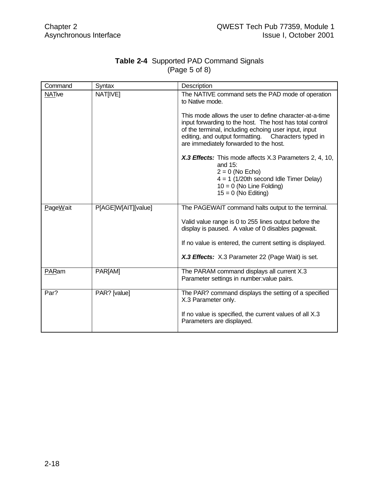|               | <b>Table 2-4 Supported PAD Command Signals</b> |
|---------------|------------------------------------------------|
| (Page 5 of 8) |                                                |

| Command       | Syntax              | Description                                                                                                                                                                                                                                                                                                                                                                                                                                                                                                                                        |
|---------------|---------------------|----------------------------------------------------------------------------------------------------------------------------------------------------------------------------------------------------------------------------------------------------------------------------------------------------------------------------------------------------------------------------------------------------------------------------------------------------------------------------------------------------------------------------------------------------|
| <b>NATive</b> | NAT[IVE]            | The NATIVE command sets the PAD mode of operation<br>to Native mode.<br>This mode allows the user to define character-at-a-time<br>input forwarding to the host. The host has total control<br>of the terminal, including echoing user input, input<br>editing, and output formatting. Characters typed in<br>are immediately forwarded to the host.<br>X.3 Effects: This mode affects X.3 Parameters 2, 4, 10,<br>and 15:<br>$2 = 0$ (No Echo)<br>$4 = 1$ (1/20th second Idle Timer Delay)<br>$10 = 0$ (No Line Folding)<br>$15 = 0$ (No Editing) |
| PageWait      | P[AGE]W[AIT][value] | The PAGEWAIT command halts output to the terminal.<br>Valid value range is 0 to 255 lines output before the<br>display is paused. A value of 0 disables pagewait.<br>If no value is entered, the current setting is displayed.<br>X.3 Effects: X.3 Parameter 22 (Page Wait) is set.                                                                                                                                                                                                                                                                |
| PARam         | PARJAM1             | The PARAM command displays all current X.3<br>Parameter settings in number: value pairs.                                                                                                                                                                                                                                                                                                                                                                                                                                                           |
| Par?          | PAR? [value]        | The PAR? command displays the setting of a specified<br>X.3 Parameter only.<br>If no value is specified, the current values of all X.3<br>Parameters are displayed.                                                                                                                                                                                                                                                                                                                                                                                |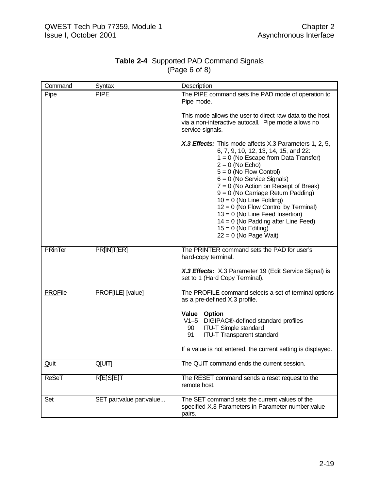| Command        | Syntax                  | Description                                                                                                                                                                                                                                                                                                                                                                                                                                                                                                             |
|----------------|-------------------------|-------------------------------------------------------------------------------------------------------------------------------------------------------------------------------------------------------------------------------------------------------------------------------------------------------------------------------------------------------------------------------------------------------------------------------------------------------------------------------------------------------------------------|
| Pipe           | <b>PIPE</b>             | The PIPE command sets the PAD mode of operation to<br>Pipe mode.                                                                                                                                                                                                                                                                                                                                                                                                                                                        |
|                |                         | This mode allows the user to direct raw data to the host<br>via a non-interactive autocall. Pipe mode allows no<br>service signals.                                                                                                                                                                                                                                                                                                                                                                                     |
|                |                         | X.3 Effects: This mode affects X.3 Parameters 1, 2, 5,<br>6, 7, 9, 10, 12, 13, 14, 15, and 22:<br>$1 = 0$ (No Escape from Data Transfer)<br>$2 = 0$ (No Echo)<br>$5 = 0$ (No Flow Control)<br>$6 = 0$ (No Service Signals)<br>$7 = 0$ (No Action on Receipt of Break)<br>$9 = 0$ (No Carriage Return Padding)<br>$10 = 0$ (No Line Folding)<br>$12 = 0$ (No Flow Control by Terminal)<br>$13 = 0$ (No Line Feed Insertion)<br>$14 = 0$ (No Padding after Line Feed)<br>$15 = 0$ (No Editing)<br>$22 = 0$ (No Page Wait) |
| PRinTer        | <b>PRINITIERI</b>       | The PRINTER command sets the PAD for user's<br>hard-copy terminal.                                                                                                                                                                                                                                                                                                                                                                                                                                                      |
|                |                         | X.3 Effects: X.3 Parameter 19 (Edit Service Signal) is<br>set to 1 (Hard Copy Terminal).                                                                                                                                                                                                                                                                                                                                                                                                                                |
| <b>PROFile</b> | PROF[ILE] [value]       | The PROFILE command selects a set of terminal options<br>as a pre-defined X.3 profile.                                                                                                                                                                                                                                                                                                                                                                                                                                  |
|                |                         | Value Option<br>V1-5 DIGIPAC®-defined standard profiles<br><b>ITU-T Simple standard</b><br>90<br><b>ITU-T Transparent standard</b><br>91                                                                                                                                                                                                                                                                                                                                                                                |
|                |                         | If a value is not entered, the current setting is displayed.                                                                                                                                                                                                                                                                                                                                                                                                                                                            |
| Quit           | <b>Q[UIT]</b>           | The QUIT command ends the current session.                                                                                                                                                                                                                                                                                                                                                                                                                                                                              |
| ReSeT          | <b>R[E]S[E]T</b>        | The RESET command sends a reset request to the<br>remote host.                                                                                                                                                                                                                                                                                                                                                                                                                                                          |
| Set            | SET par:value par:value | The SET command sets the current values of the<br>specified X.3 Parameters in Parameter number:value<br>pairs.                                                                                                                                                                                                                                                                                                                                                                                                          |

#### **Table 2-4** Supported PAD Command Signals (Page 6 of 8)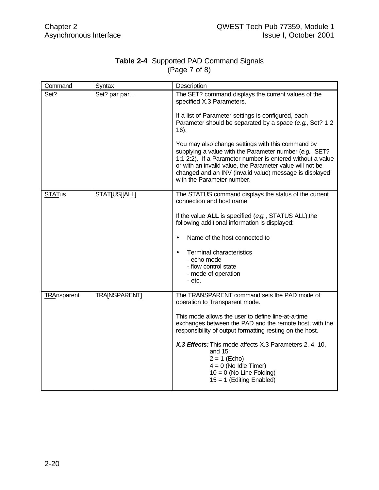| <b>Table 2-4</b> Supported PAD Command Signals |  |  |
|------------------------------------------------|--|--|
| (Page 7 of 8)                                  |  |  |

| Command            | Syntax               | Description                                                                                                                                                                                                                                                                                                                      |
|--------------------|----------------------|----------------------------------------------------------------------------------------------------------------------------------------------------------------------------------------------------------------------------------------------------------------------------------------------------------------------------------|
| Set?               | Set? par par         | The SET? command displays the current values of the<br>specified X.3 Parameters.                                                                                                                                                                                                                                                 |
|                    |                      | If a list of Parameter settings is configured, each<br>Parameter should be separated by a space (e.g., Set? 1 2<br>$16$ ).                                                                                                                                                                                                       |
|                    |                      | You may also change settings with this command by<br>supplying a value with the Parameter number (e.g., SET?<br>1:1 2:2). If a Parameter number is entered without a value<br>or with an invalid value, the Parameter value will not be<br>changed and an INV (invalid value) message is displayed<br>with the Parameter number. |
| <b>STATus</b>      | <b>STATJUS  ALL </b> | The STATUS command displays the status of the current<br>connection and host name.                                                                                                                                                                                                                                               |
|                    |                      | If the value ALL is specified (e.g., STATUS ALL), the<br>following additional information is displayed:                                                                                                                                                                                                                          |
|                    |                      | Name of the host connected to<br>$\bullet$                                                                                                                                                                                                                                                                                       |
|                    |                      | <b>Terminal characteristics</b><br>$\bullet$<br>- echo mode                                                                                                                                                                                                                                                                      |
|                    |                      | - flow control state                                                                                                                                                                                                                                                                                                             |
|                    |                      | - mode of operation<br>- etc.                                                                                                                                                                                                                                                                                                    |
| <b>TRAnsparent</b> | TRA[NSPARENT]        | The TRANSPARENT command sets the PAD mode of<br>operation to Transparent mode.                                                                                                                                                                                                                                                   |
|                    |                      | This mode allows the user to define line-at-a-time<br>exchanges between the PAD and the remote host, with the<br>responsibility of output formatting resting on the host.                                                                                                                                                        |
|                    |                      | X.3 Effects: This mode affects X.3 Parameters 2, 4, 10,<br>and $15$ :<br>$2 = 1$ (Echo)<br>$4 = 0$ (No Idle Timer)<br>$10 = 0$ (No Line Folding)<br>$15 = 1$ (Editing Enabled)                                                                                                                                                   |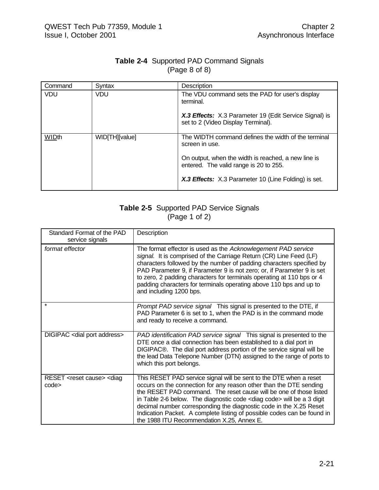| <b>Table 2-4 Supported PAD Command Signals</b> |  |
|------------------------------------------------|--|
| (Page 8 of 8)                                  |  |

| Command    | Syntax         | Description                                                                                   |
|------------|----------------|-----------------------------------------------------------------------------------------------|
| <b>VDU</b> | <b>VDU</b>     | The VDU command sets the PAD for user's display<br>terminal.                                  |
|            |                | X.3 Effects: X.3 Parameter 19 (Edit Service Signal) is<br>set to 2 (Video Display Terminal).  |
| WIDth      | WID[TH][value] | The WIDTH command defines the width of the terminal<br>screen in use.                         |
|            |                | On output, when the width is reached, a new line is<br>entered. The valid range is 20 to 255. |
|            |                | X.3 Effects: X.3 Parameter 10 (Line Folding) is set.                                          |

### **Table 2-5** Supported PAD Service Signals  $(Page 1 of 2)$

| Standard Format of the PAD<br>service signals              | Description                                                                                                                                                                                                                                                                                                                                                                                                                                                                              |
|------------------------------------------------------------|------------------------------------------------------------------------------------------------------------------------------------------------------------------------------------------------------------------------------------------------------------------------------------------------------------------------------------------------------------------------------------------------------------------------------------------------------------------------------------------|
| format effector                                            | The format effector is used as the Acknowlegement PAD service<br>signal. It is comprised of the Carriage Return (CR) Line Feed (LF)<br>characters followed by the number of padding characters specified by<br>PAD Parameter 9, if Parameter 9 is not zero; or, if Parameter 9 is set<br>to zero, 2 padding characters for terminals operating at 110 bps or 4<br>padding characters for terminals operating above 110 bps and up to<br>and including 1200 bps.                          |
|                                                            | Prompt PAD service signal This signal is presented to the DTE, if<br>PAD Parameter 6 is set to 1, when the PAD is in the command mode<br>and ready to receive a command.                                                                                                                                                                                                                                                                                                                 |
| DIGIPAC <dial address="" port=""></dial>                   | PAD identification PAD service signal This signal is presented to the<br>DTE once a dial connection has been established to a dial port in<br>DIGIPAC®. The dial port address portion of the service signal will be<br>the lead Data Telepone Number (DTN) assigned to the range of ports to<br>which this port belongs.                                                                                                                                                                 |
| RESET <reset cause=""> <diag<br>code&gt;</diag<br></reset> | This RESET PAD service signal will be sent to the DTE when a reset<br>occurs on the connection for any reason other than the DTE sending<br>the RESET PAD command. The reset cause will be one of those listed<br>in Table 2-6 below. The diagnostic code < diag code > will be a 3 digit<br>decimal number corresponding the diagnostic code in the X.25 Reset<br>Indication Packet. A complete listing of possible codes can be found in<br>the 1988 ITU Recommendation X.25, Annex E. |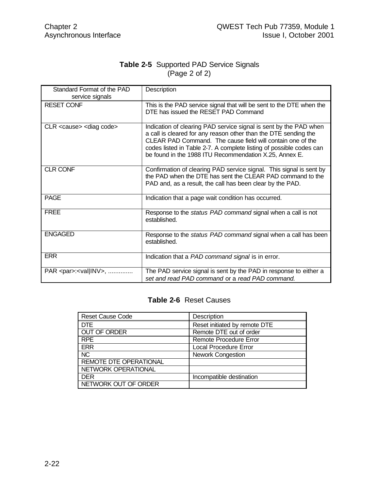#### **Table 2-5** Supported PAD Service Signals (Page 2 of 2)

| Standard Format of the PAD<br>service signals | Description                                                                                                                                                                                                                                                                                                                         |
|-----------------------------------------------|-------------------------------------------------------------------------------------------------------------------------------------------------------------------------------------------------------------------------------------------------------------------------------------------------------------------------------------|
| <b>RESET CONF</b>                             | This is the PAD service signal that will be sent to the DTE when the<br>DTE has issued the RESET PAD Command                                                                                                                                                                                                                        |
| CLR <cause> <diag code=""></diag></cause>     | Indication of clearing PAD service signal is sent by the PAD when<br>a call is cleared for any reason other than the DTE sending the<br>CLEAR PAD Command. The cause field will contain one of the<br>codes listed in Table 2-7. A complete listing of possible codes can<br>be found in the 1988 ITU Recommendation X.25, Annex E. |
| <b>CLR CONF</b>                               | Confirmation of clearing PAD service signal. This signal is sent by<br>the PAD when the DTE has sent the CLEAR PAD command to the<br>PAD and, as a result, the call has been clear by the PAD.                                                                                                                                      |
| <b>PAGE</b>                                   | Indication that a page wait condition has occurred.                                                                                                                                                                                                                                                                                 |
| <b>FREE</b>                                   | Response to the <i>status PAD command</i> signal when a call is not<br>established.                                                                                                                                                                                                                                                 |
| <b>ENGAGED</b>                                | Response to the status PAD command signal when a call has been<br>established.                                                                                                                                                                                                                                                      |
| <b>ERR</b>                                    | Indication that a PAD command signal is in error.                                                                                                                                                                                                                                                                                   |
| PAR <par>:<val inv>, </val inv></par>         | The PAD service signal is sent by the PAD in response to either a<br>set and read PAD command or a read PAD command.                                                                                                                                                                                                                |

#### **Table 2-6** Reset Causes

| <b>Reset Cause Code</b>       | Description                   |
|-------------------------------|-------------------------------|
| <b>DTE</b>                    | Reset initiated by remote DTE |
| <b>OUT OF ORDER</b>           | Remote DTE out of order       |
| <b>RPE</b>                    | Remote Procedure Error        |
| <b>ERR</b>                    | <b>Local Procedure Error</b>  |
| <b>NC</b>                     | <b>Nework Congestion</b>      |
| <b>REMOTE DTE OPERATIONAL</b> |                               |
| NETWORK OPERATIONAL           |                               |
| <b>DER</b>                    | Incompatible destination      |
| NETWORK OUT OF ORDER          |                               |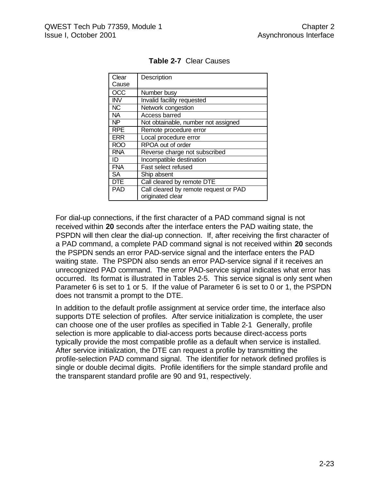| Clear      | Description                           |
|------------|---------------------------------------|
| Cause      |                                       |
| <b>OCC</b> | Number busy                           |
| <b>INV</b> | Invalid facility requested            |
| <b>NC</b>  | Network congestion                    |
| <b>NA</b>  | Access barred                         |
| <b>NP</b>  | Not obtainable, number not assigned   |
| <b>RPE</b> | Remote procedure error                |
| <b>ERR</b> | Local procedure error                 |
| <b>ROO</b> | RPOA out of order                     |
| <b>RNA</b> | Reverse charge not subscribed         |
| ID         | Incompatible destination              |
| <b>FNA</b> | <b>Fast select refused</b>            |
| <b>SA</b>  | Ship absent                           |
| <b>DTE</b> | Call cleared by remote DTE            |
| <b>PAD</b> | Call cleared by remote request or PAD |
|            | originated clear                      |

**Table 2-7** Clear Causes

For dial-up connections, if the first character of a PAD command signal is not received within **20** seconds after the interface enters the PAD waiting state, the PSPDN will then clear the dial-up connection. If, after receiving the first character of a PAD command, a complete PAD command signal is not received within **20** seconds the PSPDN sends an error PAD-service signal and the interface enters the PAD waiting state. The PSPDN also sends an error PAD-service signal if it receives an unrecognized PAD command. The error PAD-service signal indicates what error has occurred. Its format is illustrated in Tables 2-5. This service signal is only sent when Parameter 6 is set to 1 or 5. If the value of Parameter 6 is set to 0 or 1, the PSPDN does not transmit a prompt to the DTE.

In addition to the default profile assignment at service order time, the interface also supports DTE selection of profiles. After service initialization is complete, the user can choose one of the user profiles as specified in Table 2-1 Generally, profile selection is more applicable to dial-access ports because direct-access ports typically provide the most compatible profile as a default when service is installed. After service initialization, the DTE can request a profile by transmitting the profile-selection PAD command signal. The identifier for network defined profiles is single or double decimal digits. Profile identifiers for the simple standard profile and the transparent standard profile are 90 and 91, respectively.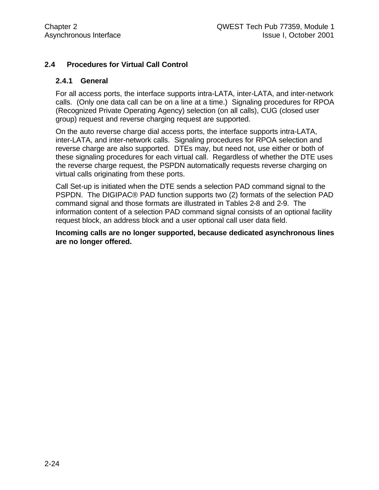#### **2.4 Procedures for Virtual Call Control**

#### **2.4.1 General**

For all access ports, the interface supports intra-LATA, inter-LATA, and inter-network calls. (Only one data call can be on a line at a time.) Signaling procedures for RPOA (Recognized Private Operating Agency) selection (on all calls), CUG (closed user group) request and reverse charging request are supported.

On the auto reverse charge dial access ports, the interface supports intra-LATA, inter-LATA, and inter-network calls. Signaling procedures for RPOA selection and reverse charge are also supported. DTEs may, but need not, use either or both of these signaling procedures for each virtual call. Regardless of whether the DTE uses the reverse charge request, the PSPDN automatically requests reverse charging on virtual calls originating from these ports.

Call Set-up is initiated when the DTE sends a selection PAD command signal to the PSPDN. The DIGIPAC® PAD function supports two (2) formats of the selection PAD command signal and those formats are illustrated in Tables 2-8 and 2-9. The information content of a selection PAD command signal consists of an optional facility request block, an address block and a user optional call user data field.

**Incoming calls are no longer supported, because dedicated asynchronous lines are no longer offered.**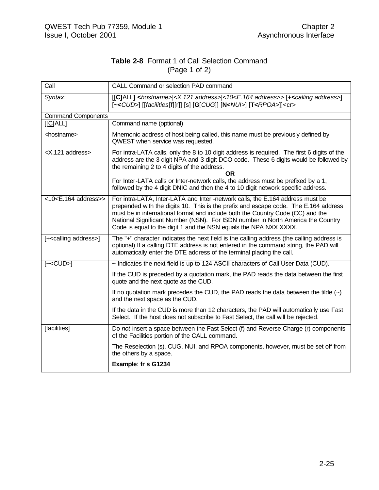#### **Table 2-8** Format 1 of Call Selection Command (Page 1 of 2)

| Call                               | CALL Command or selection PAD command                                                                                                                                                                                                                                                                                                                                                                           |
|------------------------------------|-----------------------------------------------------------------------------------------------------------------------------------------------------------------------------------------------------------------------------------------------------------------------------------------------------------------------------------------------------------------------------------------------------------------|
| Syntax:                            | [[C]ALL] <hostname> <x.121 address=""> &lt;10<e.164 address="">&gt; [+<calling address="">]<br/>[~<cud>] [[facilities[f][r]] [s] [G[CUG]] [N<nui>] [T<rpoa>]]<cr></cr></rpoa></nui></cud></calling></e.164></x.121></hostname>                                                                                                                                                                                  |
| <b>Command Components</b>          |                                                                                                                                                                                                                                                                                                                                                                                                                 |
| [ C ALL]                           | Command name (optional)                                                                                                                                                                                                                                                                                                                                                                                         |
| <hostname></hostname>              | Mnemonic address of host being called, this name must be previously defined by<br>QWEST when service was requested.                                                                                                                                                                                                                                                                                             |
| <x.121 address=""></x.121>         | For intra-LATA calls, only the 8 to 10 digit address is required. The first 6 digits of the<br>address are the 3 digit NPA and 3 digit DCO code. These 6 digits would be followed by<br>the remaining 2 to 4 digits of the address.<br>OR.                                                                                                                                                                      |
|                                    | For Inter-LATA calls or Inter-network calls, the address must be prefixed by a 1,<br>followed by the 4 digit DNIC and then the 4 to 10 digit network specific address.                                                                                                                                                                                                                                          |
| <10 <e.164 address="">&gt;</e.164> | For intra-LATA, Inter-LATA and Inter -network calls, the E.164 address must be<br>prepended with the digits 10. This is the prefix and escape code. The E.164 address<br>must be in international format and include both the Country Code (CC) and the<br>National Significant Number (NSN). For ISDN number in North America the Country<br>Code is equal to the digit 1 and the NSN equals the NPA NXX XXXX. |
| [+ <calling address="">]</calling> | The "+" character indicates the next field is the calling address (the calling address is<br>optional) If a calling DTE address is not entered in the command string, the PAD will<br>automatically enter the DTE address of the terminal placing the call.                                                                                                                                                     |
| $[-cCD>]$                          | ~ Indicates the next field is up to 124 ASCII characters of Call User Data (CUD).                                                                                                                                                                                                                                                                                                                               |
|                                    | If the CUD is preceded by a quotation mark, the PAD reads the data between the first<br>quote and the next quote as the CUD.                                                                                                                                                                                                                                                                                    |
|                                    | If no quotation mark precedes the CUD, the PAD reads the data between the tilde $(\sim)$<br>and the next space as the CUD.                                                                                                                                                                                                                                                                                      |
|                                    | If the data in the CUD is more than 12 characters, the PAD will automatically use Fast<br>Select. If the host does not subscribe to Fast Select, the call will be rejected.                                                                                                                                                                                                                                     |
| [facilities]                       | Do not insert a space between the Fast Select (f) and Reverse Charge (r) components<br>of the Facilities portion of the CALL command.                                                                                                                                                                                                                                                                           |
|                                    | The Reselection (s), CUG, NUI, and RPOA components, however, must be set off from<br>the others by a space.                                                                                                                                                                                                                                                                                                     |
|                                    | Example: fr s G1234                                                                                                                                                                                                                                                                                                                                                                                             |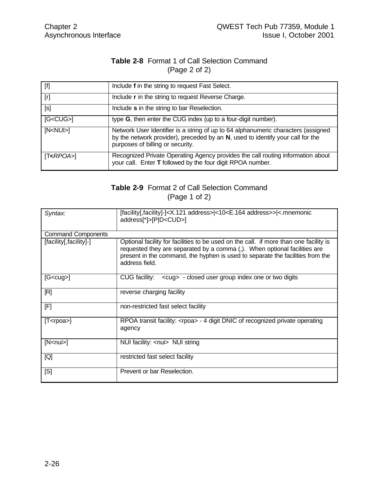#### **Table 2-8** Format 1 of Call Selection Command (Page 2 of 2)

| $[f]$              | Include f in the string to request Fast Select.                                                                                                                                                         |
|--------------------|---------------------------------------------------------------------------------------------------------------------------------------------------------------------------------------------------------|
| [r]                | Include r in the string to request Reverse Charge.                                                                                                                                                      |
| [s]                | Include s in the string to bar Reselection.                                                                                                                                                             |
| $[G<$ CU $G$ > $]$ | type G, then enter the CUG index (up to a four-digit number).                                                                                                                                           |
| [N <nu></nu>       | Network User Identifier is a string of up to 64 alphanumeric characters (assigned<br>by the network provider), preceded by an N, used to identify your call for the<br>purposes of billing or security. |
| $[T<$ RPOA>        | Recognized Private Operating Agency provides the call routing information about<br>your call. Enter T followed by the four digit RPOA number.                                                           |

### **Table 2-9** Format 2 of Call Selection Command (Page 1 of 2)

| Syntax:                   | [facility[,facility]-] <x.121 address=""> &lt;10<e.164 address="">&gt; &lt;.mnemonic<br/>address[*]&gt;[P D<cud>]</cud></e.164></x.121>                                                                                                                                |
|---------------------------|------------------------------------------------------------------------------------------------------------------------------------------------------------------------------------------------------------------------------------------------------------------------|
| <b>Command Components</b> |                                                                                                                                                                                                                                                                        |
| [facility], facility]-]   | Optional facility for facilities to be used on the call. if more than one facility is<br>requested they are separated by a comma (,). When optional facilities are<br>present in the command, the hyphen is used to separate the facilities from the<br>address field. |
| $[G$ ]                    | CUG facility: < cug> - closed user group index one or two digits                                                                                                                                                                                                       |
| [R]                       | reverse charging facility                                                                                                                                                                                                                                              |
| [F]                       | non-restricted fast select facility                                                                                                                                                                                                                                    |
| $[T<$ rpoa>}              | RPOA transit facility: <rpoa> - 4 digit DNIC of recognized private operating<br/>agency</rpoa>                                                                                                                                                                         |
| [N <sub>nnu</sub> ]       | NUI facility: <nui> NUI string</nui>                                                                                                                                                                                                                                   |
| [Q]                       | restricted fast select facility                                                                                                                                                                                                                                        |
| [S]                       | Prevent or bar Reselection.                                                                                                                                                                                                                                            |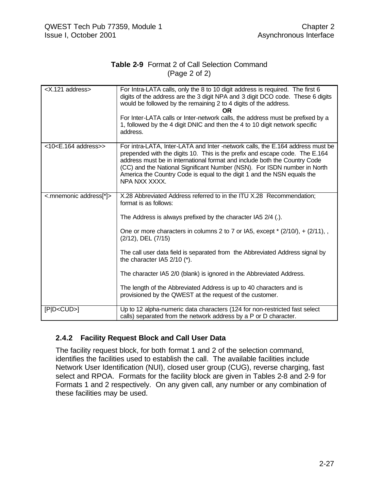#### **Table 2-9** Format 2 of Call Selection Command (Page 2 of 2)

| <x.121 address=""></x.121>   | For Intra-LATA calls, only the 8 to 10 digit address is required. The first 6<br>digits of the address are the 3 digit NPA and 3 digit DCO code. These 6 digits<br>would be followed by the remaining 2 to 4 digits of the address.<br>OR.<br>For Inter-LATA calls or Inter-network calls, the address must be prefixed by a<br>1, followed by the 4 digit DNIC and then the 4 to 10 digit network specific<br>address.                                                                                                                                                                             |
|------------------------------|-----------------------------------------------------------------------------------------------------------------------------------------------------------------------------------------------------------------------------------------------------------------------------------------------------------------------------------------------------------------------------------------------------------------------------------------------------------------------------------------------------------------------------------------------------------------------------------------------------|
| $<$ 10 $<$ E.164 address $>$ | For intra-LATA, Inter-LATA and Inter -network calls, the E.164 address must be<br>prepended with the digits 10. This is the prefix and escape code. The E.164<br>address must be in international format and include both the Country Code<br>(CC) and the National Significant Number (NSN). For ISDN number in North<br>America the Country Code is equal to the digit 1 and the NSN equals the<br>NPA NXX XXXX.                                                                                                                                                                                  |
| <.mnemonic address[*]>       | X.28 Abbreviated Address referred to in the ITU X.28 Recommendation;<br>format is as follows:<br>The Address is always prefixed by the character IA5 2/4 (.).<br>One or more characters in columns 2 to 7 or IA5, except $*(2/10)$ , + $(2/11)$ , ,<br>(2/12), DEL (7/15)<br>The call user data field is separated from the Abbreviated Address signal by<br>the character IA5 2/10 (*).<br>The character IA5 2/0 (blank) is ignored in the Abbreviated Address.<br>The length of the Abbreviated Address is up to 40 characters and is<br>provisioned by the QWEST at the request of the customer. |
| [PID < CUD >]                | Up to 12 alpha-numeric data characters (124 for non-restricted fast select<br>calls) separated from the network address by a P or D character.                                                                                                                                                                                                                                                                                                                                                                                                                                                      |

#### **2.4.2 Facility Request Block and Call User Data**

The facility request block, for both format 1 and 2 of the selection command, identifies the facilities used to establish the call. The available facilities include Network User Identification (NUI), closed user group (CUG), reverse charging, fast select and RPOA. Formats for the facility block are given in Tables 2-8 and 2-9 for Formats 1 and 2 respectively. On any given call, any number or any combination of these facilities may be used.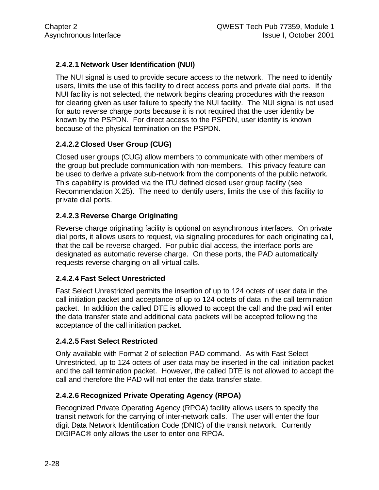## **2.4.2.1 Network User Identification (NUI)**

The NUI signal is used to provide secure access to the network. The need to identify users, limits the use of this facility to direct access ports and private dial ports. If the NUI facility is not selected, the network begins clearing procedures with the reason for clearing given as user failure to specify the NUI facility. The NUI signal is not used for auto reverse charge ports because it is not required that the user identity be known by the PSPDN. For direct access to the PSPDN, user identity is known because of the physical termination on the PSPDN.

## **2.4.2.2 Closed User Group (CUG)**

Closed user groups (CUG) allow members to communicate with other members of the group but preclude communication with non-members. This privacy feature can be used to derive a private sub-network from the components of the public network. This capability is provided via the ITU defined closed user group facility (see Recommendation X.25). The need to identify users, limits the use of this facility to private dial ports.

## **2.4.2.3 Reverse Charge Originating**

Reverse charge originating facility is optional on asynchronous interfaces. On private dial ports, it allows users to request, via signaling procedures for each originating call, that the call be reverse charged. For public dial access, the interface ports are designated as automatic reverse charge. On these ports, the PAD automatically requests reverse charging on all virtual calls.

### **2.4.2.4 Fast Select Unrestricted**

Fast Select Unrestricted permits the insertion of up to 124 octets of user data in the call initiation packet and acceptance of up to 124 octets of data in the call termination packet. In addition the called DTE is allowed to accept the call and the pad will enter the data transfer state and additional data packets will be accepted following the acceptance of the call initiation packet.

### **2.4.2.5 Fast Select Restricted**

Only available with Format 2 of selection PAD command. As with Fast Select Unrestricted, up to 124 octets of user data may be inserted in the call initiation packet and the call termination packet. However, the called DTE is not allowed to accept the call and therefore the PAD will not enter the data transfer state.

### **2.4.2.6 Recognized Private Operating Agency (RPOA)**

Recognized Private Operating Agency (RPOA) facility allows users to specify the transit network for the carrying of inter-network calls. The user will enter the four digit Data Network Identification Code (DNIC) of the transit network. Currently DIGIPAC® only allows the user to enter one RPOA.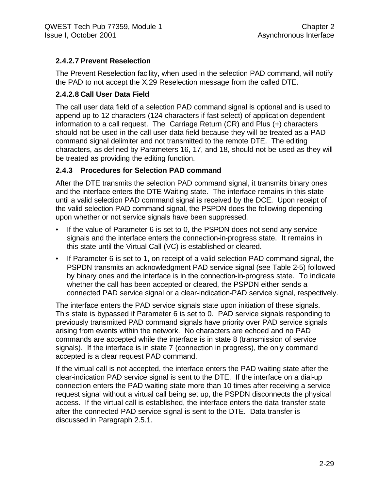### **2.4.2.7 Prevent Reselection**

The Prevent Reselection facility, when used in the selection PAD command, will notify the PAD to not accept the X.29 Reselection message from the called DTE.

### **2.4.2.8 Call User Data Field**

The call user data field of a selection PAD command signal is optional and is used to append up to 12 characters (124 characters if fast select) of application dependent information to a call request. The Carriage Return (CR) and Plus (+) characters should not be used in the call user data field because they will be treated as a PAD command signal delimiter and not transmitted to the remote DTE. The editing characters, as defined by Parameters 16, 17, and 18, should not be used as they will be treated as providing the editing function.

## **2.4.3 Procedures for Selection PAD command**

After the DTE transmits the selection PAD command signal, it transmits binary ones and the interface enters the DTE Waiting state. The interface remains in this state until a valid selection PAD command signal is received by the DCE. Upon receipt of the valid selection PAD command signal, the PSPDN does the following depending upon whether or not service signals have been suppressed.

- If the value of Parameter 6 is set to 0, the PSPDN does not send any service signals and the interface enters the connection-in-progress state. It remains in this state until the Virtual Call (VC) is established or cleared.
- If Parameter 6 is set to 1, on receipt of a valid selection PAD command signal, the PSPDN transmits an acknowledgment PAD service signal (see Table 2-5) followed by binary ones and the interface is in the connection-in-progress state. To indicate whether the call has been accepted or cleared, the PSPDN either sends a connected PAD service signal or a clear-indication-PAD service signal, respectively.

The interface enters the PAD service signals state upon initiation of these signals. This state is bypassed if Parameter 6 is set to 0. PAD service signals responding to previously transmitted PAD command signals have priority over PAD service signals arising from events within the network. No characters are echoed and no PAD commands are accepted while the interface is in state 8 (transmission of service signals). If the interface is in state 7 (connection in progress), the only command accepted is a clear request PAD command.

If the virtual call is not accepted, the interface enters the PAD waiting state after the clear-indication PAD service signal is sent to the DTE. If the interface on a dial-up connection enters the PAD waiting state more than 10 times after receiving a service request signal without a virtual call being set up, the PSPDN disconnects the physical access. If the virtual call is established, the interface enters the data transfer state after the connected PAD service signal is sent to the DTE. Data transfer is discussed in Paragraph 2.5.1.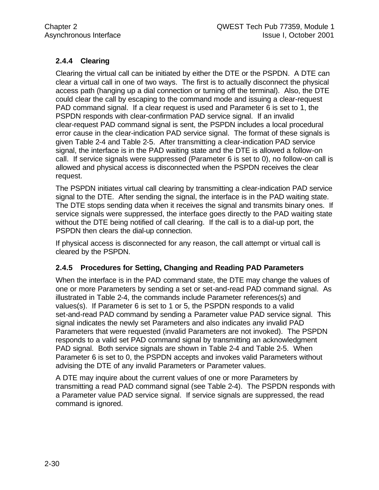# **2.4.4 Clearing**

Clearing the virtual call can be initiated by either the DTE or the PSPDN. A DTE can clear a virtual call in one of two ways. The first is to actually disconnect the physical access path (hanging up a dial connection or turning off the terminal). Also, the DTE could clear the call by escaping to the command mode and issuing a clear-request PAD command signal. If a clear request is used and Parameter 6 is set to 1, the PSPDN responds with clear-confirmation PAD service signal. If an invalid clear-request PAD command signal is sent, the PSPDN includes a local procedural error cause in the clear-indication PAD service signal. The format of these signals is given Table 2-4 and Table 2-5. After transmitting a clear-indication PAD service signal, the interface is in the PAD waiting state and the DTE is allowed a follow-on call. If service signals were suppressed (Parameter 6 is set to 0), no follow-on call is allowed and physical access is disconnected when the PSPDN receives the clear request.

The PSPDN initiates virtual call clearing by transmitting a clear-indication PAD service signal to the DTE. After sending the signal, the interface is in the PAD waiting state. The DTE stops sending data when it receives the signal and transmits binary ones. If service signals were suppressed, the interface goes directly to the PAD waiting state without the DTE being notified of call clearing. If the call is to a dial-up port, the PSPDN then clears the dial-up connection.

If physical access is disconnected for any reason, the call attempt or virtual call is cleared by the PSPDN.

### **2.4.5 Procedures for Setting, Changing and Reading PAD Parameters**

When the interface is in the PAD command state, the DTE may change the values of one or more Parameters by sending a set or set-and-read PAD command signal. As illustrated in Table 2-4, the commands include Parameter references(s) and values(s). If Parameter 6 is set to 1 or 5, the PSPDN responds to a valid set-and-read PAD command by sending a Parameter value PAD service signal. This signal indicates the newly set Parameters and also indicates any invalid PAD Parameters that were requested (invalid Parameters are not invoked). The PSPDN responds to a valid set PAD command signal by transmitting an acknowledgment PAD signal. Both service signals are shown in Table 2-4 and Table 2-5. When Parameter 6 is set to 0, the PSPDN accepts and invokes valid Parameters without advising the DTE of any invalid Parameters or Parameter values.

A DTE may inquire about the current values of one or more Parameters by transmitting a read PAD command signal (see Table 2-4). The PSPDN responds with a Parameter value PAD service signal. If service signals are suppressed, the read command is ignored.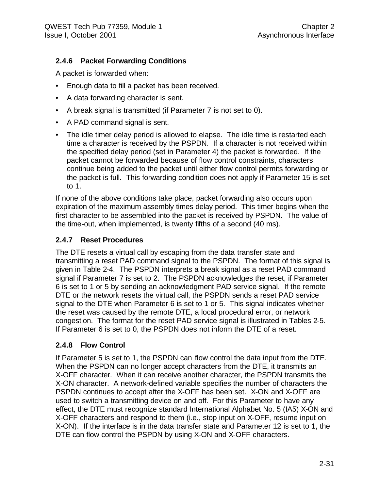# **2.4.6 Packet Forwarding Conditions**

A packet is forwarded when:

- Enough data to fill a packet has been received.
- A data forwarding character is sent.
- A break signal is transmitted (if Parameter 7 is not set to 0).
- A PAD command signal is sent.
- The idle timer delay period is allowed to elapse. The idle time is restarted each time a character is received by the PSPDN. If a character is not received within the specified delay period (set in Parameter 4) the packet is forwarded. If the packet cannot be forwarded because of flow control constraints, characters continue being added to the packet until either flow control permits forwarding or the packet is full. This forwarding condition does not apply if Parameter 15 is set to 1.

If none of the above conditions take place, packet forwarding also occurs upon expiration of the maximum assembly times delay period. This timer begins when the first character to be assembled into the packet is received by PSPDN. The value of the time-out, when implemented, is twenty fifths of a second (40 ms).

### **2.4.7 Reset Procedures**

The DTE resets a virtual call by escaping from the data transfer state and transmitting a reset PAD command signal to the PSPDN. The format of this signal is given in Table 2-4. The PSPDN interprets a break signal as a reset PAD command signal if Parameter 7 is set to 2. The PSPDN acknowledges the reset, if Parameter 6 is set to 1 or 5 by sending an acknowledgment PAD service signal. If the remote DTE or the network resets the virtual call, the PSPDN sends a reset PAD service signal to the DTE when Parameter 6 is set to 1 or 5. This signal indicates whether the reset was caused by the remote DTE, a local procedural error, or network congestion. The format for the reset PAD service signal is illustrated in Tables 2-5. If Parameter 6 is set to 0, the PSPDN does not inform the DTE of a reset.

### **2.4.8 Flow Control**

If Parameter 5 is set to 1, the PSPDN can flow control the data input from the DTE. When the PSPDN can no longer accept characters from the DTE, it transmits an X-OFF character. When it can receive another character, the PSPDN transmits the X-ON character. A network-defined variable specifies the number of characters the PSPDN continues to accept after the X-OFF has been set. X-ON and X-OFF are used to switch a transmitting device on and off. For this Parameter to have any effect, the DTE must recognize standard International Alphabet No. 5 (IA5) X-ON and X-OFF characters and respond to them (i.e., stop input on X-OFF, resume input on X-ON). If the interface is in the data transfer state and Parameter 12 is set to 1, the DTE can flow control the PSPDN by using X-ON and X-OFF characters.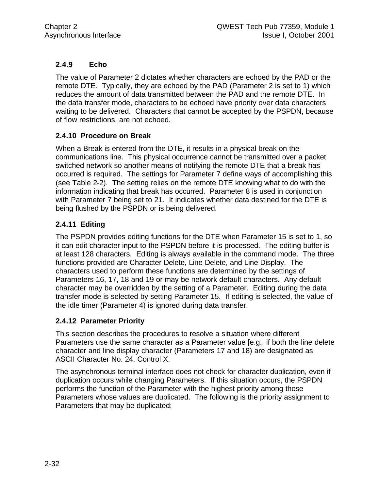# **2.4.9 Echo**

The value of Parameter 2 dictates whether characters are echoed by the PAD or the remote DTE. Typically, they are echoed by the PAD (Parameter 2 is set to 1) which reduces the amount of data transmitted between the PAD and the remote DTE. In the data transfer mode, characters to be echoed have priority over data characters waiting to be delivered. Characters that cannot be accepted by the PSPDN, because of flow restrictions, are not echoed.

### **2.4.10 Procedure on Break**

When a Break is entered from the DTE, it results in a physical break on the communications line. This physical occurrence cannot be transmitted over a packet switched network so another means of notifying the remote DTE that a break has occurred is required. The settings for Parameter 7 define ways of accomplishing this (see Table 2-2). The setting relies on the remote DTE knowing what to do with the information indicating that break has occurred. Parameter 8 is used in conjunction with Parameter 7 being set to 21. It indicates whether data destined for the DTE is being flushed by the PSPDN or is being delivered.

### **2.4.11 Editing**

The PSPDN provides editing functions for the DTE when Parameter 15 is set to 1, so it can edit character input to the PSPDN before it is processed. The editing buffer is at least 128 characters. Editing is always available in the command mode. The three functions provided are Character Delete, Line Delete, and Line Display. The characters used to perform these functions are determined by the settings of Parameters 16, 17, 18 and 19 or may be network default characters. Any default character may be overridden by the setting of a Parameter. Editing during the data transfer mode is selected by setting Parameter 15. If editing is selected, the value of the idle timer (Parameter 4) is ignored during data transfer.

### **2.4.12 Parameter Priority**

This section describes the procedures to resolve a situation where different Parameters use the same character as a Parameter value [e.g., if both the line delete character and line display character (Parameters 17 and 18) are designated as ASCII Character No. 24, Control X.

The asynchronous terminal interface does not check for character duplication, even if duplication occurs while changing Parameters. If this situation occurs, the PSPDN performs the function of the Parameter with the highest priority among those Parameters whose values are duplicated. The following is the priority assignment to Parameters that may be duplicated: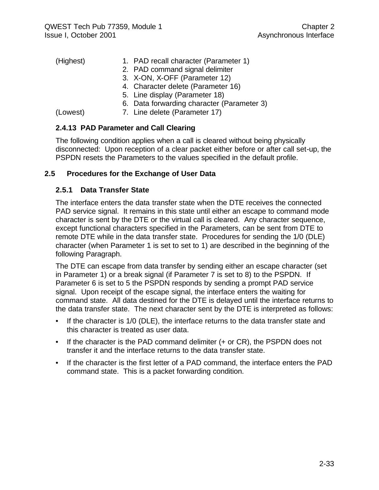| (Highest) | 1. PAD recall character (Parameter 1)      |
|-----------|--------------------------------------------|
|           | 2. PAD command signal delimiter            |
|           | 3. X-ON, X-OFF (Parameter 12)              |
|           | 4. Character delete (Parameter 16)         |
|           | 5. Line display (Parameter 18)             |
|           | 6. Data forwarding character (Parameter 3) |
| (Lowest)  | 7. Line delete (Parameter 17)              |

## **2.4.13 PAD Parameter and Call Clearing**

The following condition applies when a call is cleared without being physically disconnected: Upon reception of a clear packet either before or after call set-up, the PSPDN resets the Parameters to the values specified in the default profile.

### **2.5 Procedures for the Exchange of User Data**

### **2.5.1 Data Transfer State**

The interface enters the data transfer state when the DTE receives the connected PAD service signal. It remains in this state until either an escape to command mode character is sent by the DTE or the virtual call is cleared. Any character sequence, except functional characters specified in the Parameters, can be sent from DTE to remote DTE while in the data transfer state. Procedures for sending the 1/0 (DLE) character (when Parameter 1 is set to set to 1) are described in the beginning of the following Paragraph.

The DTE can escape from data transfer by sending either an escape character (set in Parameter 1) or a break signal (if Parameter 7 is set to 8) to the PSPDN. If Parameter 6 is set to 5 the PSPDN responds by sending a prompt PAD service signal. Upon receipt of the escape signal, the interface enters the waiting for command state. All data destined for the DTE is delayed until the interface returns to the data transfer state. The next character sent by the DTE is interpreted as follows:

- If the character is 1/0 (DLE), the interface returns to the data transfer state and this character is treated as user data.
- If the character is the PAD command delimiter (+ or CR), the PSPDN does not transfer it and the interface returns to the data transfer state.
- If the character is the first letter of a PAD command, the interface enters the PAD command state. This is a packet forwarding condition.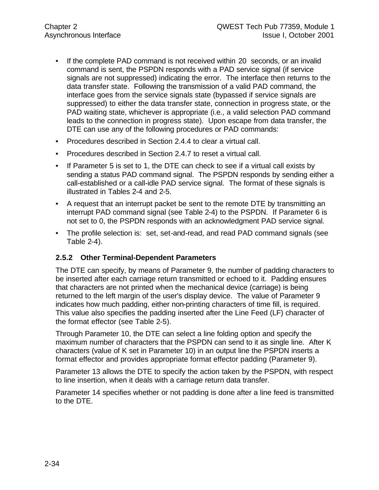- If the complete PAD command is not received within 20 seconds, or an invalid command is sent, the PSPDN responds with a PAD service signal (if service signals are not suppressed) indicating the error. The interface then returns to the data transfer state. Following the transmission of a valid PAD command, the interface goes from the service signals state (bypassed if service signals are suppressed) to either the data transfer state, connection in progress state, or the PAD waiting state, whichever is appropriate (i.e., a valid selection PAD command leads to the connection in progress state). Upon escape from data transfer, the DTE can use any of the following procedures or PAD commands:
- Procedures described in Section 2.4.4 to clear a virtual call.
- Procedures described in Section 2.4.7 to reset a virtual call.
- If Parameter 5 is set to 1, the DTE can check to see if a virtual call exists by sending a status PAD command signal. The PSPDN responds by sending either a call-established or a call-idle PAD service signal. The format of these signals is illustrated in Tables 2-4 and 2-5.
- A request that an interrupt packet be sent to the remote DTE by transmitting an interrupt PAD command signal (see Table 2-4) to the PSPDN. If Parameter 6 is not set to 0, the PSPDN responds with an acknowledgment PAD service signal.
- The profile selection is: set, set-and-read, and read PAD command signals (see Table 2-4).

### **2.5.2 Other Terminal-Dependent Parameters**

The DTE can specify, by means of Parameter 9, the number of padding characters to be inserted after each carriage return transmitted or echoed to it. Padding ensures that characters are not printed when the mechanical device (carriage) is being returned to the left margin of the user's display device. The value of Parameter 9 indicates how much padding, either non-printing characters of time fill, is required. This value also specifies the padding inserted after the Line Feed (LF) character of the format effector (see Table 2-5).

Through Parameter 10, the DTE can select a line folding option and specify the maximum number of characters that the PSPDN can send to it as single line. After K characters (value of K set in Parameter 10) in an output line the PSPDN inserts a format effector and provides appropriate format effector padding (Parameter 9).

Parameter 13 allows the DTE to specify the action taken by the PSPDN, with respect to line insertion, when it deals with a carriage return data transfer.

Parameter 14 specifies whether or not padding is done after a line feed is transmitted to the DTE.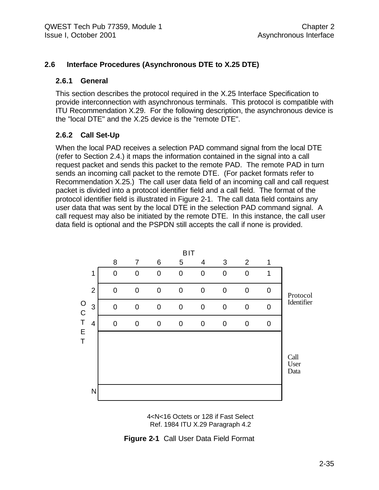#### **2.6 Interface Procedures (Asynchronous DTE to X.25 DTE)**

#### **2.6.1 General**

This section describes the protocol required in the X.25 Interface Specification to provide interconnection with asynchronous terminals. This protocol is compatible with ITU Recommendation X.29. For the following description, the asynchronous device is the "local DTE" and the X.25 device is the "remote DTE".

#### **2.6.2 Call Set-Up**

When the local PAD receives a selection PAD command signal from the local DTE (refer to Section 2.4.) it maps the information contained in the signal into a call request packet and sends this packet to the remote PAD. The remote PAD in turn sends an incoming call packet to the remote DTE. (For packet formats refer to Recommendation X.25.) The call user data field of an incoming call and call request packet is divided into a protocol identifier field and a call field. The format of the protocol identifier field is illustrated in Figure 2-1. The call data field contains any user data that was sent by the local DTE in the selection PAD command signal. A call request may also be initiated by the remote DTE. In this instance, the call user data field is optional and the PSPDN still accepts the call if none is provided.



4<N<16 Octets or 128 if Fast Select Ref. 1984 ITU X.29 Paragraph 4.2

**Figure 2-1** Call User Data Field Format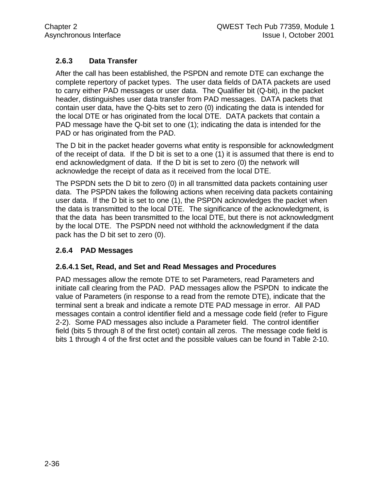# **2.6.3 Data Transfer**

After the call has been established, the PSPDN and remote DTE can exchange the complete repertory of packet types. The user data fields of DATA packets are used to carry either PAD messages or user data. The Qualifier bit (Q-bit), in the packet header, distinguishes user data transfer from PAD messages. DATA packets that contain user data, have the Q-bits set to zero (0) indicating the data is intended for the local DTE or has originated from the local DTE. DATA packets that contain a PAD message have the Q-bit set to one (1); indicating the data is intended for the PAD or has originated from the PAD.

The D bit in the packet header governs what entity is responsible for acknowledgment of the receipt of data. If the D bit is set to a one (1) it is assumed that there is end to end acknowledgment of data. If the D bit is set to zero (0) the network will acknowledge the receipt of data as it received from the local DTE.

The PSPDN sets the D bit to zero (0) in all transmitted data packets containing user data. The PSPDN takes the following actions when receiving data packets containing user data. If the D bit is set to one (1), the PSPDN acknowledges the packet when the data is transmitted to the local DTE. The significance of the acknowledgment, is that the data has been transmitted to the local DTE, but there is not acknowledgment by the local DTE. The PSPDN need not withhold the acknowledgment if the data pack has the D bit set to zero (0).

### **2.6.4 PAD Messages**

#### **2.6.4.1 Set, Read, and Set and Read Messages and Procedures**

PAD messages allow the remote DTE to set Parameters, read Parameters and initiate call clearing from the PAD. PAD messages allow the PSPDN to indicate the value of Parameters (in response to a read from the remote DTE), indicate that the terminal sent a break and indicate a remote DTE PAD message in error. All PAD messages contain a control identifier field and a message code field (refer to Figure 2-2). Some PAD messages also include a Parameter field. The control identifier field (bits 5 through 8 of the first octet) contain all zeros. The message code field is bits 1 through 4 of the first octet and the possible values can be found in Table 2-10.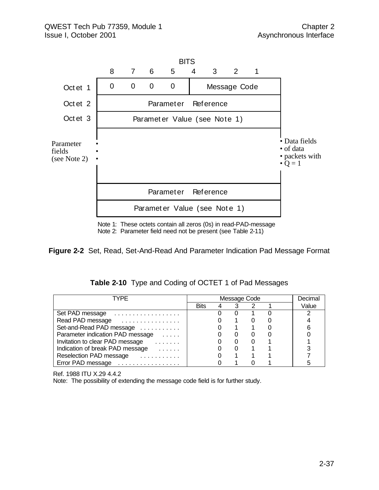

Note 1: These octets contain all zeros (0s) in read-PAD-message Note 2: Parameter field need not be present (see Table 2-11)

**Figure 2-2** Set, Read, Set-And-Read And Parameter Indication Pad Message Format

| Table 2-10 Type and Coding of OCTET 1 of Pad Messages |  |  |  |  |  |
|-------------------------------------------------------|--|--|--|--|--|
|-------------------------------------------------------|--|--|--|--|--|

| TYPF                                                                      |      | Message Code |  | Decimal |
|---------------------------------------------------------------------------|------|--------------|--|---------|
|                                                                           | Bits |              |  | Value   |
| Set PAD message                                                           |      |              |  |         |
| Read PAD message                                                          |      |              |  |         |
| Set-and-Read PAD message                                                  |      |              |  |         |
| Parameter indication PAD message<br><b>Contractor</b>                     |      |              |  |         |
| Invitation to clear PAD message<br>.                                      |      |              |  |         |
| Indication of break PAD message<br><b><i>Charles Committee States</i></b> |      |              |  |         |
| Reselection PAD message                                                   |      |              |  |         |
| Error PAD message                                                         |      |              |  |         |

Ref. 1988 ITU X.29 4.4.2

Note: The possibility of extending the message code field is for further study.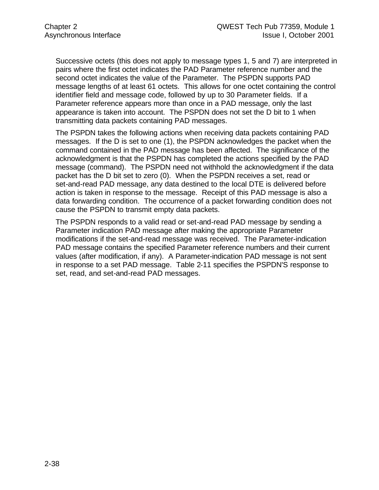Successive octets (this does not apply to message types 1, 5 and 7) are interpreted in pairs where the first octet indicates the PAD Parameter reference number and the second octet indicates the value of the Parameter. The PSPDN supports PAD message lengths of at least 61 octets. This allows for one octet containing the control identifier field and message code, followed by up to 30 Parameter fields. If a Parameter reference appears more than once in a PAD message, only the last appearance is taken into account. The PSPDN does not set the D bit to 1 when transmitting data packets containing PAD messages.

The PSPDN takes the following actions when receiving data packets containing PAD messages. If the D is set to one (1), the PSPDN acknowledges the packet when the command contained in the PAD message has been affected. The significance of the acknowledgment is that the PSPDN has completed the actions specified by the PAD message (command). The PSPDN need not withhold the acknowledgment if the data packet has the D bit set to zero (0). When the PSPDN receives a set, read or set-and-read PAD message, any data destined to the local DTE is delivered before action is taken in response to the message. Receipt of this PAD message is also a data forwarding condition. The occurrence of a packet forwarding condition does not cause the PSPDN to transmit empty data packets.

The PSPDN responds to a valid read or set-and-read PAD message by sending a Parameter indication PAD message after making the appropriate Parameter modifications if the set-and-read message was received. The Parameter-indication PAD message contains the specified Parameter reference numbers and their current values (after modification, if any). A Parameter-indication PAD message is not sent in response to a set PAD message. Table 2-11 specifies the PSPDN'S response to set, read, and set-and-read PAD messages.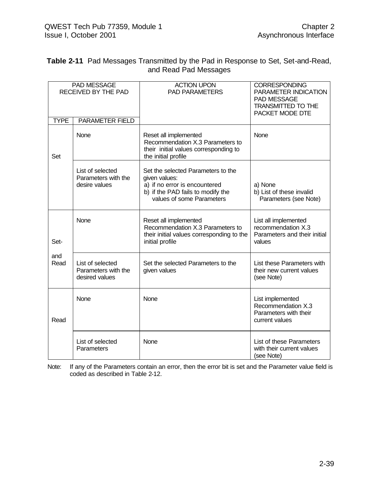| <b>Table 2-11</b> Pad Messages Transmitted by the Pad in Response to Set, Set-and-Read, |
|-----------------------------------------------------------------------------------------|
| and Read Pad Messages                                                                   |

| <b>TYPE</b> | PAD MESSAGE<br>RECEIVED BY THE PAD<br><b>PARAMETER FIELD</b> | <b>ACTION UPON</b><br><b>PAD PARAMETERS</b>                                                                                                            | <b>CORRESPONDING</b><br>PARAMETER INDICATION<br>PAD MESSAGE<br><b>TRANSMITTED TO THE</b><br>PACKET MODE DTE |
|-------------|--------------------------------------------------------------|--------------------------------------------------------------------------------------------------------------------------------------------------------|-------------------------------------------------------------------------------------------------------------|
| Set         | None                                                         | Reset all implemented<br>Recommendation X.3 Parameters to<br>their initial values corresponding to<br>the initial profile                              | None                                                                                                        |
|             | List of selected<br>Parameters with the<br>desire values     | Set the selected Parameters to the<br>given values:<br>a) if no error is encountered<br>b) if the PAD fails to modify the<br>values of some Parameters | a) None<br>b) List of these invalid<br>Parameters (see Note)                                                |
| Set-        | None                                                         | Reset all implemented<br>Recommendation X.3 Parameters to<br>their initial values corresponding to the<br>initial profile                              | List all implemented<br>recommendation X.3<br>Parameters and their initial<br>values                        |
| and<br>Read | List of selected<br>Parameters with the<br>desired values    | Set the selected Parameters to the<br>given values                                                                                                     | List these Parameters with<br>their new current values<br>(see Note)                                        |
| Read        | None                                                         | None                                                                                                                                                   | List implemented<br>Recommendation X.3<br>Parameters with their<br>current values                           |
|             | List of selected<br>Parameters                               | None                                                                                                                                                   | List of these Parameters<br>with their current values<br>(see Note)                                         |

Note: If any of the Parameters contain an error, then the error bit is set and the Parameter value field is coded as described in Table 2-12.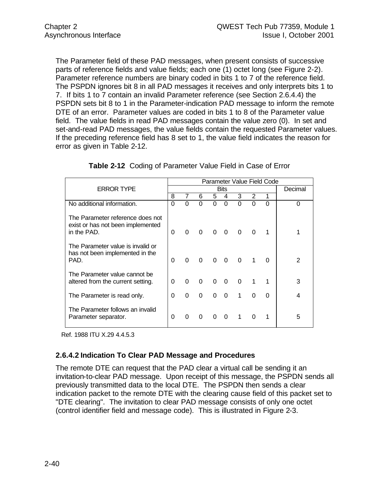The Parameter field of these PAD messages, when present consists of successive parts of reference fields and value fields; each one (1) octet long (see Figure 2-2). Parameter reference numbers are binary coded in bits 1 to 7 of the reference field. The PSPDN ignores bit 8 in all PAD messages it receives and only interprets bits 1 to 7. If bits 1 to 7 contain an invalid Parameter reference (see Section 2.6.4.4) the PSPDN sets bit 8 to 1 in the Parameter-indication PAD message to inform the remote DTE of an error. Parameter values are coded in bits 1 to 8 of the Parameter value field. The value fields in read PAD messages contain the value zero (0). In set and set-and-read PAD messages, the value fields contain the requested Parameter values. If the preceding reference field has 8 set to 1, the value field indicates the reason for error as given in Table 2-12.

|                                                                                      |          |          | Parameter Value Field Code |                         |                         |             |          |          |   |
|--------------------------------------------------------------------------------------|----------|----------|----------------------------|-------------------------|-------------------------|-------------|----------|----------|---|
| <b>ERROR TYPE</b>                                                                    |          |          | Decimal                    |                         |                         |             |          |          |   |
|                                                                                      | 8        | 7        | 6                          | 5                       | 4                       | 3           | 2        |          |   |
| No additional information.                                                           | 0        | 0        | $\Omega$                   | $\Omega$                | $\Omega$                | 0           | $\Omega$ | $\Omega$ | 0 |
| The Parameter reference does not<br>exist or has not been implemented<br>in the PAD. | $\Omega$ | $\Omega$ | $\Omega$                   | $\overline{\mathbf{0}}$ | $\overline{\mathbf{0}}$ | $\Omega$    | $\Omega$ |          |   |
| The Parameter value is invalid or<br>has not been implemented in the<br>PAD.         | $\Omega$ | $\Omega$ | $\Omega$                   | $\Omega$                | $\overline{0}$          | $\Omega$    |          |          | 2 |
| The Parameter value cannot be<br>altered from the current setting.                   | $\Omega$ | $\Omega$ | $\Omega$                   | $\Omega$                | $\Omega$                | $\mathbf 0$ |          |          | 3 |
| The Parameter is read only.                                                          | $\Omega$ | 0        | $\Omega$                   | 0                       | $\Omega$                | 1           | $\Omega$ |          | 4 |
| The Parameter follows an invalid<br>Parameter separator.                             | $\Omega$ | $\Omega$ | $\Omega$                   | 0                       | $\Omega$                | 1           | $\Omega$ |          | 5 |

**Table 2-12** Coding of Parameter Value Field in Case of Error

Ref. 1988 ITU X.29 4.4.5.3

### **2.6.4.2 Indication To Clear PAD Message and Procedures**

The remote DTE can request that the PAD clear a virtual call be sending it an invitation-to-clear PAD message. Upon receipt of this message, the PSPDN sends all previously transmitted data to the local DTE. The PSPDN then sends a clear indication packet to the remote DTE with the clearing cause field of this packet set to "DTE clearing". The invitation to clear PAD message consists of only one octet (control identifier field and message code). This is illustrated in Figure 2-3.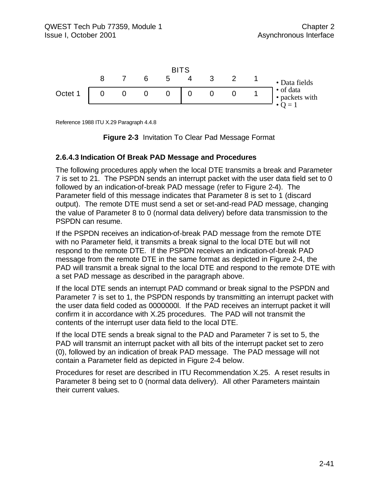

Reference 1988 ITU X.29 Paragraph 4.4.8



#### **2.6.4.3 Indication Of Break PAD Message and Procedures**

The following procedures apply when the local DTE transmits a break and Parameter 7 is set to 21. The PSPDN sends an interrupt packet with the user data field set to 0 followed by an indication-of-break PAD message (refer to Figure 2-4). The Parameter field of this message indicates that Parameter 8 is set to 1 (discard output). The remote DTE must send a set or set-and-read PAD message, changing the value of Parameter 8 to 0 (normal data delivery) before data transmission to the PSPDN can resume.

If the PSPDN receives an indication-of-break PAD message from the remote DTE with no Parameter field, it transmits a break signal to the local DTE but will not respond to the remote DTE. If the PSPDN receives an indication-of-break PAD message from the remote DTE in the same format as depicted in Figure 2-4, the PAD will transmit a break signal to the local DTE and respond to the remote DTE with a set PAD message as described in the paragraph above.

If the local DTE sends an interrupt PAD command or break signal to the PSPDN and Parameter 7 is set to 1, the PSPDN responds by transmitting an interrupt packet with the user data field coded as 0000000l. If the PAD receives an interrupt packet it will confirm it in accordance with X.25 procedures. The PAD will not transmit the contents of the interrupt user data field to the local DTE.

If the local DTE sends a break signal to the PAD and Parameter 7 is set to 5, the PAD will transmit an interrupt packet with all bits of the interrupt packet set to zero (0), followed by an indication of break PAD message. The PAD message will not contain a Parameter field as depicted in Figure 2-4 below.

Procedures for reset are described in ITU Recommendation X.25. A reset results in Parameter 8 being set to 0 (normal data delivery). All other Parameters maintain their current values.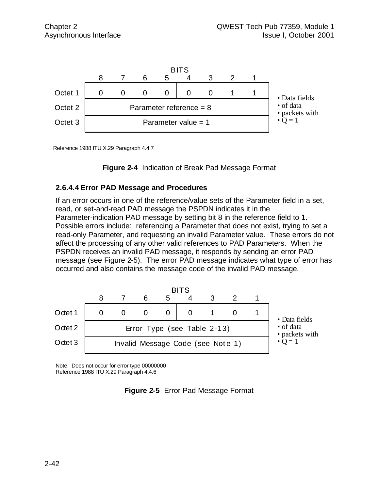

Reference 1988 ITU X.29 Paragraph 4.4.7

**Figure 2-4** Indication of Break Pad Message Format

#### **2.6.4.4 Error PAD Message and Procedures**

If an error occurs in one of the reference/value sets of the Parameter field in a set, read, or set-and-read PAD message the PSPDN indicates it in the Parameter-indication PAD message by setting bit 8 in the reference field to 1. Possible errors include: referencing a Parameter that does not exist, trying to set a read-only Parameter, and requesting an invalid Parameter value. These errors do not affect the processing of any other valid references to PAD Parameters. When the PSPDN receives an invalid PAD message, it responds by sending an error PAD message (see Figure 2-5). The error PAD message indicates what type of error has occurred and also contains the message code of the invalid PAD message.



Note: Does not occur for error type 00000000 Reference 1988 ITU X.29 Paragraph 4.4.6

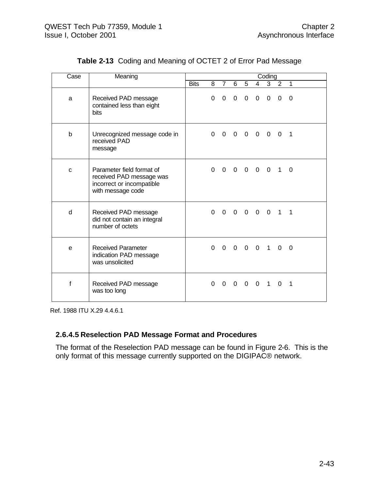| Case        | Meaning                                                                                                 | Coding |          |                |                |                          |                          |                     |                         |                          |  |
|-------------|---------------------------------------------------------------------------------------------------------|--------|----------|----------------|----------------|--------------------------|--------------------------|---------------------|-------------------------|--------------------------|--|
|             |                                                                                                         | Bits   |          | 8 7            | 6              | $5^{\circ}$              |                          | $4 \quad 3 \quad 2$ |                         | 1                        |  |
| a           | Received PAD message<br>contained less than eight<br>bits                                               |        | $\Omega$ | $\overline{0}$ | $\mathbf 0$    | $\mathbf 0$              | $\mathbf 0$              | $\mathbf 0$         | $\Omega$                | $\Omega$                 |  |
| b           | Unrecognized message code in<br>received PAD<br>message                                                 |        | $\Omega$ | $\mathbf 0$    | $\overline{0}$ | $\overline{\phantom{0}}$ | $0\quad 0$               |                     | $\overline{\mathbf{0}}$ | $\overline{\phantom{1}}$ |  |
| $\mathbf C$ | Parameter field format of<br>received PAD message was<br>incorrect or incompatible<br>with message code |        | $\Omega$ | $\Omega$       |                |                          | $0\quad 0\quad 0\quad 0$ |                     | $\mathbf{1}$            | $\Omega$                 |  |
| d           | Received PAD message<br>did not contain an integral<br>number of octets                                 |        | $\Omega$ | $\mathbf{0}$   | $\Omega$       | $\Omega$                 | $\overline{0}$           | $\overline{0}$      | $\mathbf{1}$            | $\mathbf 1$              |  |
| e           | <b>Received Parameter</b><br>indication PAD message<br>was unsolicited                                  |        | $\Omega$ | $\Omega$       |                |                          | 0 0 0 1                  |                     | $\Omega$                | $\Omega$                 |  |
| f           | Received PAD message<br>was too long                                                                    |        | $\Omega$ | 0              | 0              | $\overline{0}$           | $\overline{0}$           | $\overline{1}$      | $\Omega$                | $\mathbf 1$              |  |

**Table 2-13** Coding and Meaning of OCTET 2 of Error Pad Message

Ref. 1988 ITU X.29 4.4.6.1

### **2.6.4.5 Reselection PAD Message Format and Procedures**

The format of the Reselection PAD message can be found in Figure 2-6. This is the only format of this message currently supported on the DIGIPAC® network.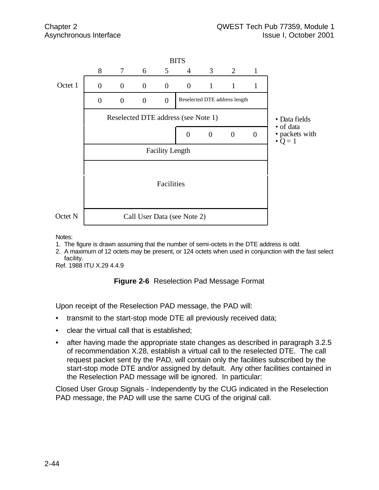

Notes:

- 1. The figure is drawn assuming that the number of semi-octets in the DTE address is odd.
- 2. A maximum of 12 octets may be present, or 124 octets when used in conjunction with the fast select facility.

Ref. 1988 ITU X.29 4.4.9

#### **Figure 2-6** Reselection Pad Message Format

Upon receipt of the Reselection PAD message, the PAD will:

- transmit to the start-stop mode DTE all previously received data;
- clear the virtual call that is established;
- after having made the appropriate state changes as described in paragraph 3.2.5 of recommendation X.28, establish a virtual call to the reselected DTE. The call request packet sent by the PAD, will contain only the facilities subscribed by the start-stop mode DTE and/or assigned by default. Any other facilities contained in the Reselection PAD message will be ignored. In particular:

Closed User Group Signals - Independently by the CUG indicated in the Reselection PAD message, the PAD will use the same CUG of the original call.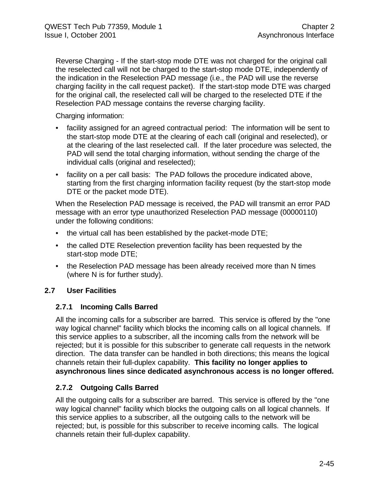Reverse Charging - If the start-stop mode DTE was not charged for the original call the reselected call will not be charged to the start-stop mode DTE, independently of the indication in the Reselection PAD message (i.e., the PAD will use the reverse charging facility in the call request packet). If the start-stop mode DTE was charged for the original call, the reselected call will be charged to the reselected DTE if the Reselection PAD message contains the reverse charging facility.

Charging information:

- facility assigned for an agreed contractual period: The information will be sent to the start-stop mode DTE at the clearing of each call (original and reselected), or at the clearing of the last reselected call. If the later procedure was selected, the PAD will send the total charging information, without sending the charge of the individual calls (original and reselected);
- facility on a per call basis: The PAD follows the procedure indicated above, starting from the first charging information facility request (by the start-stop mode DTE or the packet mode DTE).

When the Reselection PAD message is received, the PAD will transmit an error PAD message with an error type unauthorized Reselection PAD message (00000110) under the following conditions:

- the virtual call has been established by the packet-mode DTE;
- the called DTE Reselection prevention facility has been requested by the start-stop mode DTE;
- the Reselection PAD message has been already received more than N times (where N is for further study).

### **2.7 User Facilities**

### **2.7.1 Incoming Calls Barred**

All the incoming calls for a subscriber are barred. This service is offered by the "one way logical channel" facility which blocks the incoming calls on all logical channels. If this service applies to a subscriber, all the incoming calls from the network will be rejected; but it is possible for this subscriber to generate call requests in the network direction. The data transfer can be handled in both directions; this means the logical channels retain their full-duplex capability. **This facility no longer applies to asynchronous lines since dedicated asynchronous access is no longer offered.**

### **2.7.2 Outgoing Calls Barred**

All the outgoing calls for a subscriber are barred. This service is offered by the "one way logical channel" facility which blocks the outgoing calls on all logical channels. If this service applies to a subscriber, all the outgoing calls to the network will be rejected; but, is possible for this subscriber to receive incoming calls. The logical channels retain their full-duplex capability.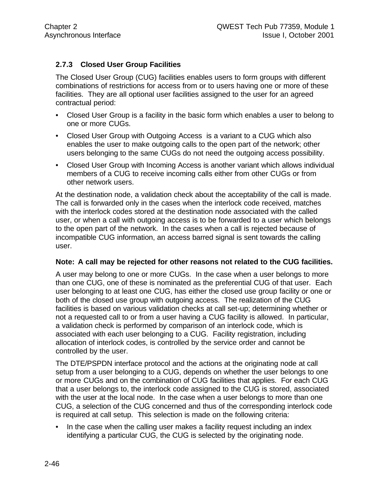## **2.7.3 Closed User Group Facilities**

The Closed User Group (CUG) facilities enables users to form groups with different combinations of restrictions for access from or to users having one or more of these facilities. They are all optional user facilities assigned to the user for an agreed contractual period:

- Closed User Group is a facility in the basic form which enables a user to belong to one or more CUGs.
- Closed User Group with Outgoing Access is a variant to a CUG which also enables the user to make outgoing calls to the open part of the network; other users belonging to the same CUGs do not need the outgoing access possibility.
- Closed User Group with Incoming Access is another variant which allows individual members of a CUG to receive incoming calls either from other CUGs or from other network users.

At the destination node, a validation check about the acceptability of the call is made. The call is forwarded only in the cases when the interlock code received, matches with the interlock codes stored at the destination node associated with the called user, or when a call with outgoing access is to be forwarded to a user which belongs to the open part of the network. In the cases when a call is rejected because of incompatible CUG information, an access barred signal is sent towards the calling user.

#### **Note: A call may be rejected for other reasons not related to the CUG facilities.**

A user may belong to one or more CUGs. In the case when a user belongs to more than one CUG, one of these is nominated as the preferential CUG of that user. Each user belonging to at least one CUG, has either the closed use group facility or one or both of the closed use group with outgoing access. The realization of the CUG facilities is based on various validation checks at call set-up; determining whether or not a requested call to or from a user having a CUG facility is allowed. In particular, a validation check is performed by comparison of an interlock code, which is associated with each user belonging to a CUG. Facility registration, including allocation of interlock codes, is controlled by the service order and cannot be controlled by the user.

The DTE/PSPDN interface protocol and the actions at the originating node at call setup from a user belonging to a CUG, depends on whether the user belongs to one or more CUGs and on the combination of CUG facilities that applies. For each CUG that a user belongs to, the interlock code assigned to the CUG is stored, associated with the user at the local node. In the case when a user belongs to more than one CUG, a selection of the CUG concerned and thus of the corresponding interlock code is required at call setup. This selection is made on the following criteria:

• In the case when the calling user makes a facility request including an index identifying a particular CUG, the CUG is selected by the originating node.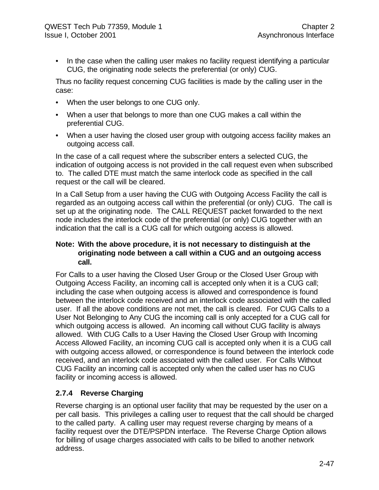• In the case when the calling user makes no facility request identifying a particular CUG, the originating node selects the preferential (or only) CUG.

Thus no facility request concerning CUG facilities is made by the calling user in the case:

- When the user belongs to one CUG only.
- When a user that belongs to more than one CUG makes a call within the preferential CUG.
- When a user having the closed user group with outgoing access facility makes an outgoing access call.

In the case of a call request where the subscriber enters a selected CUG, the indication of outgoing access is not provided in the call request even when subscribed to. The called DTE must match the same interlock code as specified in the call request or the call will be cleared.

In a Call Setup from a user having the CUG with Outgoing Access Facility the call is regarded as an outgoing access call within the preferential (or only) CUG. The call is set up at the originating node. The CALL REQUEST packet forwarded to the next node includes the interlock code of the preferential (or only) CUG together with an indication that the call is a CUG call for which outgoing access is allowed.

#### **Note: With the above procedure, it is not necessary to distinguish at the originating node between a call within a CUG and an outgoing access call.**

For Calls to a user having the Closed User Group or the Closed User Group with Outgoing Access Facility, an incoming call is accepted only when it is a CUG call; including the case when outgoing access is allowed and correspondence is found between the interlock code received and an interlock code associated with the called user. If all the above conditions are not met, the call is cleared. For CUG Calls to a User Not Belonging to Any CUG the incoming call is only accepted for a CUG call for which outgoing access is allowed. An incoming call without CUG facility is always allowed. With CUG Calls to a User Having the Closed User Group with Incoming Access Allowed Facility, an incoming CUG call is accepted only when it is a CUG call with outgoing access allowed, or correspondence is found between the interlock code received, and an interlock code associated with the called user. For Calls Without CUG Facility an incoming call is accepted only when the called user has no CUG facility or incoming access is allowed.

# **2.7.4 Reverse Charging**

Reverse charging is an optional user facility that may be requested by the user on a per call basis. This privileges a calling user to request that the call should be charged to the called party. A calling user may request reverse charging by means of a facility request over the DTE/PSPDN interface. The Reverse Charge Option allows for billing of usage charges associated with calls to be billed to another network address.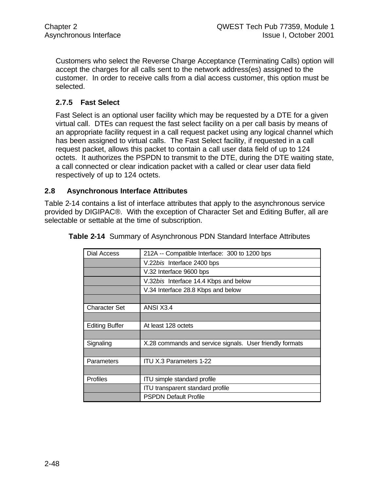Customers who select the Reverse Charge Acceptance (Terminating Calls) option will accept the charges for all calls sent to the network address(es) assigned to the customer. In order to receive calls from a dial access customer, this option must be selected.

### **2.7.5 Fast Select**

Fast Select is an optional user facility which may be requested by a DTE for a given virtual call. DTEs can request the fast select facility on a per call basis by means of an appropriate facility request in a call request packet using any logical channel which has been assigned to virtual calls. The Fast Select facility, if requested in a call request packet, allows this packet to contain a call user data field of up to 124 octets. It authorizes the PSPDN to transmit to the DTE, during the DTE waiting state, a call connected or clear indication packet with a called or clear user data field respectively of up to 124 octets.

#### **2.8 Asynchronous Interface Attributes**

Table 2-14 contains a list of interface attributes that apply to the asynchronous service provided by DIGIPAC®. With the exception of Character Set and Editing Buffer, all are selectable or settable at the time of subscription.

| Dial Access           | 212A -- Compatible Interface: 300 to 1200 bps            |
|-----------------------|----------------------------------------------------------|
|                       | V.22bis Interface 2400 bps                               |
|                       | V.32 Interface 9600 bps                                  |
|                       | V.32bis Interface 14.4 Kbps and below                    |
|                       | V.34 Interface 28.8 Kbps and below                       |
|                       |                                                          |
| <b>Character Set</b>  | ANSI X3.4                                                |
|                       |                                                          |
| <b>Editing Buffer</b> | At least 128 octets                                      |
|                       |                                                          |
| Signaling             | X.28 commands and service signals. User friendly formats |
|                       |                                                          |
| Parameters            | ITU X.3 Parameters 1-22                                  |
|                       |                                                          |
| <b>Profiles</b>       | <b>ITU simple standard profile</b>                       |
|                       | <b>ITU transparent standard profile</b>                  |
|                       | <b>PSPDN Default Profile</b>                             |

**Table 2-14** Summary of Asynchronous PDN Standard Interface Attributes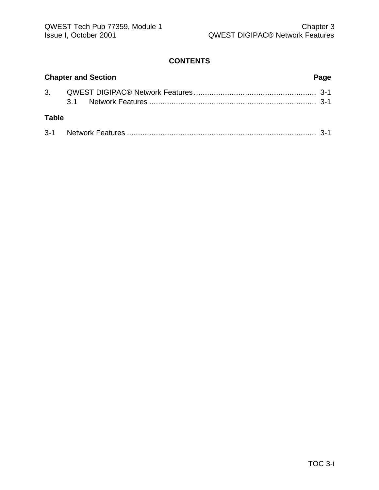### **CONTENTS**

|              | <b>Chapter and Section</b> | Page |
|--------------|----------------------------|------|
|              |                            |      |
| <b>Table</b> |                            |      |
|              |                            |      |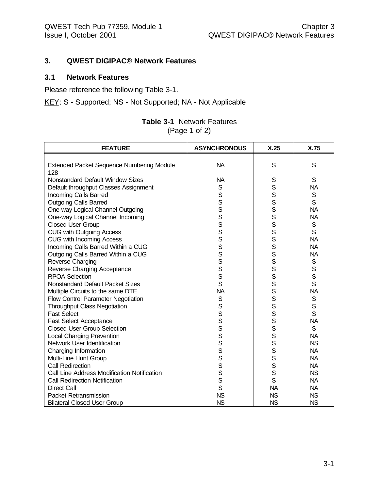#### **3. QWEST DIGIPAC® Network Features**

#### **3.1 Network Features**

Please reference the following Table 3-1.

KEY: S - Supported; NS - Not Supported; NA - Not Applicable

| <b>Table 3-1</b> Network Features |
|-----------------------------------|
| (Page 1 of 2)                     |

| <b>FEATURE</b>                                   | <b>ASYNCHRONOUS</b> | X.25      | X.75        |
|--------------------------------------------------|---------------------|-----------|-------------|
|                                                  |                     |           |             |
| <b>Extended Packet Sequence Numbering Module</b> | <b>NA</b>           | S         | S           |
| 128                                              |                     |           |             |
| Nonstandard Default Window Sizes                 | <b>NA</b>           | S         | S           |
| Default throughput Classes Assignment            | S                   | S         | <b>NA</b>   |
| Incoming Calls Barred                            | S                   | S         | $\mathbf S$ |
| <b>Outgoing Calls Barred</b>                     | S                   | S         | S           |
| One-way Logical Channel Outgoing                 | S                   | S         | <b>NA</b>   |
| One-way Logical Channel Incoming                 | S                   | S         | <b>NA</b>   |
| <b>Closed User Group</b>                         | S                   | S         | $\mathbf S$ |
| <b>CUG with Outgoing Access</b>                  | S                   | S         | S           |
| CUG with Incoming Access                         | S                   | S         | <b>NA</b>   |
| Incoming Calls Barred Within a CUG               | S                   | S         | <b>NA</b>   |
| Outgoing Calls Barred Within a CUG               | S                   | S         | <b>NA</b>   |
| Reverse Charging                                 | S                   | S         | S           |
| Reverse Charging Acceptance                      | S                   | S         | S           |
| <b>RPOA Selection</b>                            | S                   | S         | S           |
| <b>Nonstandard Default Packet Sizes</b>          | S                   | S         | S           |
| Multiple Circuits to the same DTE                | <b>NA</b>           | S         | <b>NA</b>   |
| Flow Control Parameter Negotiation               | S                   | S         | S           |
| <b>Throughput Class Negotiation</b>              | S                   | S         | S           |
| <b>Fast Select</b>                               | S                   | S         | S           |
| <b>Fast Select Acceptance</b>                    | S                   | S         | <b>NA</b>   |
| <b>Closed User Group Selection</b>               | S                   | S         | $\mathbf S$ |
| <b>Local Charging Prevention</b>                 | S                   | S         | <b>NA</b>   |
| Network User Identification                      | $\mathbf S$         | S         | <b>NS</b>   |
| Charging Information                             | S                   | S         | <b>NA</b>   |
| Multi-Line Hunt Group                            | S                   | S         | <b>NA</b>   |
| <b>Call Redirection</b>                          | S                   | S         | <b>NA</b>   |
| Call Line Address Modification Notification      | S                   | S         | <b>NS</b>   |
| <b>Call Redirection Notification</b>             | S                   | S         | <b>NA</b>   |
| <b>Direct Call</b>                               | $\mathsf{S}$        | <b>NA</b> | <b>NA</b>   |
| <b>Packet Retransmission</b>                     | <b>NS</b>           | <b>NS</b> | <b>NS</b>   |
| <b>Bilateral Closed User Group</b>               | <b>NS</b>           | <b>NS</b> | <b>NS</b>   |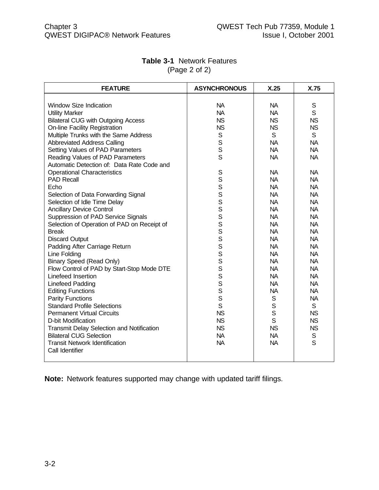| <b>FEATURE</b>                              | <b>ASYNCHRONOUS</b> | X.25         | X.75        |
|---------------------------------------------|---------------------|--------------|-------------|
|                                             |                     |              |             |
| <b>Window Size Indication</b>               | <b>NA</b>           | <b>NA</b>    | S           |
| <b>Utility Marker</b>                       | <b>NA</b>           | <b>NA</b>    | S           |
| <b>Bilateral CUG with Outgoing Access</b>   | <b>NS</b>           | <b>NS</b>    | <b>NS</b>   |
| <b>On-line Facility Registration</b>        | <b>NS</b>           | <b>NS</b>    | <b>NS</b>   |
| Multiple Trunks with the Same Address       | S                   | S            | S           |
| <b>Abbreviated Address Calling</b>          | S                   | <b>NA</b>    | <b>NA</b>   |
| Setting Values of PAD Parameters            | S                   | <b>NA</b>    | <b>NA</b>   |
| Reading Values of PAD Parameters            | S                   | <b>NA</b>    | <b>NA</b>   |
| Automatic Detection of: Data Rate Code and  |                     |              |             |
| <b>Operational Characteristics</b>          | S                   | <b>NA</b>    | <b>NA</b>   |
| <b>PAD Recall</b>                           | S                   | <b>NA</b>    | <b>NA</b>   |
| Echo                                        | S                   | <b>NA</b>    | <b>NA</b>   |
| Selection of Data Forwarding Signal         | S                   | <b>NA</b>    | <b>NA</b>   |
| Selection of Idle Time Delay                | S                   | <b>NA</b>    | <b>NA</b>   |
| <b>Ancillary Device Control</b>             | S                   | <b>NA</b>    | <b>NA</b>   |
| Suppression of PAD Service Signals          | S                   | <b>NA</b>    | <b>NA</b>   |
| Selection of Operation of PAD on Receipt of |                     | <b>NA</b>    | <b>NA</b>   |
| <b>Break</b>                                | s<br>s              | <b>NA</b>    | <b>NA</b>   |
| <b>Discard Output</b>                       | S                   | <b>NA</b>    | <b>NA</b>   |
| Padding After Carriage Return               | S                   | <b>NA</b>    | <b>NA</b>   |
| Line Folding                                | S                   | <b>NA</b>    | <b>NA</b>   |
| <b>Binary Speed (Read Only)</b>             | S                   | <b>NA</b>    | <b>NA</b>   |
| Flow Control of PAD by Start-Stop Mode DTE  | S                   | <b>NA</b>    | <b>NA</b>   |
| Linefeed Insertion                          | S                   | <b>NA</b>    | <b>NA</b>   |
| <b>Linefeed Padding</b>                     | S                   | <b>NA</b>    | <b>NA</b>   |
| <b>Editing Functions</b>                    | S                   | <b>NA</b>    | <b>NA</b>   |
| <b>Parity Functions</b>                     | S                   | $\mathsf S$  | <b>NA</b>   |
| <b>Standard Profile Selections</b>          | S                   | $\mathsf{S}$ | S           |
| <b>Permanent Virtual Circuits</b>           | <b>NS</b>           | $\mathsf{S}$ | <b>NS</b>   |
| D-bit Modification                          | <b>NS</b>           | S            | <b>NS</b>   |
| Transmit Delay Selection and Notification   | <b>NS</b>           | <b>NS</b>    | <b>NS</b>   |
| <b>Bilateral CUG Selection</b>              | <b>NA</b>           | <b>NA</b>    | $\mathsf S$ |
| <b>Transit Network Identification</b>       | <b>NA</b>           | <b>NA</b>    | S           |
| Call Identifier                             |                     |              |             |
|                                             |                     |              |             |

### **Table 3-1** Network Features (Page 2 of 2)

**Note:** Network features supported may change with updated tariff filings.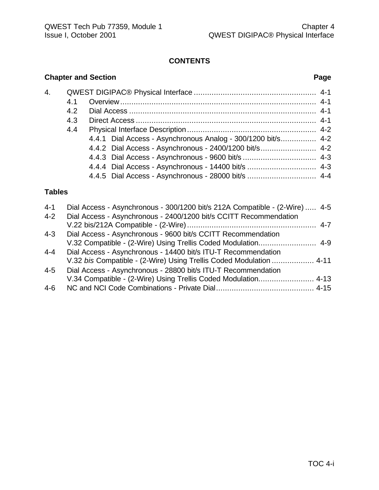### **CONTENTS**

# **Chapter and Section Page** 4. QWEST DIGIPAC® Physical Interface ....................................................... 4-1 4.1 Overview........................................................................................ 4-1 4.2 Dial Access .................................................................................... 4-1 4.3 Direct Access ................................................................................. 4-1 4.4 Physical Interface Description .......................................................... 4-2 4.4.1 Dial Access - Asynchronous Analog - 300/1200 bit/s................ 4-2 4.4.2 Dial Access - Asynchronous - 2400/1200 bit/s......................... 4-2 4.4.3 Dial Access - Asynchronous - 9600 bit/s ................................. 4-3 4.4.4 Dial Access - Asynchronous - 14400 bit/s ............................... 4-3 4.4.5 Dial Access - Asynchronous - 28000 bit/s ............................... 4-4 **Tables** 4-1 Dial Access - Asynchronous - 300/1200 bit/s 212A Compatible - (2-Wire) ..... 4-5 4-2 Dial Access - Asynchronous - 2400/1200 bit/s CCITT Recommendation V.22 bis/212A Compatible - (2-Wire).......................................................... 4-7 4-3 Dial Access - Asynchronous - 9600 bit/s CCITT Recommendation V.32 Compatible - (2-Wire) Using Trellis Coded Modulation.......................... 4-9 4-4 Dial Access - Asynchronous - 14400 bit/s ITU-T Recommendation V.32 *bis* Compatible - (2-Wire) Using Trellis Coded Modulation ................... 4-11

| 4-5 | Dial Access - Asynchronous - 28800 bit/s ITU-T Recommendation  |  |
|-----|----------------------------------------------------------------|--|
|     | V.34 Compatible - (2-Wire) Using Trellis Coded Modulation 4-13 |  |
| 4-6 |                                                                |  |

#### TOC 4-i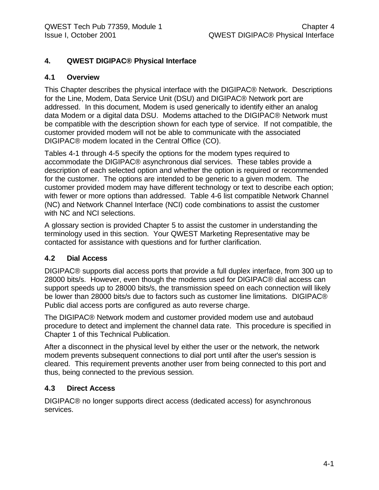# **4. QWEST DIGIPAC® Physical Interface**

#### **4.1 Overview**

This Chapter describes the physical interface with the DIGIPAC® Network. Descriptions for the Line, Modem, Data Service Unit (DSU) and DIGIPAC® Network port are addressed. In this document, Modem is used generically to identify either an analog data Modem or a digital data DSU. Modems attached to the DIGIPAC® Network must be compatible with the description shown for each type of service. If not compatible, the customer provided modem will not be able to communicate with the associated DIGIPAC® modem located in the Central Office (CO).

Tables 4-1 through 4-5 specify the options for the modem types required to accommodate the DIGIPAC® asynchronous dial services. These tables provide a description of each selected option and whether the option is required or recommended for the customer. The options are intended to be generic to a given modem. The customer provided modem may have different technology or text to describe each option; with fewer or more options than addressed. Table 4-6 list compatible Network Channel (NC) and Network Channel Interface (NCI) code combinations to assist the customer with NC and NCI selections.

A glossary section is provided Chapter 5 to assist the customer in understanding the terminology used in this section. Your QWEST Marketing Representative may be contacted for assistance with questions and for further clarification.

### **4.2 Dial Access**

DIGIPAC® supports dial access ports that provide a full duplex interface, from 300 up to 28000 bits/s. However, even though the modems used for DIGIPAC® dial access can support speeds up to 28000 bits/s, the transmission speed on each connection will likely be lower than 28000 bits/s due to factors such as customer line limitations. DIGIPAC® Public dial access ports are configured as auto reverse charge.

The DIGIPAC® Network modem and customer provided modem use and autobaud procedure to detect and implement the channel data rate. This procedure is specified in Chapter 1 of this Technical Publication.

After a disconnect in the physical level by either the user or the network, the network modem prevents subsequent connections to dial port until after the user's session is cleared. This requirement prevents another user from being connected to this port and thus, being connected to the previous session.

### **4.3 Direct Access**

DIGIPAC® no longer supports direct access (dedicated access) for asynchronous services.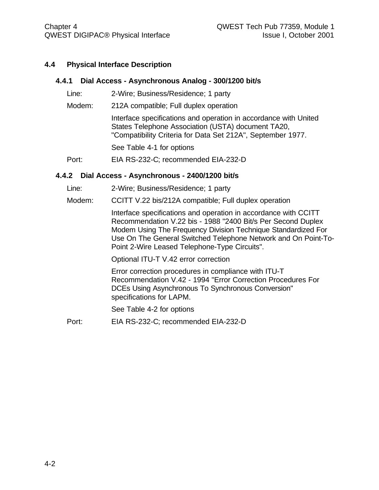#### **4.4 Physical Interface Description**

#### **4.4.1 Dial Access - Asynchronous Analog - 300/1200 bit/s**

- Line: 2-Wire; Business/Residence; 1 party
- Modem: 212A compatible; Full duplex operation

Interface specifications and operation in accordance with United States Telephone Association (USTA) document TA20, "Compatibility Criteria for Data Set 212A", September 1977.

See Table 4-1 for options

Port: EIA RS-232-C; recommended EIA-232-D

#### **4.4.2 Dial Access - Asynchronous - 2400/1200 bit/s**

- Line: 2-Wire; Business/Residence; 1 party
- Modem: CCITT V.22 bis/212A compatible; Full duplex operation

Interface specifications and operation in accordance with CCITT Recommendation V.22 bis - 1988 "2400 Bit/s Per Second Duplex Modem Using The Frequency Division Technique Standardized For Use On The General Switched Telephone Network and On Point-To-Point 2-Wire Leased Telephone-Type Circuits".

Optional ITU-T V.42 error correction

Error correction procedures in compliance with ITU-T Recommendation V.42 - 1994 "Error Correction Procedures For DCEs Using Asynchronous To Synchronous Conversion" specifications for LAPM.

See Table 4-2 for options

Port: EIA RS-232-C; recommended EIA-232-D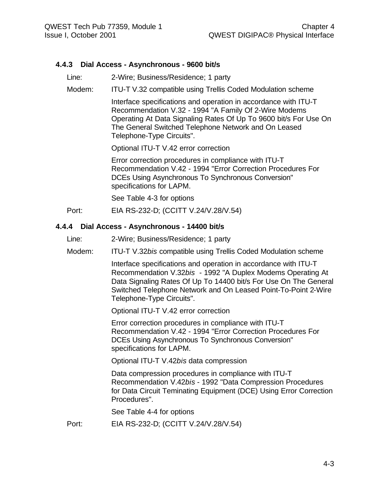#### **4.4.3 Dial Access - Asynchronous - 9600 bit/s**

- Line: 2-Wire; Business/Residence; 1 party
- Modem: ITU-T V.32 compatible using Trellis Coded Modulation scheme

Interface specifications and operation in accordance with ITU-T Recommendation V.32 - 1994 "A Family Of 2-Wire Modems Operating At Data Signaling Rates Of Up To 9600 bit/s For Use On The General Switched Telephone Network and On Leased Telephone-Type Circuits".

Optional ITU-T V.42 error correction

Error correction procedures in compliance with ITU-T Recommendation V.42 - 1994 "Error Correction Procedures For DCEs Using Asynchronous To Synchronous Conversion" specifications for LAPM.

See Table 4-3 for options

Port: EIA RS-232-D; (CCITT V.24/V.28/V.54)

#### **4.4.4 Dial Access - Asynchronous - 14400 bit/s**

- Line: 2-Wire; Business/Residence; 1 party
- Modem: ITU-T V.32*bis* compatible using Trellis Coded Modulation scheme

Interface specifications and operation in accordance with ITU-T Recommendation V.32*bis* - 1992 "A Duplex Modems Operating At Data Signaling Rates Of Up To 14400 bit/s For Use On The General Switched Telephone Network and On Leased Point-To-Point 2-Wire Telephone-Type Circuits".

Optional ITU-T V.42 error correction

Error correction procedures in compliance with ITU-T Recommendation V.42 - 1994 "Error Correction Procedures For DCEs Using Asynchronous To Synchronous Conversion" specifications for LAPM.

Optional ITU-T V.42*bis* data compression

Data compression procedures in compliance with ITU-T Recommendation V.42*bis* - 1992 "Data Compression Procedures for Data Circuit Teminating Equipment (DCE) Using Error Correction Procedures".

See Table 4-4 for options

Port: EIA RS-232-D; (CCITT V.24/V.28/V.54)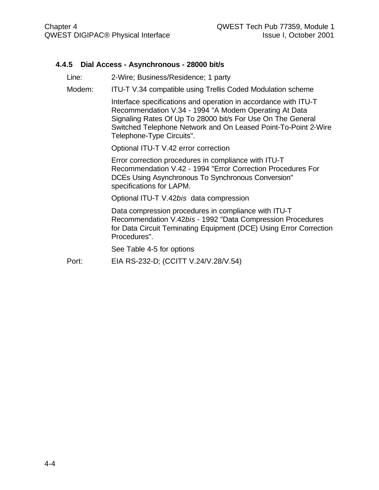#### **4.4.5 Dial Access - Asynchronous - 28000 bit/s**

Line: 2-Wire; Business/Residence; 1 party

Modem: ITU-T V.34 compatible using Trellis Coded Modulation scheme

Interface specifications and operation in accordance with ITU-T Recommendation V.34 - 1994 "A Modem Operating At Data Signaling Rates Of Up To 28000 bit/s For Use On The General Switched Telephone Network and On Leased Point-To-Point 2-Wire Telephone-Type Circuits".

Optional ITU-T V.42 error correction

Error correction procedures in compliance with ITU-T Recommendation V.42 - 1994 "Error Correction Procedures For DCEs Using Asynchronous To Synchronous Conversion" specifications for LAPM.

Optional ITU-T V.42*bis* data compression

Data compression procedures in compliance with ITU-T Recommendation V.42*bis* - 1992 "Data Compression Procedures for Data Circuit Teminating Equipment (DCE) Using Error Correction Procedures".

See Table 4-5 for options

Port: EIA RS-232-D; (CCITT V.24/V.28/V.54)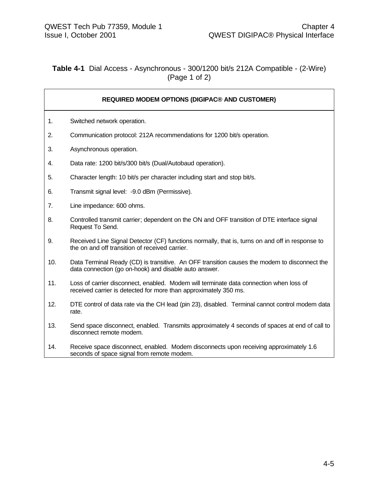## **Table 4-1** Dial Access - Asynchronous - 300/1200 bit/s 212A Compatible - (2-Wire) (Page 1 of 2)

|     | <b>REQUIRED MODEM OPTIONS (DIGIPAC® AND CUSTOMER)</b>                                                                                                      |
|-----|------------------------------------------------------------------------------------------------------------------------------------------------------------|
| 1.  | Switched network operation.                                                                                                                                |
| 2.  | Communication protocol: 212A recommendations for 1200 bit/s operation.                                                                                     |
| 3.  | Asynchronous operation.                                                                                                                                    |
| 4.  | Data rate: 1200 bit/s/300 bit/s (Dual/Autobaud operation).                                                                                                 |
| 5.  | Character length: 10 bit/s per character including start and stop bit/s.                                                                                   |
| 6.  | Transmit signal level: -9.0 dBm (Permissive).                                                                                                              |
| 7.  | Line impedance: 600 ohms.                                                                                                                                  |
| 8.  | Controlled transmit carrier; dependent on the ON and OFF transition of DTE interface signal<br>Request To Send.                                            |
| 9.  | Received Line Signal Detector (CF) functions normally, that is, turns on and off in response to<br>the on and off transition of received carrier.          |
| 10. | Data Terminal Ready (CD) is transitive. An OFF transition causes the modem to disconnect the<br>data connection (go on-hook) and disable auto answer.      |
| 11. | Loss of carrier disconnect, enabled. Modem will terminate data connection when loss of<br>received carrier is detected for more than approximately 350 ms. |
| 12. | DTE control of data rate via the CH lead (pin 23), disabled. Terminal cannot control modem data<br>rate.                                                   |
| 13. | Send space disconnect, enabled. Transmits approximately 4 seconds of spaces at end of call to<br>disconnect remote modem.                                  |
| 14. | Receive space disconnect, enabled. Modem disconnects upon receiving approximately 1.6<br>seconds of space signal from remote modem.                        |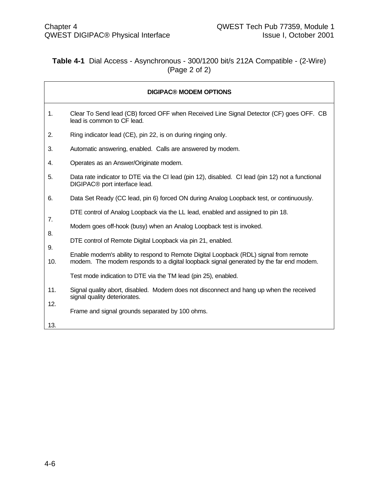# **Table 4-1** Dial Access - Asynchronous - 300/1200 bit/s 212A Compatible - (2-Wire) (Page 2 of 2)

|            | <b>DIGIPAC® MODEM OPTIONS</b>                                                                                                                                                   |
|------------|---------------------------------------------------------------------------------------------------------------------------------------------------------------------------------|
| 1.         | Clear To Send lead (CB) forced OFF when Received Line Signal Detector (CF) goes OFF. CB<br>lead is common to CF lead.                                                           |
| 2.         | Ring indicator lead (CE), pin 22, is on during ringing only.                                                                                                                    |
| 3.         | Automatic answering, enabled. Calls are answered by modem.                                                                                                                      |
| 4.         | Operates as an Answer/Originate modem.                                                                                                                                          |
| 5.         | Data rate indicator to DTE via the CI lead (pin 12), disabled. CI lead (pin 12) not a functional<br>DIGIPAC <sup>®</sup> port interface lead.                                   |
| 6.         | Data Set Ready (CC lead, pin 6) forced ON during Analog Loopback test, or continuously.                                                                                         |
| 7.         | DTE control of Analog Loopback via the LL lead, enabled and assigned to pin 18.                                                                                                 |
| 8.         | Modem goes off-hook (busy) when an Analog Loopback test is invoked.                                                                                                             |
| 9.         | DTE control of Remote Digital Loopback via pin 21, enabled.                                                                                                                     |
| 10.        | Enable modem's ability to respond to Remote Digital Loopback (RDL) signal from remote<br>modem. The modem responds to a digital loopback signal generated by the far end modem. |
|            | Test mode indication to DTE via the TM lead (pin 25), enabled.                                                                                                                  |
| 11.<br>12. | Signal quality abort, disabled. Modem does not disconnect and hang up when the received<br>signal quality deteriorates.                                                         |
|            | Frame and signal grounds separated by 100 ohms.                                                                                                                                 |
| 13.        |                                                                                                                                                                                 |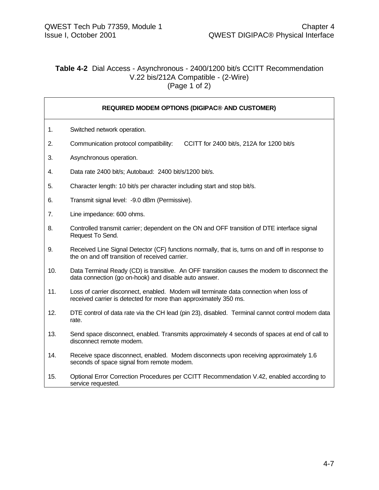#### **Table 4-2** Dial Access - Asynchronous - 2400/1200 bit/s CCITT Recommendation V.22 bis/212A Compatible - (2-Wire)  $(Page 1 of 2)$

| <b>REQUIRED MODEM OPTIONS (DIGIPAC® AND CUSTOMER)</b> |                                                                                                                                                            |
|-------------------------------------------------------|------------------------------------------------------------------------------------------------------------------------------------------------------------|
| 1.                                                    | Switched network operation.                                                                                                                                |
| 2.                                                    | Communication protocol compatibility:<br>CCITT for 2400 bit/s, 212A for 1200 bit/s                                                                         |
| 3.                                                    | Asynchronous operation.                                                                                                                                    |
| 4.                                                    | Data rate 2400 bit/s; Autobaud: 2400 bit/s/1200 bit/s.                                                                                                     |
| 5.                                                    | Character length: 10 bit/s per character including start and stop bit/s.                                                                                   |
| 6.                                                    | Transmit signal level: - 9.0 dBm (Permissive).                                                                                                             |
| 7.                                                    | Line impedance: 600 ohms.                                                                                                                                  |
| 8.                                                    | Controlled transmit carrier; dependent on the ON and OFF transition of DTE interface signal<br>Request To Send.                                            |
| 9.                                                    | Received Line Signal Detector (CF) functions normally, that is, turns on and off in response to<br>the on and off transition of received carrier.          |
| 10.                                                   | Data Terminal Ready (CD) is transitive. An OFF transition causes the modem to disconnect the<br>data connection (go on-hook) and disable auto answer.      |
| 11.                                                   | Loss of carrier disconnect, enabled. Modem will terminate data connection when loss of<br>received carrier is detected for more than approximately 350 ms. |
| 12.                                                   | DTE control of data rate via the CH lead (pin 23), disabled. Terminal cannot control modem data<br>rate.                                                   |
| 13.                                                   | Send space disconnect, enabled. Transmits approximately 4 seconds of spaces at end of call to<br>disconnect remote modem.                                  |
| 14.                                                   | Receive space disconnect, enabled. Modem disconnects upon receiving approximately 1.6<br>seconds of space signal from remote modem.                        |
| 15.                                                   | Optional Error Correction Procedures per CCITT Recommendation V.42, enabled according to<br>service requested.                                             |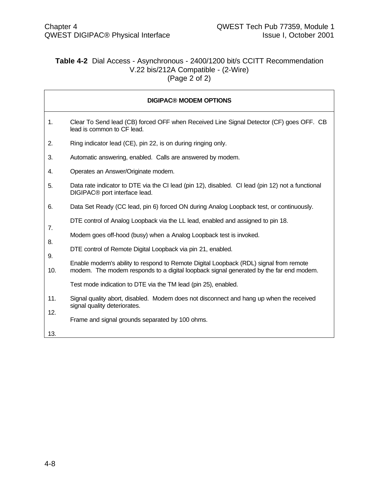#### **Table 4-2** Dial Access - Asynchronous - 2400/1200 bit/s CCITT Recommendation V.22 bis/212A Compatible - (2-Wire) (Page 2 of 2)

|           | <b>DIGIPAC® MODEM OPTIONS</b>                                                                                                                                                   |
|-----------|---------------------------------------------------------------------------------------------------------------------------------------------------------------------------------|
| 1.        | Clear To Send lead (CB) forced OFF when Received Line Signal Detector (CF) goes OFF. CB<br>lead is common to CF lead.                                                           |
| 2.        | Ring indicator lead (CE), pin 22, is on during ringing only.                                                                                                                    |
| 3.        | Automatic answering, enabled. Calls are answered by modem.                                                                                                                      |
| 4.        | Operates an Answer/Originate modem.                                                                                                                                             |
| 5.        | Data rate indicator to DTE via the CI lead (pin 12), disabled. CI lead (pin 12) not a functional<br>DIGIPAC <sup>®</sup> port interface lead.                                   |
| 6.        | Data Set Ready (CC lead, pin 6) forced ON during Analog Loopback test, or continuously.                                                                                         |
| 7.        | DTE control of Analog Loopback via the LL lead, enabled and assigned to pin 18.                                                                                                 |
| 8.        | Modem goes off-hood (busy) when a Analog Loopback test is invoked.                                                                                                              |
|           | DTE control of Remote Digital Loopback via pin 21, enabled.                                                                                                                     |
| 9.<br>10. | Enable modem's ability to respond to Remote Digital Loopback (RDL) signal from remote<br>modem. The modem responds to a digital loopback signal generated by the far end modem. |
|           | Test mode indication to DTE via the TM lead (pin 25), enabled.                                                                                                                  |
| 11.       | Signal quality abort, disabled. Modem does not disconnect and hang up when the received<br>signal quality deteriorates.                                                         |
| 12.       | Frame and signal grounds separated by 100 ohms.                                                                                                                                 |
| 13.       |                                                                                                                                                                                 |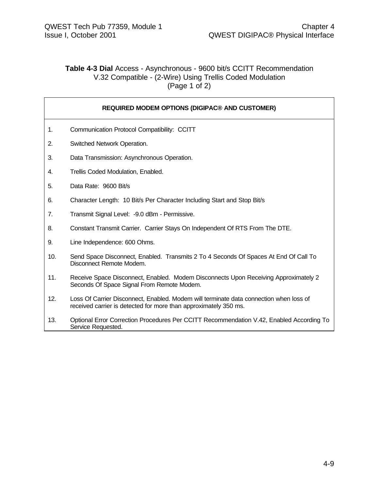#### **Table 4-3 Dial** Access - Asynchronous - 9600 bit/s CCITT Recommendation V.32 Compatible - (2-Wire) Using Trellis Coded Modulation (Page 1 of 2)

**REQUIRED MODEM OPTIONS (DIGIPAC® AND CUSTOMER)**

| 1.  | Communication Protocol Compatibility: CCITT                                                                                                                |
|-----|------------------------------------------------------------------------------------------------------------------------------------------------------------|
| 2.  | Switched Network Operation.                                                                                                                                |
| 3.  | Data Transmission: Asynchronous Operation.                                                                                                                 |
| 4.  | Trellis Coded Modulation, Enabled.                                                                                                                         |
| 5.  | Data Rate: 9600 Bit/s                                                                                                                                      |
| 6.  | Character Length: 10 Bit/s Per Character Including Start and Stop Bit/s                                                                                    |
| 7.  | Transmit Signal Level: -9.0 dBm - Permissive.                                                                                                              |
| 8.  | Constant Transmit Carrier. Carrier Stays On Independent Of RTS From The DTE.                                                                               |
| 9.  | Line Independence: 600 Ohms.                                                                                                                               |
| 10. | Send Space Disconnect, Enabled. Transmits 2 To 4 Seconds Of Spaces At End Of Call To<br>Disconnect Remote Modem.                                           |
| 11. | Receive Space Disconnect, Enabled. Modem Disconnects Upon Receiving Approximately 2<br>Seconds Of Space Signal From Remote Modem.                          |
| 12. | Loss Of Carrier Disconnect, Enabled. Modem will terminate data connection when loss of<br>received carrier is detected for more than approximately 350 ms. |
| 13. | Optional Error Correction Procedures Per CCITT Recommendation V.42, Enabled According To                                                                   |

Service Requested.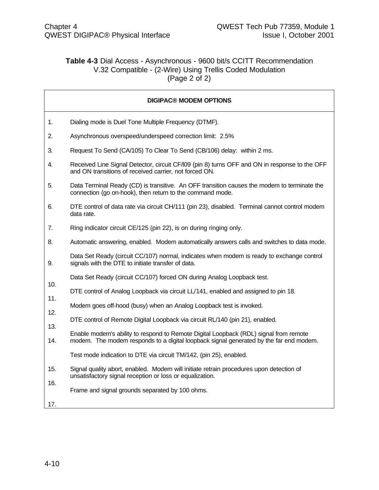### **Table 4-3** Dial Access - Asynchronous - 9600 bit/s CCITT Recommendation V.32 Compatible - (2-Wire) Using Trellis Coded Modulation (Page 2 of 2)

|     | <b>DIGIPAC® MODEM OPTIONS</b>                                                                                                                            |
|-----|----------------------------------------------------------------------------------------------------------------------------------------------------------|
| 1.  | Dialing mode is Duel Tone Multiple Frequency (DTMF).                                                                                                     |
| 2.  | Asynchronous overspeed/underspeed correction limit: 2.5%                                                                                                 |
| 3.  | Request To Send (CA/105) To Clear To Send (CB/106) delay: within 2 ms.                                                                                   |
| 4.  | Received Line Signal Detector, circuit CF/I09 (pin 8) turns OFF and ON in response to the OFF<br>and ON transitions of received carrier, not forced ON.  |
| 5.  | Data Terminal Ready (CD) is transitive. An OFF transition causes the modem to terminate the<br>connection (go on-hook), then return to the command mode. |
| 6.  | DTE control of data rate via circuit CH/111 (pin 23), disabled. Terminal cannot control modem<br>data rate.                                              |
| 7.  | Ring indicator circuit CE/125 (pin 22), is on during ringing only.                                                                                       |
| 8.  | Automatic answering, enabled. Modem automatically answers calls and switches to data mode.                                                               |
| 9.  | Data Set Ready (circuit CC/107) normal, indicates when modem is ready to exchange control<br>signals with the DTE to initiate transfer of data.          |
|     | Data Set Ready (circuit CC/107) forced ON during Analog Loopback test.                                                                                   |
| 10. | DTE control of Analog Loopback via circuit LL/141, enabled and assigned to pin 18.                                                                       |
| 11. | Modem goes off-hood (busy) when an Analog Loopback test is invoked.                                                                                      |
| 12. | DTE control of Remote Digital Loopback via circuit RL/140 (pin 21), enabled.                                                                             |
| 13. | Enable modem's ability to respond to Remote Digital Loopback (RDL) signal from remote                                                                    |
| 14. | modem. The modem responds to a digital loopback signal generated by the far end modem.                                                                   |
|     | Test mode indication to DTE via circuit TM/142, (pin 25), enabled.                                                                                       |
| 15. | Signal quality abort, enabled. Modem will initiate retrain procedures upon detection of<br>unsatisfactory signal reception or loss or equalization.      |
| 16. | Frame and signal grounds separated by 100 ohms.                                                                                                          |
| 17. |                                                                                                                                                          |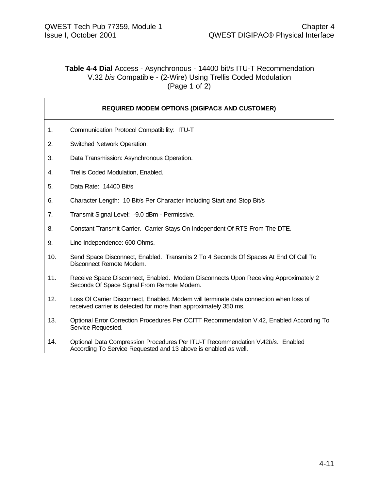#### **Table 4-4 Dial** Access - Asynchronous - 14400 bit/s ITU-T Recommendation V.32 *bis* Compatible - (2-Wire) Using Trellis Coded Modulation (Page 1 of 2)

**REQUIRED MODEM OPTIONS (DIGIPAC® AND CUSTOMER)**

| 1.  | Communication Protocol Compatibility: ITU-T                                                                                                                |
|-----|------------------------------------------------------------------------------------------------------------------------------------------------------------|
| 2.  | Switched Network Operation.                                                                                                                                |
| 3.  | Data Transmission: Asynchronous Operation.                                                                                                                 |
| 4.  | Trellis Coded Modulation, Enabled.                                                                                                                         |
| 5.  | Data Rate: 14400 Bit/s                                                                                                                                     |
| 6.  | Character Length: 10 Bit/s Per Character Including Start and Stop Bit/s                                                                                    |
| 7.  | Transmit Signal Level: - 9.0 dBm - Permissive.                                                                                                             |
| 8.  | Constant Transmit Carrier. Carrier Stays On Independent Of RTS From The DTE.                                                                               |
| 9.  | Line Independence: 600 Ohms.                                                                                                                               |
| 10. | Send Space Disconnect, Enabled. Transmits 2 To 4 Seconds Of Spaces At End Of Call To<br>Disconnect Remote Modem.                                           |
| 11. | Receive Space Disconnect, Enabled. Modem Disconnects Upon Receiving Approximately 2<br>Seconds Of Space Signal From Remote Modem.                          |
| 12. | Loss Of Carrier Disconnect, Enabled. Modem will terminate data connection when loss of<br>received carrier is detected for more than approximately 350 ms. |
| 13. | Optional Error Correction Procedures Per CCITT Recommendation V.42, Enabled According To<br>Service Requested.                                             |

14. Optional Data Compression Procedures Per ITU-T Recommendation V.42*bis*. Enabled According To Service Requested and 13 above is enabled as well.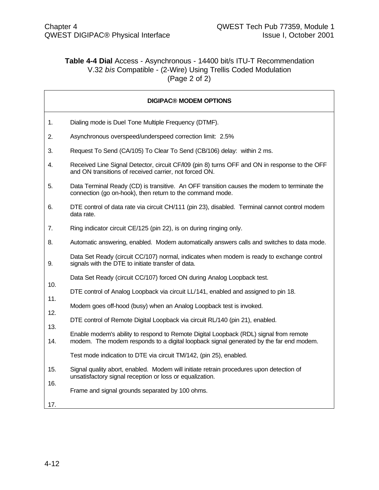# **Table 4-4 Dial** Access - Asynchronous - 14400 bit/s ITU-T Recommendation V.32 *bis* Compatible - (2-Wire) Using Trellis Coded Modulation (Page 2 of 2)

|     | <b>DIGIPAC® MODEM OPTIONS</b>                                                                                                                            |
|-----|----------------------------------------------------------------------------------------------------------------------------------------------------------|
| 1.  | Dialing mode is Duel Tone Multiple Frequency (DTMF).                                                                                                     |
| 2.  | Asynchronous overspeed/underspeed correction limit: 2.5%                                                                                                 |
| 3.  | Request To Send (CA/105) To Clear To Send (CB/106) delay: within 2 ms.                                                                                   |
| 4.  | Received Line Signal Detector, circuit CF/I09 (pin 8) turns OFF and ON in response to the OFF<br>and ON transitions of received carrier, not forced ON.  |
| 5.  | Data Terminal Ready (CD) is transitive. An OFF transition causes the modem to terminate the<br>connection (go on-hook), then return to the command mode. |
| 6.  | DTE control of data rate via circuit CH/111 (pin 23), disabled. Terminal cannot control modem<br>data rate.                                              |
| 7.  | Ring indicator circuit CE/125 (pin 22), is on during ringing only.                                                                                       |
| 8.  | Automatic answering, enabled. Modem automatically answers calls and switches to data mode.                                                               |
| 9.  | Data Set Ready (circuit CC/107) normal, indicates when modem is ready to exchange control<br>signals with the DTE to initiate transfer of data.          |
|     | Data Set Ready (circuit CC/107) forced ON during Analog Loopback test.                                                                                   |
| 10. | DTE control of Analog Loopback via circuit LL/141, enabled and assigned to pin 18.                                                                       |
| 11. | Modem goes off-hood (busy) when an Analog Loopback test is invoked.                                                                                      |
| 12. | DTE control of Remote Digital Loopback via circuit RL/140 (pin 21), enabled.                                                                             |
| 13. | Enable modem's ability to respond to Remote Digital Loopback (RDL) signal from remote                                                                    |
| 14. | modem. The modem responds to a digital loopback signal generated by the far end modem.                                                                   |
|     | Test mode indication to DTE via circuit TM/142, (pin 25), enabled.                                                                                       |
| 15. | Signal quality abort, enabled. Modem will initiate retrain procedures upon detection of<br>unsatisfactory signal reception or loss or equalization.      |
| 16. | Frame and signal grounds separated by 100 ohms.                                                                                                          |
| 17. |                                                                                                                                                          |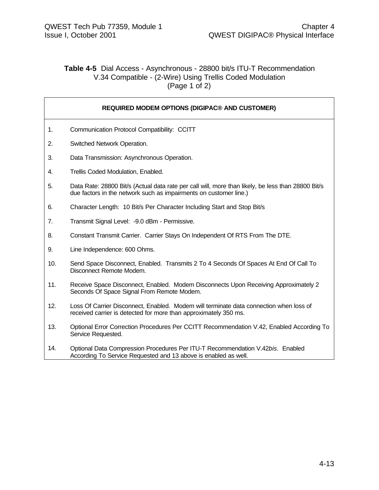#### **Table 4-5** Dial Access - Asynchronous - 28800 bit/s ITU-T Recommendation V.34 Compatible - (2-Wire) Using Trellis Coded Modulation (Page 1 of 2)

|     | <b>REQUIRED MODEM OPTIONS (DIGIPAC® AND CUSTOMER)</b>                                                                                                                   |
|-----|-------------------------------------------------------------------------------------------------------------------------------------------------------------------------|
| 1.  | Communication Protocol Compatibility: CCITT                                                                                                                             |
| 2.  | Switched Network Operation.                                                                                                                                             |
| 3.  | Data Transmission: Asynchronous Operation.                                                                                                                              |
| 4.  | Trellis Coded Modulation, Enabled.                                                                                                                                      |
| 5.  | Data Rate: 28800 Bit/s (Actual data rate per call will, more than likely, be less than 28800 Bit/s<br>due factors in the network such as impairments on customer line.) |
| 6.  | Character Length: 10 Bit/s Per Character Including Start and Stop Bit/s                                                                                                 |
| 7.  | Transmit Signal Level: -9.0 dBm - Permissive.                                                                                                                           |
| 8.  | Constant Transmit Carrier. Carrier Stays On Independent Of RTS From The DTE.                                                                                            |
| 9.  | Line Independence: 600 Ohms.                                                                                                                                            |
| 10. | Send Space Disconnect, Enabled. Transmits 2 To 4 Seconds Of Spaces At End Of Call To<br>Disconnect Remote Modem.                                                        |
| 11. | Receive Space Disconnect, Enabled. Modem Disconnects Upon Receiving Approximately 2<br>Seconds Of Space Signal From Remote Modem.                                       |
| 12. | Loss Of Carrier Disconnect, Enabled. Modem will terminate data connection when loss of<br>received carrier is detected for more than approximately 350 ms.              |
| 13. | Optional Error Correction Procedures Per CCITT Recommendation V.42, Enabled According To<br>Service Requested.                                                          |
| 14. | Optional Data Compression Procedures Per ITU-T Recommendation V.42bis. Enabled<br>According To Service Requested and 13 above is enabled as well.                       |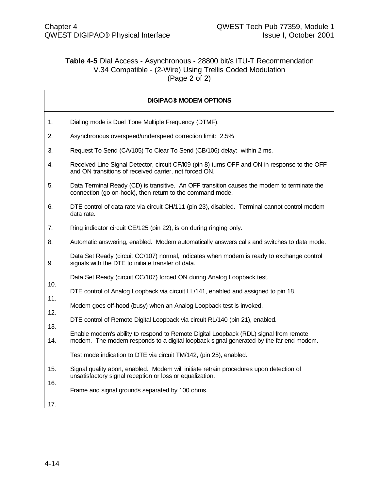# **Table 4-5** Dial Access - Asynchronous - 28800 bit/s ITU-T Recommendation V.34 Compatible - (2-Wire) Using Trellis Coded Modulation (Page 2 of 2)

|     | <b>DIGIPAC® MODEM OPTIONS</b>                                                                                                                            |
|-----|----------------------------------------------------------------------------------------------------------------------------------------------------------|
| 1.  | Dialing mode is Duel Tone Multiple Frequency (DTMF).                                                                                                     |
| 2.  | Asynchronous overspeed/underspeed correction limit: 2.5%                                                                                                 |
| 3.  | Request To Send (CA/105) To Clear To Send (CB/106) delay: within 2 ms.                                                                                   |
| 4.  | Received Line Signal Detector, circuit CF/I09 (pin 8) turns OFF and ON in response to the OFF<br>and ON transitions of received carrier, not forced ON.  |
| 5.  | Data Terminal Ready (CD) is transitive. An OFF transition causes the modem to terminate the<br>connection (go on-hook), then return to the command mode. |
| 6.  | DTE control of data rate via circuit CH/111 (pin 23), disabled. Terminal cannot control modem<br>data rate.                                              |
| 7.  | Ring indicator circuit CE/125 (pin 22), is on during ringing only.                                                                                       |
| 8.  | Automatic answering, enabled. Modem automatically answers calls and switches to data mode.                                                               |
| 9.  | Data Set Ready (circuit CC/107) normal, indicates when modem is ready to exchange control<br>signals with the DTE to initiate transfer of data.          |
|     | Data Set Ready (circuit CC/107) forced ON during Analog Loopback test.                                                                                   |
| 10. | DTE control of Analog Loopback via circuit LL/141, enabled and assigned to pin 18.                                                                       |
| 11. | Modem goes off-hood (busy) when an Analog Loopback test is invoked.                                                                                      |
| 12. | DTE control of Remote Digital Loopback via circuit RL/140 (pin 21), enabled.                                                                             |
| 13. | Enable modem's ability to respond to Remote Digital Loopback (RDL) signal from remote                                                                    |
| 14. | modem. The modem responds to a digital loopback signal generated by the far end modem.                                                                   |
|     | Test mode indication to DTE via circuit TM/142, (pin 25), enabled.                                                                                       |
| 15. | Signal quality abort, enabled. Modem will initiate retrain procedures upon detection of<br>unsatisfactory signal reception or loss or equalization.      |
| 16. | Frame and signal grounds separated by 100 ohms.                                                                                                          |
| 17. |                                                                                                                                                          |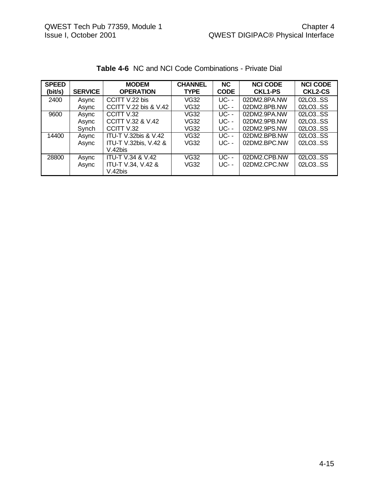| <b>SPEED</b><br>(bit/s) | <b>SERVICE</b> | <b>MODEM</b><br><b>OPERATION</b> | <b>CHANNEL</b><br><b>TYPE</b> | <b>NC</b><br><b>CODE</b> | <b>NCI CODE</b><br><b>CKL1-PS</b> | <b>NCI CODE</b><br><b>CKL2-CS</b> |
|-------------------------|----------------|----------------------------------|-------------------------------|--------------------------|-----------------------------------|-----------------------------------|
| 2400                    | Async          | CCITT V.22 bis                   | VG32                          | <b>UC--</b>              | 02DM2.8PA.NW                      | 02LO3SS                           |
|                         | Async          | CCITT V.22 bis & V.42            | VG32                          | UC- -                    | 02DM2.8PB.NW                      | 02LO3SS                           |
| 9600                    | Async          | CCITT V.32                       | <b>VG32</b>                   | <b>UC--</b>              | 02DM2.9PA.NW                      | 02LO3SS                           |
|                         | Async          | <b>CCITT V.32 &amp; V.42</b>     | VG32                          | <b>UC--</b>              | 02DM2.9PB.NW                      | 02LO3SS                           |
|                         | Synch          | CCITT V.32                       | VG32                          | <b>UC--</b>              | 02DM2.9PS.NW                      | 02LO3SS                           |
| 14400                   | Async          | <b>ITU-T V.32bis &amp; V.42</b>  | VG32                          | $UC - -$                 | 02DM2.BPB.NW                      | 02LO3SS                           |
|                         | Async          | ITU-T V.32bis, V.42 &            | VG32                          | <b>UC--</b>              | 02DM2.BPC.NW                      | 02LO3SS                           |
|                         |                | V.42bis                          |                               |                          |                                   |                                   |
| 28800                   | Async          | <b>ITU-T V.34 &amp; V.42</b>     | <b>VG32</b>                   | $UC - -$                 | 02DM2.CPB.NW                      | 02LO3SS                           |
|                         | Async          | ITU-T V.34, V.42 &               | VG32                          | <b>UC- -</b>             | 02DM2.CPC.NW                      | 02LO3SS                           |
|                         |                | V.42bis                          |                               |                          |                                   |                                   |

# **Table 4-6** NC and NCI Code Combinations - Private Dial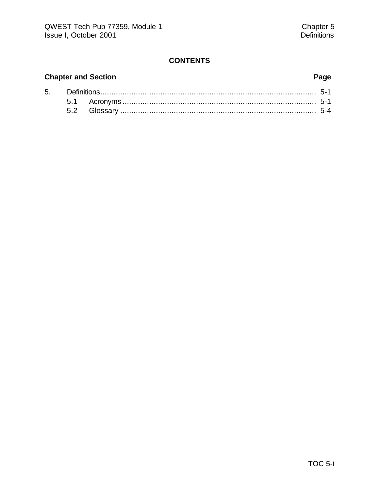# **CONTENTS**

# **Chapter and Section Page**

| 5. |  |  |
|----|--|--|
|    |  |  |
|    |  |  |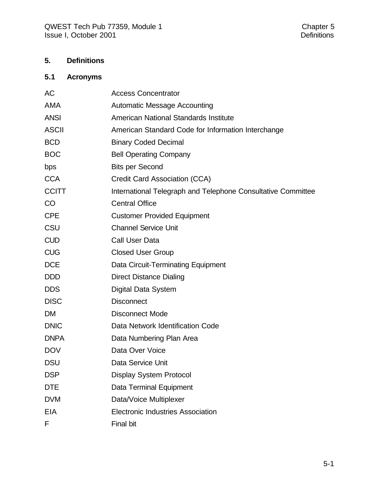# **5. Definitions**

# **5.1 Acronyms**

| AC           | <b>Access Concentrator</b>                                   |
|--------------|--------------------------------------------------------------|
| <b>AMA</b>   | <b>Automatic Message Accounting</b>                          |
| <b>ANSI</b>  | American National Standards Institute                        |
| <b>ASCII</b> | American Standard Code for Information Interchange           |
| <b>BCD</b>   | <b>Binary Coded Decimal</b>                                  |
| <b>BOC</b>   | <b>Bell Operating Company</b>                                |
| bps          | <b>Bits per Second</b>                                       |
| <b>CCA</b>   | Credit Card Association (CCA)                                |
| <b>CCITT</b> | International Telegraph and Telephone Consultative Committee |
| CO           | <b>Central Office</b>                                        |
| <b>CPE</b>   | <b>Customer Provided Equipment</b>                           |
| CSU          | <b>Channel Service Unit</b>                                  |
| <b>CUD</b>   | Call User Data                                               |
| <b>CUG</b>   | <b>Closed User Group</b>                                     |
| <b>DCE</b>   | Data Circuit-Terminating Equipment                           |
| <b>DDD</b>   | <b>Direct Distance Dialing</b>                               |
| <b>DDS</b>   | Digital Data System                                          |
| <b>DISC</b>  | <b>Disconnect</b>                                            |
| <b>DM</b>    | <b>Disconnect Mode</b>                                       |
| <b>DNIC</b>  | Data Network Identification Code                             |
| <b>DNPA</b>  | Data Numbering Plan Area                                     |
| <b>DOV</b>   | Data Over Voice                                              |
| <b>DSU</b>   | Data Service Unit                                            |
| <b>DSP</b>   | <b>Display System Protocol</b>                               |
| <b>DTE</b>   | Data Terminal Equipment                                      |
| <b>DVM</b>   | Data/Voice Multiplexer                                       |
| <b>EIA</b>   | <b>Electronic Industries Association</b>                     |
| F            | <b>Final bit</b>                                             |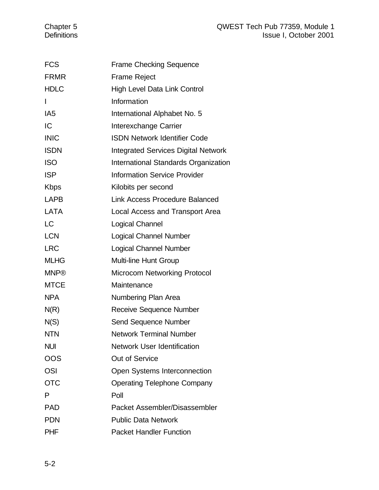| <b>FCS</b>      | <b>Frame Checking Sequence</b>             |
|-----------------|--------------------------------------------|
| <b>FRMR</b>     | <b>Frame Reject</b>                        |
| <b>HDLC</b>     | High Level Data Link Control               |
| $\mathsf{I}$    | Information                                |
| IA <sub>5</sub> | International Alphabet No. 5               |
| IC              | Interexchange Carrier                      |
| <b>INIC</b>     | <b>ISDN Network Identifier Code</b>        |
| <b>ISDN</b>     | <b>Integrated Services Digital Network</b> |
| <b>ISO</b>      | International Standards Organization       |
| <b>ISP</b>      | <b>Information Service Provider</b>        |
| <b>Kbps</b>     | Kilobits per second                        |
| LAPB            | <b>Link Access Procedure Balanced</b>      |
| <b>LATA</b>     | Local Access and Transport Area            |
| <b>LC</b>       | Logical Channel                            |
| <b>LCN</b>      | <b>Logical Channel Number</b>              |
| <b>LRC</b>      | <b>Logical Channel Number</b>              |
| <b>MLHG</b>     | Multi-line Hunt Group                      |
| <b>MNP®</b>     | <b>Microcom Networking Protocol</b>        |
| <b>MTCE</b>     | Maintenance                                |
| <b>NPA</b>      | Numbering Plan Area                        |
| N(R)            | Receive Sequence Number                    |
| N(S)            | <b>Send Sequence Number</b>                |
| <b>NTN</b>      | <b>Network Terminal Number</b>             |
| <b>NUI</b>      | <b>Network User Identification</b>         |
| OOS             | <b>Out of Service</b>                      |
| <b>OSI</b>      | Open Systems Interconnection               |
| <b>OTC</b>      | <b>Operating Telephone Company</b>         |
| P               | Poll                                       |
| <b>PAD</b>      | Packet Assembler/Disassembler              |
| <b>PDN</b>      | <b>Public Data Network</b>                 |
| <b>PHF</b>      | <b>Packet Handler Function</b>             |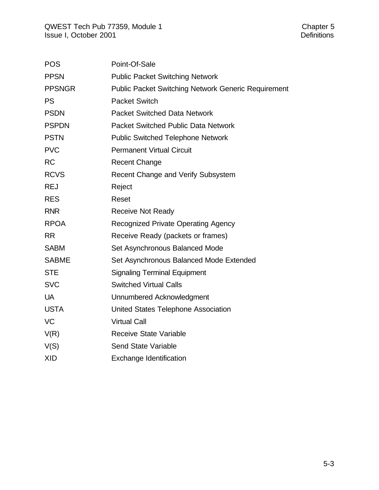| <b>POS</b>    | Point-Of-Sale                                              |
|---------------|------------------------------------------------------------|
| <b>PPSN</b>   | <b>Public Packet Switching Network</b>                     |
| <b>PPSNGR</b> | <b>Public Packet Switching Network Generic Requirement</b> |
| <b>PS</b>     | <b>Packet Switch</b>                                       |
| <b>PSDN</b>   | <b>Packet Switched Data Network</b>                        |
| <b>PSPDN</b>  | <b>Packet Switched Public Data Network</b>                 |
| <b>PSTN</b>   | <b>Public Switched Telephone Network</b>                   |
| <b>PVC</b>    | <b>Permanent Virtual Circuit</b>                           |
| <b>RC</b>     | <b>Recent Change</b>                                       |
| <b>RCVS</b>   | Recent Change and Verify Subsystem                         |
| <b>REJ</b>    | Reject                                                     |
| <b>RES</b>    | Reset                                                      |
| <b>RNR</b>    | <b>Receive Not Ready</b>                                   |
| <b>RPOA</b>   | <b>Recognized Private Operating Agency</b>                 |
| <b>RR</b>     | Receive Ready (packets or frames)                          |
| <b>SABM</b>   | Set Asynchronous Balanced Mode                             |
| <b>SABME</b>  | Set Asynchronous Balanced Mode Extended                    |
| <b>STE</b>    | <b>Signaling Terminal Equipment</b>                        |
| <b>SVC</b>    | <b>Switched Virtual Calls</b>                              |
| <b>UA</b>     | Unnumbered Acknowledgment                                  |
| <b>USTA</b>   | United States Telephone Association                        |
| <b>VC</b>     | <b>Virtual Call</b>                                        |
| V(R)          | <b>Receive State Variable</b>                              |
| V(S)          | <b>Send State Variable</b>                                 |
| <b>XID</b>    | <b>Exchange Identification</b>                             |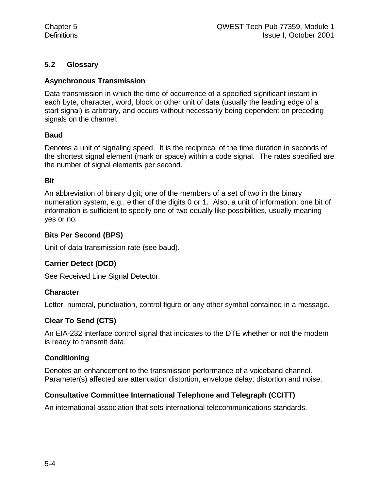# **5.2 Glossary**

# **Asynchronous Transmission**

Data transmission in which the time of occurrence of a specified significant instant in each byte, character, word, block or other unit of data (usually the leading edge of a start signal) is arbitrary, and occurs without necessarily being dependent on preceding signals on the channel.

# **Baud**

Denotes a unit of signaling speed. It is the reciprocal of the time duration in seconds of the shortest signal element (mark or space) within a code signal. The rates specified are the number of signal elements per second.

#### **Bit**

An abbreviation of binary digit; one of the members of a set of two in the binary numeration system, e.g., either of the digits 0 or 1. Also, a unit of information; one bit of information is sufficient to specify one of two equally like possibilities, usually meaning yes or no.

#### **Bits Per Second (BPS)**

Unit of data transmission rate (see baud).

# **Carrier Detect (DCD)**

See Received Line Signal Detector.

# **Character**

Letter, numeral, punctuation, control figure or any other symbol contained in a message.

# **Clear To Send (CTS)**

An EIA-232 interface control signal that indicates to the DTE whether or not the modem is ready to transmit data.

# **Conditioning**

Denotes an enhancement to the transmission performance of a voiceband channel. Parameter(s) affected are attenuation distortion, envelope delay, distortion and noise.

# **Consultative Committee International Telephone and Telegraph (CCITT)**

An international association that sets international telecommunications standards.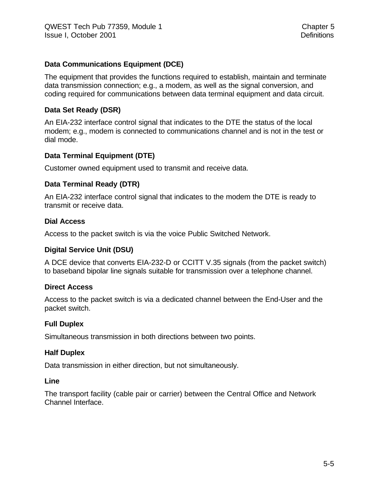# **Data Communications Equipment (DCE)**

The equipment that provides the functions required to establish, maintain and terminate data transmission connection; e.g., a modem, as well as the signal conversion, and coding required for communications between data terminal equipment and data circuit.

#### **Data Set Ready (DSR)**

An EIA-232 interface control signal that indicates to the DTE the status of the local modem; e.g., modem is connected to communications channel and is not in the test or dial mode.

#### **Data Terminal Equipment (DTE)**

Customer owned equipment used to transmit and receive data.

#### **Data Terminal Ready (DTR)**

An EIA-232 interface control signal that indicates to the modem the DTE is ready to transmit or receive data.

#### **Dial Access**

Access to the packet switch is via the voice Public Switched Network.

#### **Digital Service Unit (DSU)**

A DCE device that converts EIA-232-D or CCITT V.35 signals (from the packet switch) to baseband bipolar line signals suitable for transmission over a telephone channel.

#### **Direct Access**

Access to the packet switch is via a dedicated channel between the End-User and the packet switch.

#### **Full Duplex**

Simultaneous transmission in both directions between two points.

#### **Half Duplex**

Data transmission in either direction, but not simultaneously.

#### **Line**

The transport facility (cable pair or carrier) between the Central Office and Network Channel Interface.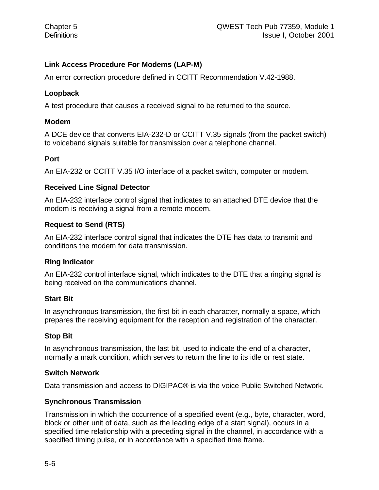# **Link Access Procedure For Modems (LAP-M)**

An error correction procedure defined in CCITT Recommendation V.42-1988.

### **Loopback**

A test procedure that causes a received signal to be returned to the source.

#### **Modem**

A DCE device that converts EIA-232-D or CCITT V.35 signals (from the packet switch) to voiceband signals suitable for transmission over a telephone channel.

#### **Port**

An EIA-232 or CCITT V.35 I/O interface of a packet switch, computer or modem.

#### **Received Line Signal Detector**

An EIA-232 interface control signal that indicates to an attached DTE device that the modem is receiving a signal from a remote modem.

# **Request to Send (RTS)**

An EIA-232 interface control signal that indicates the DTE has data to transmit and conditions the modem for data transmission.

# **Ring Indicator**

An EIA-232 control interface signal, which indicates to the DTE that a ringing signal is being received on the communications channel.

# **Start Bit**

In asynchronous transmission, the first bit in each character, normally a space, which prepares the receiving equipment for the reception and registration of the character.

# **Stop Bit**

In asynchronous transmission, the last bit, used to indicate the end of a character, normally a mark condition, which serves to return the line to its idle or rest state.

#### **Switch Network**

Data transmission and access to DIGIPAC® is via the voice Public Switched Network.

# **Synchronous Transmission**

Transmission in which the occurrence of a specified event (e.g., byte, character, word, block or other unit of data, such as the leading edge of a start signal), occurs in a specified time relationship with a preceding signal in the channel, in accordance with a specified timing pulse, or in accordance with a specified time frame.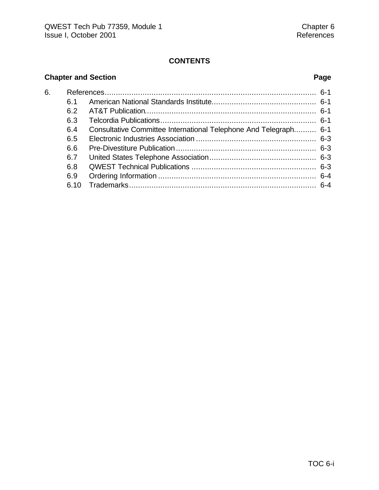# **CONTENTS**

# **Chapter and Section Page**

| 6. |      |                                                                  |  |
|----|------|------------------------------------------------------------------|--|
|    | 61   |                                                                  |  |
|    | 6.2  |                                                                  |  |
|    | 6.3  |                                                                  |  |
|    | 6.4  | Consultative Committee International Telephone And Telegraph 6-1 |  |
|    | 6.5  |                                                                  |  |
|    | 6.6  |                                                                  |  |
|    | 6.7  |                                                                  |  |
|    | 6.8  |                                                                  |  |
|    | 6.9  |                                                                  |  |
|    | 6.10 |                                                                  |  |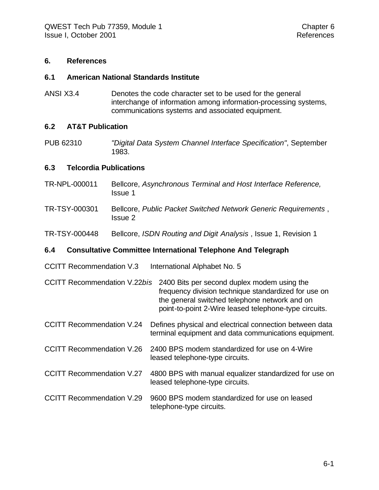#### **6. References**

#### **6.1 American National Standards Institute**

ANSI X3.4 Denotes the code character set to be used for the general interchange of information among information-processing systems, communications systems and associated equipment.

#### **6.2 AT&T Publication**

PUB 62310 *"Digital Data System Channel Interface Specification"*, September 1983.

#### **6.3 Telcordia Publications**

- TR-NPL-000011 Bellcore, *Asynchronous Terminal and Host Interface Reference,* Issue 1
- TR-TSY-000301 Bellcore, *Public Packet Switched Network Generic Requirements* , Issue 2
- TR-TSY-000448 Bellcore, *ISDN Routing and Digit Analysis* , Issue 1, Revision 1

#### **6.4 Consultative Committee International Telephone And Telegraph**

CCITT Recommendation V.3 International Alphabet No. 5

CCITT Recommendation V.22*bis* 2400 Bits per second duplex modem using the frequency division technique standardized for use on the general switched telephone network and on point-to-point 2-Wire leased telephone-type circuits.

- CCITT Recommendation V.24 Defines physical and electrical connection between data terminal equipment and data communications equipment.
- CCITT Recommendation V.26 2400 BPS modem standardized for use on 4-Wire leased telephone-type circuits.
- CCITT Recommendation V.27 4800 BPS with manual equalizer standardized for use on leased telephone-type circuits.
- CCITT Recommendation V.29 9600 BPS modem standardized for use on leased telephone-type circuits.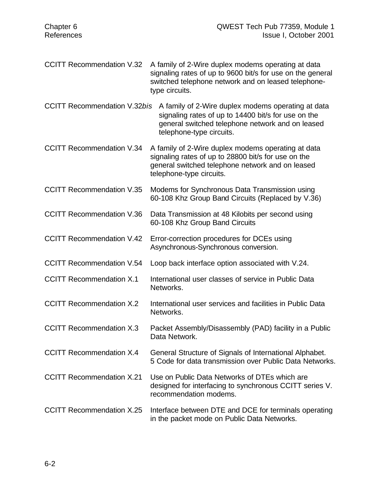| <b>CCITT Recommendation V.32</b>    | A family of 2-Wire duplex modems operating at data<br>signaling rates of up to 9600 bit/s for use on the general<br>switched telephone network and on leased telephone-<br>type circuits. |
|-------------------------------------|-------------------------------------------------------------------------------------------------------------------------------------------------------------------------------------------|
| <b>CCITT Recommendation V.32bis</b> | A family of 2-Wire duplex modems operating at data<br>signaling rates of up to 14400 bit/s for use on the<br>general switched telephone network and on leased<br>telephone-type circuits. |
| <b>CCITT Recommendation V.34</b>    | A family of 2-Wire duplex modems operating at data<br>signaling rates of up to 28800 bit/s for use on the<br>general switched telephone network and on leased<br>telephone-type circuits. |
| <b>CCITT Recommendation V.35</b>    | Modems for Synchronous Data Transmission using<br>60-108 Khz Group Band Circuits (Replaced by V.36)                                                                                       |
| <b>CCITT Recommendation V.36</b>    | Data Transmission at 48 Kilobits per second using<br>60-108 Khz Group Band Circuits                                                                                                       |
| <b>CCITT Recommendation V.42</b>    | Error-correction procedures for DCEs using<br>Asynchronous-Synchronous conversion.                                                                                                        |
| <b>CCITT Recommendation V.54</b>    | Loop back interface option associated with V.24.                                                                                                                                          |
| <b>CCITT Recommendation X.1</b>     | International user classes of service in Public Data<br>Networks.                                                                                                                         |
| <b>CCITT Recommendation X.2</b>     | International user services and facilities in Public Data<br>Networks.                                                                                                                    |
| <b>CCITT Recommendation X.3</b>     | Packet Assembly/Disassembly (PAD) facility in a Public<br>Data Network.                                                                                                                   |
| <b>CCITT Recommendation X.4</b>     | General Structure of Signals of International Alphabet.<br>5 Code for data transmission over Public Data Networks.                                                                        |
| <b>CCITT Recommendation X.21</b>    | Use on Public Data Networks of DTEs which are<br>designed for interfacing to synchronous CCITT series V.<br>recommendation modems.                                                        |
| <b>CCITT Recommendation X.25</b>    | Interface between DTE and DCE for terminals operating<br>in the packet mode on Public Data Networks.                                                                                      |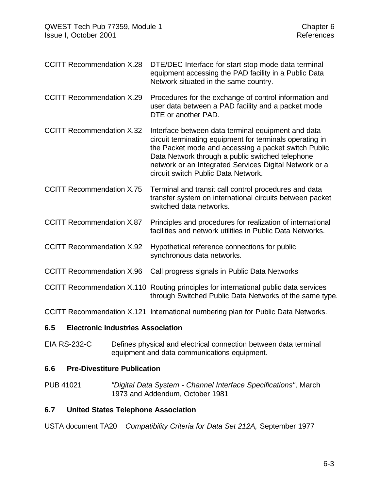CCITT Recommendation X.28 DTE/DEC Interface for start-stop mode data terminal equipment accessing the PAD facility in a Public Data Network situated in the same country.

CCITT Recommendation X.29 Procedures for the exchange of control information and user data between a PAD facility and a packet mode DTE or another PAD.

CCITT Recommendation X.32 Interface between data terminal equipment and data circuit terminating equipment for terminals operating in the Packet mode and accessing a packet switch Public Data Network through a public switched telephone network or an Integrated Services Digital Network or a circuit switch Public Data Network.

CCITT Recommendation X.75 Terminal and transit call control procedures and data transfer system on international circuits between packet switched data networks.

CCITT Recommendation X.87 Principles and procedures for realization of international facilities and network utilities in Public Data Networks.

- CCITT Recommendation X.92 Hypothetical reference connections for public synchronous data networks.
- CCITT Recommendation X.96 Call progress signals in Public Data Networks

CCITT Recommendation X.110 Routing principles for international public data services through Switched Public Data Networks of the same type.

CCITT Recommendation X.121 International numbering plan for Public Data Networks.

#### **6.5 Electronic Industries Association**

EIA RS-232-C Defines physical and electrical connection between data terminal equipment and data communications equipment.

# **6.6 Pre-Divestiture Publication**

PUB 41021 *"Digital Data System - Channel Interface Specifications"*, March 1973 and Addendum, October 1981

#### **6.7 United States Telephone Association**

USTA document TA20 *Compatibility Criteria for Data Set 212A,* September 1977